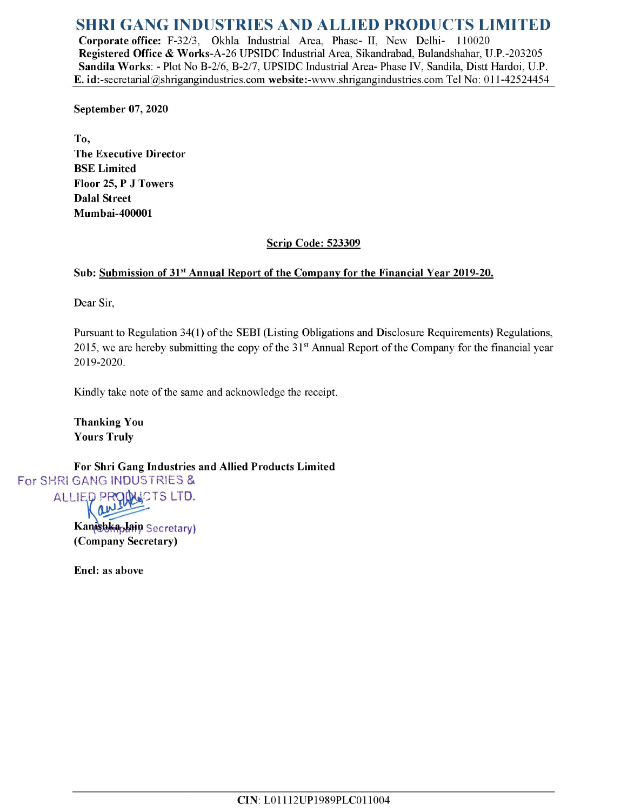# SHRI GANG INDUSTRIES AND ALLIED PRODUCTS LIMITED

Corporate office: F-32/3, Okhla Industrial Area, Phase- II, New Delhi- 110020 Registered Office & Works-A-26 UPSIDC Industrial Area, Sikandrabad, Bulandshahar, U.P.-203205 Sandila Works: - Plot No B-2/6, B-2/7, UPSIDC Industrial Area- Phase IV, Sandila, Distt Hardoi, U.P. **SHRI GANG INDUSTRIES AND**<br>Corporate office: F-32/3, Okhla Industrial Are<br>Registered Office & Works-A-26 UPSIDC Industri<br>Sandila Works: - Plot No B-2/6, B-2/7, UPSIDC In<br>E. id:-secretarial@shrigangindustries.com website:-E. id:-secretarial@shrigangindustries.com website:-www.shrigangindustries.com Tel No: 011-42524454

September 07, 2020

To, The Executive Director BSE Limited Floor 25, P J Towers Dalal Street Mumbai-400001

#### Scrip Code: 523309

# Sub: Submission of 31<sup>st</sup> Annual Report of the Company for the Financial Year 2019-20.

Dear Sir,

Pursuant to Regulation 34(1) of the SEBI (Listing Obligations and Disclosure Requirements) Regulations, 2015, we are hereby submitting the copy of the 31<sup>st</sup> Annual Report of the Company for the financial year 2019-2020.

Kindly take note of the same and acknowledge the receipt.

Thanking You Yours Truly

For Shri Gang Industries and Allied Products Limited For SHRI GANG INDUSTRIES & ALLIED PRODUCTS LTD. Pursuant to Regulation 34(1) of the SEBI (Listing Ot 2015, we are hereby submitting the copy of the 31<sup>st</sup>.<br>2019-2020.<br>Kindly take note of the same and acknowledge the re<br>**Thanking You**<br>**Yours Truly**<br>**For Shri Gang Indust** 

Ow nash kapalin Secretary) (Company Secretary)

Encl: as above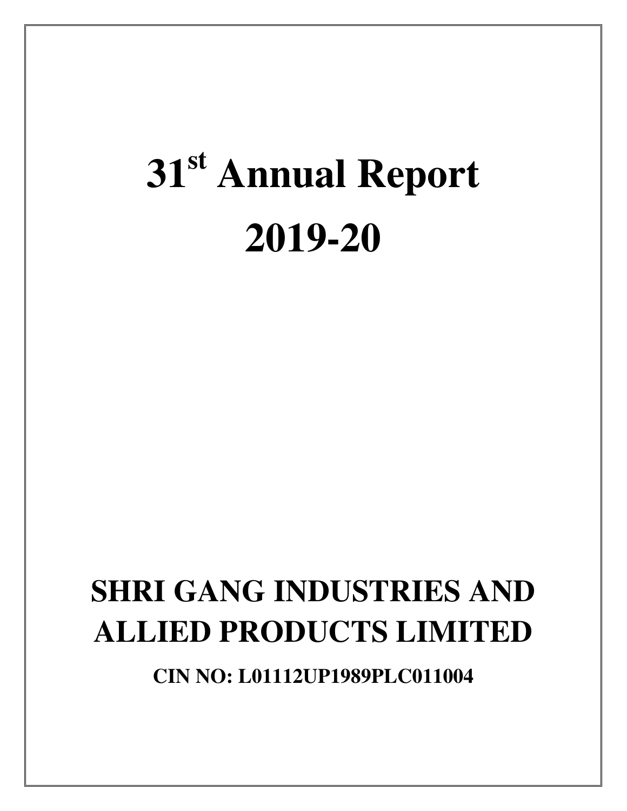# **31st Annual Report 2019-20**

# **SHRI GANG INDUSTRIES AND ALLIED PRODUCTS LIMITED**

**CIN NO: L01112UP1989PLC011004**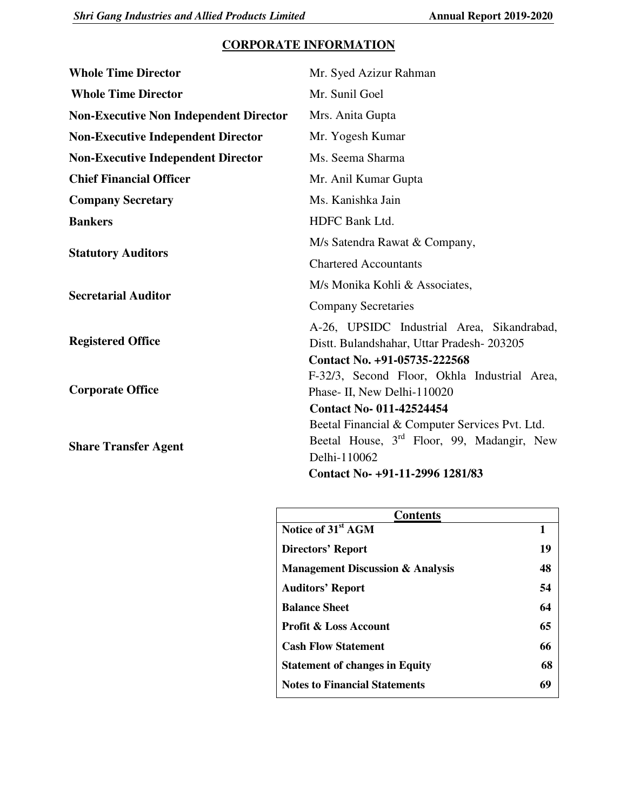# **CORPORATE INFORMATION**

| <b>Whole Time Director</b>                    | Mr. Syed Azizur Rahman                                                                                                                          |  |
|-----------------------------------------------|-------------------------------------------------------------------------------------------------------------------------------------------------|--|
| <b>Whole Time Director</b>                    | Mr. Sunil Goel                                                                                                                                  |  |
| <b>Non-Executive Non Independent Director</b> | Mrs. Anita Gupta                                                                                                                                |  |
| <b>Non-Executive Independent Director</b>     | Mr. Yogesh Kumar                                                                                                                                |  |
| <b>Non-Executive Independent Director</b>     | Ms. Seema Sharma                                                                                                                                |  |
| <b>Chief Financial Officer</b>                | Mr. Anil Kumar Gupta                                                                                                                            |  |
| <b>Company Secretary</b>                      | Ms. Kanishka Jain                                                                                                                               |  |
| <b>Bankers</b>                                | <b>HDFC Bank Ltd.</b>                                                                                                                           |  |
|                                               | M/s Satendra Rawat & Company,                                                                                                                   |  |
| <b>Statutory Auditors</b>                     | <b>Chartered Accountants</b>                                                                                                                    |  |
|                                               | M/s Monika Kohli & Associates,                                                                                                                  |  |
| <b>Secretarial Auditor</b>                    | <b>Company Secretaries</b>                                                                                                                      |  |
| <b>Registered Office</b>                      | A-26, UPSIDC Industrial Area, Sikandrabad,<br>Distt. Bulandshahar, Uttar Pradesh-203205                                                         |  |
| <b>Corporate Office</b>                       | Contact No. +91-05735-222568<br>F-32/3, Second Floor, Okhla Industrial Area,<br>Phase-II, New Delhi-110020<br><b>Contact No- 011-42524454</b>   |  |
| <b>Share Transfer Agent</b>                   | Beetal Financial & Computer Services Pvt. Ltd.<br>Beetal House, 3rd Floor, 99, Madangir, New<br>Delhi-110062<br>Contact No- +91-11-2996 1281/83 |  |

| <b>Contents</b>                             |    |  |
|---------------------------------------------|----|--|
| Notice of 31 <sup>st</sup> AGM              | 1  |  |
| <b>Directors' Report</b>                    | 19 |  |
| <b>Management Discussion &amp; Analysis</b> | 48 |  |
| <b>Auditors' Report</b>                     | 54 |  |
| <b>Balance Sheet</b>                        | 64 |  |
| <b>Profit &amp; Loss Account</b>            | 65 |  |
| <b>Cash Flow Statement</b>                  | 66 |  |
| <b>Statement of changes in Equity</b>       | 68 |  |
| <b>Notes to Financial Statements</b>        | 69 |  |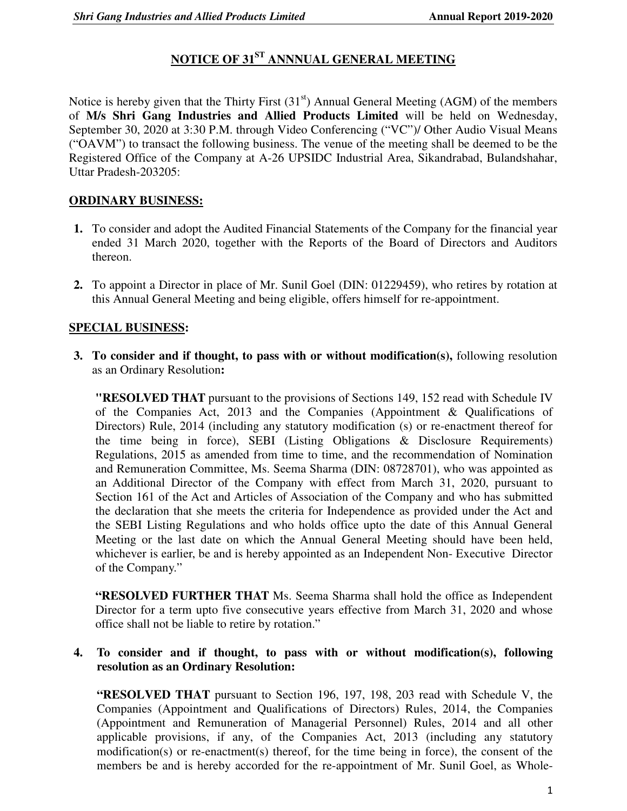# **NOTICE OF 31ST ANNNUAL GENERAL MEETING**

Notice is hereby given that the Thirty First  $(31<sup>st</sup>)$  Annual General Meeting (AGM) of the members of **M/s Shri Gang Industries and Allied Products Limited** will be held on Wednesday, September 30, 2020 at 3:30 P.M. through Video Conferencing ("VC")/ Other Audio Visual Means ("OAVM") to transact the following business. The venue of the meeting shall be deemed to be the Registered Office of the Company at A-26 UPSIDC Industrial Area, Sikandrabad, Bulandshahar, Uttar Pradesh-203205:

# **ORDINARY BUSINESS:**

- **1.** To consider and adopt the Audited Financial Statements of the Company for the financial year ended 31 March 2020, together with the Reports of the Board of Directors and Auditors thereon.
- **2.** To appoint a Director in place of Mr. Sunil Goel (DIN: 01229459), who retires by rotation at this Annual General Meeting and being eligible, offers himself for re-appointment.

# **SPECIAL BUSINESS:**

**3. To consider and if thought, to pass with or without modification(s),** following resolution as an Ordinary Resolution**:** 

**"RESOLVED THAT** pursuant to the provisions of Sections 149, 152 read with Schedule IV of the Companies Act, 2013 and the Companies (Appointment & Qualifications of Directors) Rule, 2014 (including any statutory modification (s) or re-enactment thereof for the time being in force), SEBI (Listing Obligations & Disclosure Requirements) Regulations, 2015 as amended from time to time, and the recommendation of Nomination and Remuneration Committee, Ms. Seema Sharma (DIN: 08728701), who was appointed as an Additional Director of the Company with effect from March 31, 2020, pursuant to Section 161 of the Act and Articles of Association of the Company and who has submitted the declaration that she meets the criteria for Independence as provided under the Act and the SEBI Listing Regulations and who holds office upto the date of this Annual General Meeting or the last date on which the Annual General Meeting should have been held, whichever is earlier, be and is hereby appointed as an Independent Non- Executive Director of the Company."

**"RESOLVED FURTHER THAT** Ms. Seema Sharma shall hold the office as Independent Director for a term upto five consecutive years effective from March 31, 2020 and whose office shall not be liable to retire by rotation."

#### **4. To consider and if thought, to pass with or without modification(s), following resolution as an Ordinary Resolution:**

**"RESOLVED THAT** pursuant to Section 196, 197, 198, 203 read with Schedule V, the Companies (Appointment and Qualifications of Directors) Rules, 2014, the Companies (Appointment and Remuneration of Managerial Personnel) Rules, 2014 and all other applicable provisions, if any, of the Companies Act, 2013 (including any statutory modification(s) or re-enactment(s) thereof, for the time being in force), the consent of the members be and is hereby accorded for the re-appointment of Mr. Sunil Goel, as Whole-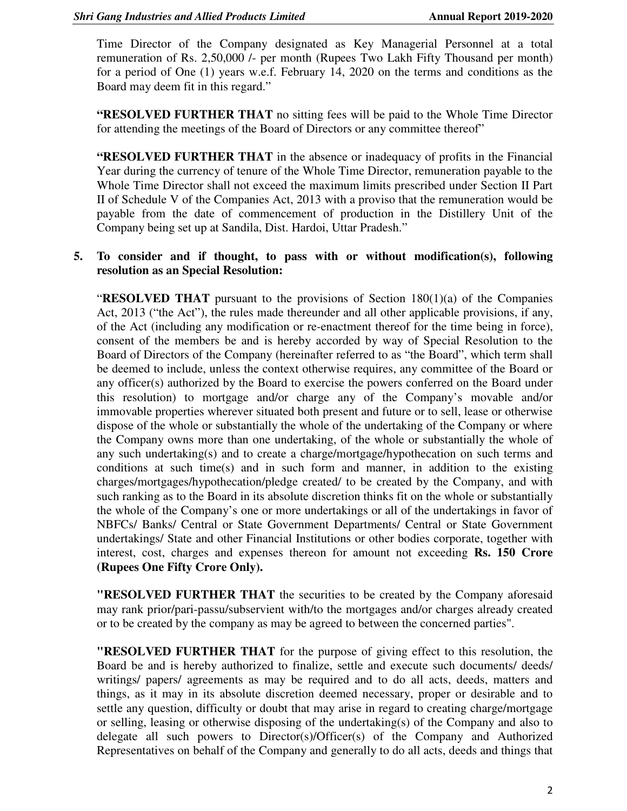Time Director of the Company designated as Key Managerial Personnel at a total remuneration of Rs. 2,50,000 /- per month (Rupees Two Lakh Fifty Thousand per month) for a period of One (1) years w.e.f. February 14, 2020 on the terms and conditions as the Board may deem fit in this regard."

**"RESOLVED FURTHER THAT** no sitting fees will be paid to the Whole Time Director for attending the meetings of the Board of Directors or any committee thereof"

**"RESOLVED FURTHER THAT** in the absence or inadequacy of profits in the Financial Year during the currency of tenure of the Whole Time Director, remuneration payable to the Whole Time Director shall not exceed the maximum limits prescribed under Section II Part II of Schedule V of the Companies Act, 2013 with a proviso that the remuneration would be payable from the date of commencement of production in the Distillery Unit of the Company being set up at Sandila, Dist. Hardoi, Uttar Pradesh."

# **5. To consider and if thought, to pass with or without modification(s), following resolution as an Special Resolution:**

"**RESOLVED THAT** pursuant to the provisions of Section 180(1)(a) of the Companies Act, 2013 ("the Act"), the rules made thereunder and all other applicable provisions, if any, of the Act (including any modification or re-enactment thereof for the time being in force), consent of the members be and is hereby accorded by way of Special Resolution to the Board of Directors of the Company (hereinafter referred to as "the Board", which term shall be deemed to include, unless the context otherwise requires, any committee of the Board or any officer(s) authorized by the Board to exercise the powers conferred on the Board under this resolution) to mortgage and/or charge any of the Company's movable and/or immovable properties wherever situated both present and future or to sell, lease or otherwise dispose of the whole or substantially the whole of the undertaking of the Company or where the Company owns more than one undertaking, of the whole or substantially the whole of any such undertaking(s) and to create a charge/mortgage/hypothecation on such terms and conditions at such time(s) and in such form and manner, in addition to the existing charges/mortgages/hypothecation/pledge created/ to be created by the Company, and with such ranking as to the Board in its absolute discretion thinks fit on the whole or substantially the whole of the Company's one or more undertakings or all of the undertakings in favor of NBFCs/ Banks/ Central or State Government Departments/ Central or State Government undertakings/ State and other Financial Institutions or other bodies corporate, together with interest, cost, charges and expenses thereon for amount not exceeding **Rs. 150 Crore (Rupees One Fifty Crore Only).** 

**"RESOLVED FURTHER THAT** the securities to be created by the Company aforesaid may rank prior/pari-passu/subservient with/to the mortgages and/or charges already created or to be created by the company as may be agreed to between the concerned parties".

**"RESOLVED FURTHER THAT** for the purpose of giving effect to this resolution, the Board be and is hereby authorized to finalize, settle and execute such documents/ deeds/ writings/ papers/ agreements as may be required and to do all acts, deeds, matters and things, as it may in its absolute discretion deemed necessary, proper or desirable and to settle any question, difficulty or doubt that may arise in regard to creating charge/mortgage or selling, leasing or otherwise disposing of the undertaking(s) of the Company and also to delegate all such powers to Director(s)/Officer(s) of the Company and Authorized Representatives on behalf of the Company and generally to do all acts, deeds and things that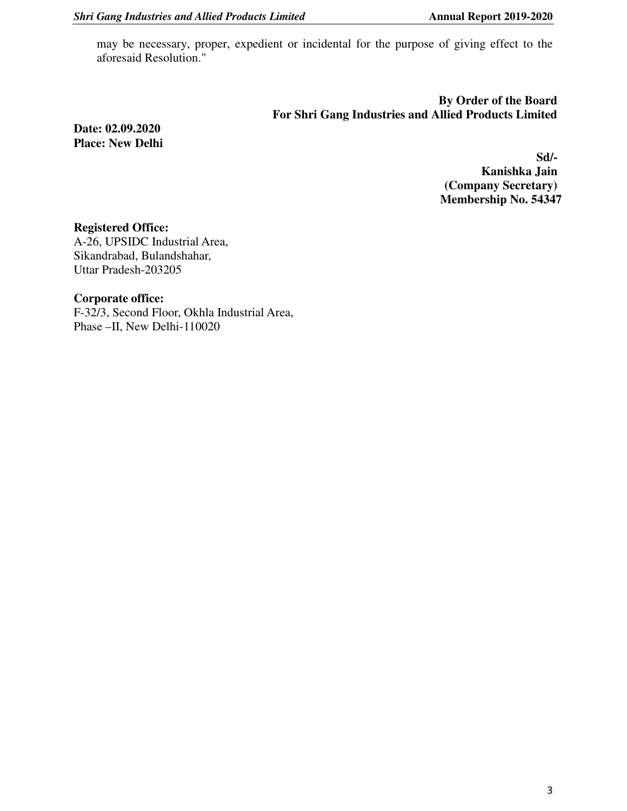may be necessary, proper, expedient or incidental for the purpose of giving effect to the aforesaid Resolution."

> **By Order of the Board For Shri Gang Industries and Allied Products Limited**

**Date: 02.09.2020 Place: New Delhi** 

> **Sd/- Kanishka Jain (Company Secretary) Membership No. 54347**

#### **Registered Office:**

A-26, UPSIDC Industrial Area, Sikandrabad, Bulandshahar, Uttar Pradesh-203205

#### **Corporate office:**

F-32/3, Second Floor, Okhla Industrial Area, Phase –II, New Delhi-110020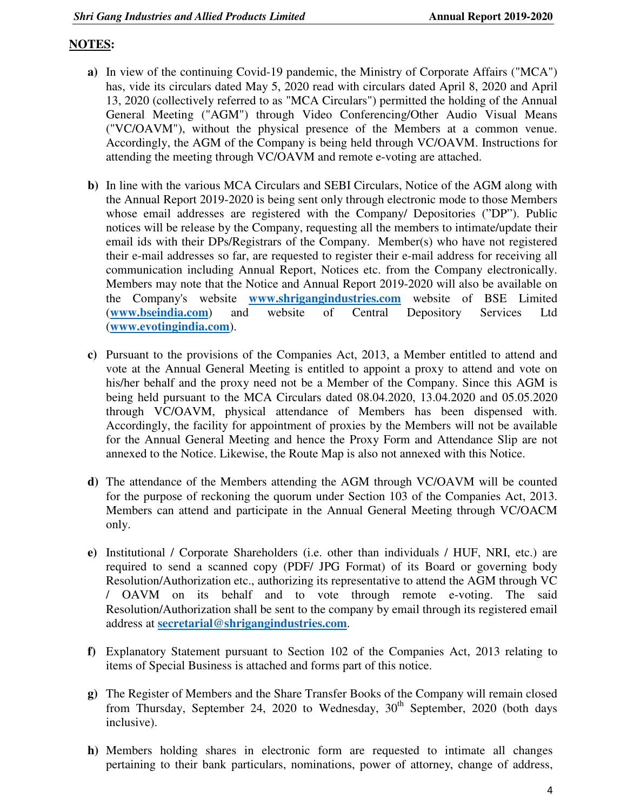# **NOTES:**

- **a)** In view of the continuing Covid-19 pandemic, the Ministry of Corporate Affairs ("MCA") has, vide its circulars dated May 5, 2020 read with circulars dated April 8, 2020 and April 13, 2020 (collectively referred to as "MCA Circulars") permitted the holding of the Annual General Meeting ("AGM") through Video Conferencing/Other Audio Visual Means ("VC/OAVM"), without the physical presence of the Members at a common venue. Accordingly, the AGM of the Company is being held through VC/OAVM. Instructions for attending the meeting through VC/OAVM and remote e-voting are attached.
- **b)** In line with the various MCA Circulars and SEBI Circulars, Notice of the AGM along with the Annual Report 2019-2020 is being sent only through electronic mode to those Members whose email addresses are registered with the Company/ Depositories ("DP"). Public notices will be release by the Company, requesting all the members to intimate/update their email ids with their DPs/Registrars of the Company. Member(s) who have not registered their e-mail addresses so far, are requested to register their e-mail address for receiving all communication including Annual Report, Notices etc. from the Company electronically. Members may note that the Notice and Annual Report 2019-2020 will also be available on the Company's website **www.shrigangindustries.com** website of BSE Limited (**www.bseindia.com**) and website of Central Depository Services Ltd (**www.evotingindia.com**).
- **c)** Pursuant to the provisions of the Companies Act, 2013, a Member entitled to attend and vote at the Annual General Meeting is entitled to appoint a proxy to attend and vote on his/her behalf and the proxy need not be a Member of the Company. Since this AGM is being held pursuant to the MCA Circulars dated 08.04.2020, 13.04.2020 and 05.05.2020 through VC/OAVM, physical attendance of Members has been dispensed with. Accordingly, the facility for appointment of proxies by the Members will not be available for the Annual General Meeting and hence the Proxy Form and Attendance Slip are not annexed to the Notice. Likewise, the Route Map is also not annexed with this Notice.
- **d)** The attendance of the Members attending the AGM through VC/OAVM will be counted for the purpose of reckoning the quorum under Section 103 of the Companies Act, 2013. Members can attend and participate in the Annual General Meeting through VC/OACM only.
- **e)** Institutional / Corporate Shareholders (i.e. other than individuals / HUF, NRI, etc.) are required to send a scanned copy (PDF/ JPG Format) of its Board or governing body Resolution/Authorization etc., authorizing its representative to attend the AGM through VC / OAVM on its behalf and to vote through remote e-voting. The said Resolution/Authorization shall be sent to the company by email through its registered email address at **secretarial@shrigangindustries.com**.
- **f)** Explanatory Statement pursuant to Section 102 of the Companies Act, 2013 relating to items of Special Business is attached and forms part of this notice.
- **g)** The Register of Members and the Share Transfer Books of the Company will remain closed from Thursday, September 24, 2020 to Wednesday,  $30<sup>th</sup>$  September, 2020 (both days inclusive).
- **h)** Members holding shares in electronic form are requested to intimate all changes pertaining to their bank particulars, nominations, power of attorney, change of address,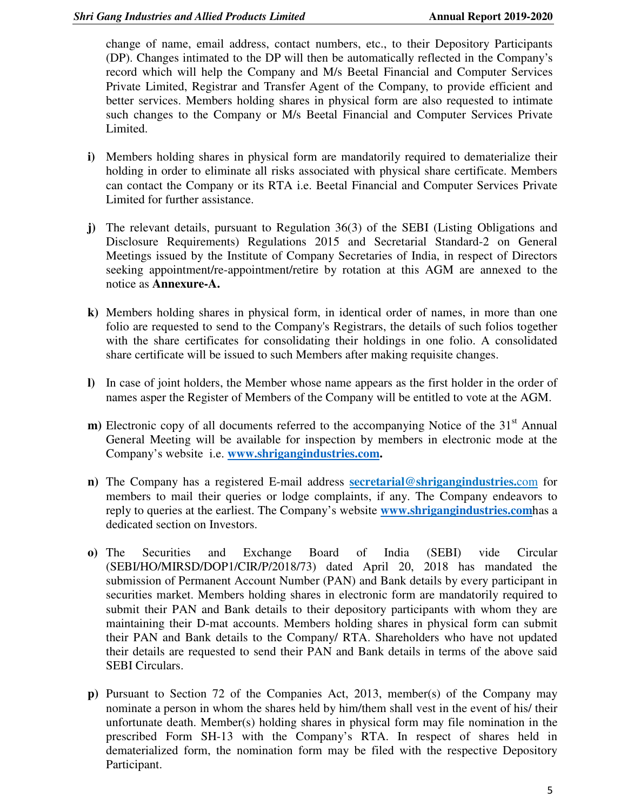change of name, email address, contact numbers, etc., to their Depository Participants (DP). Changes intimated to the DP will then be automatically reflected in the Company's record which will help the Company and M/s Beetal Financial and Computer Services Private Limited, Registrar and Transfer Agent of the Company, to provide efficient and better services. Members holding shares in physical form are also requested to intimate such changes to the Company or M/s Beetal Financial and Computer Services Private Limited.

- **i)** Members holding shares in physical form are mandatorily required to dematerialize their holding in order to eliminate all risks associated with physical share certificate. Members can contact the Company or its RTA i.e. Beetal Financial and Computer Services Private Limited for further assistance.
- **j)** The relevant details, pursuant to Regulation 36(3) of the SEBI (Listing Obligations and Disclosure Requirements) Regulations 2015 and Secretarial Standard-2 on General Meetings issued by the Institute of Company Secretaries of India, in respect of Directors seeking appointment/re-appointment/retire by rotation at this AGM are annexed to the notice as **Annexure-A.**
- **k)** Members holding shares in physical form, in identical order of names, in more than one folio are requested to send to the Company's Registrars, the details of such folios together with the share certificates for consolidating their holdings in one folio. A consolidated share certificate will be issued to such Members after making requisite changes.
- **l)** In case of joint holders, the Member whose name appears as the first holder in the order of names asper the Register of Members of the Company will be entitled to vote at the AGM.
- **m**) Electronic copy of all documents referred to the accompanying Notice of the 31<sup>st</sup> Annual General Meeting will be available for inspection by members in electronic mode at the Company's website i.e. **www.shrigangindustries.com.**
- **n)** The Company has a registered E-mail address **secretarial@shrigangindustries.**com for members to mail their queries or lodge complaints, if any. The Company endeavors to reply to queries at the earliest. The Company's website **www.shrigangindustries.com**has a dedicated section on Investors.
- **o)** The Securities and Exchange Board of India (SEBI) vide Circular (SEBI/HO/MIRSD/DOP1/CIR/P/2018/73) dated April 20, 2018 has mandated the submission of Permanent Account Number (PAN) and Bank details by every participant in securities market. Members holding shares in electronic form are mandatorily required to submit their PAN and Bank details to their depository participants with whom they are maintaining their D-mat accounts. Members holding shares in physical form can submit their PAN and Bank details to the Company/ RTA. Shareholders who have not updated their details are requested to send their PAN and Bank details in terms of the above said SEBI Circulars.
- **p)** Pursuant to Section 72 of the Companies Act, 2013, member(s) of the Company may nominate a person in whom the shares held by him/them shall vest in the event of his/ their unfortunate death. Member(s) holding shares in physical form may file nomination in the prescribed Form SH-13 with the Company's RTA. In respect of shares held in dematerialized form, the nomination form may be filed with the respective Depository Participant.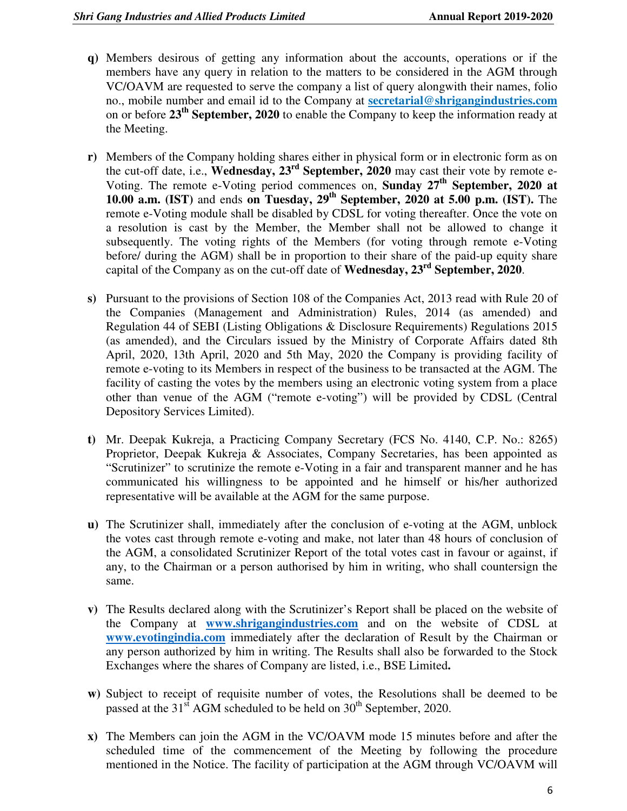- **q)** Members desirous of getting any information about the accounts, operations or if the members have any query in relation to the matters to be considered in the AGM through VC/OAVM are requested to serve the company a list of query alongwith their names, folio no., mobile number and email id to the Company at **secretarial@shrigangindustries.com** on or before **23th September, 2020** to enable the Company to keep the information ready at the Meeting.
- **r)** Members of the Company holding shares either in physical form or in electronic form as on the cut-off date, i.e., **Wednesday, 23rd September, 2020** may cast their vote by remote e-Voting. The remote e-Voting period commences on, **Sunday 27th September, 2020 at 10.00 a.m. (IST)** and ends **on Tuesday, 29th September, 2020 at 5.00 p.m. (IST).** The remote e-Voting module shall be disabled by CDSL for voting thereafter. Once the vote on a resolution is cast by the Member, the Member shall not be allowed to change it subsequently. The voting rights of the Members (for voting through remote e-Voting before/ during the AGM) shall be in proportion to their share of the paid-up equity share capital of the Company as on the cut-off date of **Wednesday, 23rd September, 2020**.
- **s)** Pursuant to the provisions of Section 108 of the Companies Act, 2013 read with Rule 20 of the Companies (Management and Administration) Rules, 2014 (as amended) and Regulation 44 of SEBI (Listing Obligations & Disclosure Requirements) Regulations 2015 (as amended), and the Circulars issued by the Ministry of Corporate Affairs dated 8th April, 2020, 13th April, 2020 and 5th May, 2020 the Company is providing facility of remote e-voting to its Members in respect of the business to be transacted at the AGM. The facility of casting the votes by the members using an electronic voting system from a place other than venue of the AGM ("remote e-voting") will be provided by CDSL (Central Depository Services Limited).
- **t)** Mr. Deepak Kukreja, a Practicing Company Secretary (FCS No. 4140, C.P. No.: 8265) Proprietor, Deepak Kukreja & Associates, Company Secretaries, has been appointed as "Scrutinizer" to scrutinize the remote e-Voting in a fair and transparent manner and he has communicated his willingness to be appointed and he himself or his/her authorized representative will be available at the AGM for the same purpose.
- **u)** The Scrutinizer shall, immediately after the conclusion of e-voting at the AGM, unblock the votes cast through remote e-voting and make, not later than 48 hours of conclusion of the AGM, a consolidated Scrutinizer Report of the total votes cast in favour or against, if any, to the Chairman or a person authorised by him in writing, who shall countersign the same.
- **v)** The Results declared along with the Scrutinizer's Report shall be placed on the website of the Company at **www.shrigangindustries.com** and on the website of CDSL at **www.evotingindia.com** immediately after the declaration of Result by the Chairman or any person authorized by him in writing. The Results shall also be forwarded to the Stock Exchanges where the shares of Company are listed, i.e., BSE Limited**.**
- **w)** Subject to receipt of requisite number of votes, the Resolutions shall be deemed to be passed at the  $31<sup>st</sup>$  AGM scheduled to be held on  $30<sup>th</sup>$  September, 2020.
- **x)** The Members can join the AGM in the VC/OAVM mode 15 minutes before and after the scheduled time of the commencement of the Meeting by following the procedure mentioned in the Notice. The facility of participation at the AGM through VC/OAVM will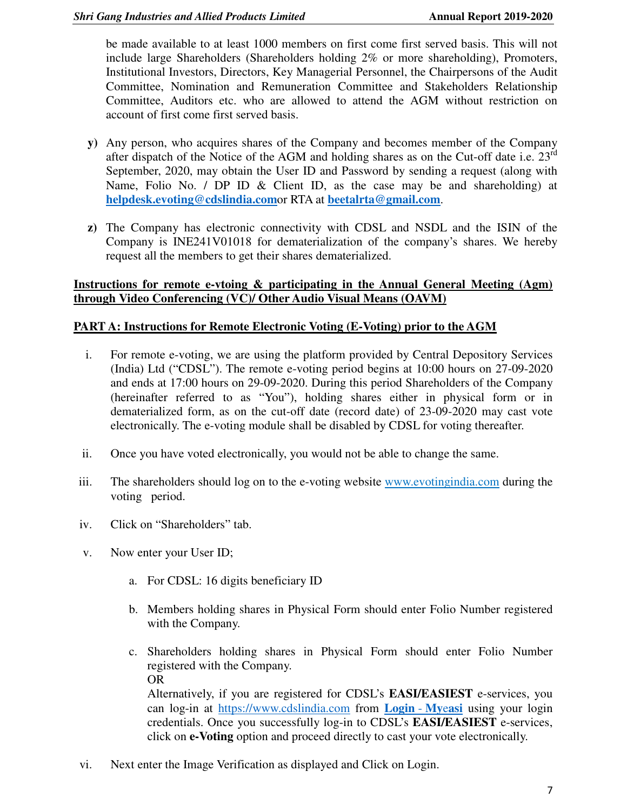be made available to at least 1000 members on first come first served basis. This will not include large Shareholders (Shareholders holding 2% or more shareholding), Promoters, Institutional Investors, Directors, Key Managerial Personnel, the Chairpersons of the Audit Committee, Nomination and Remuneration Committee and Stakeholders Relationship Committee, Auditors etc. who are allowed to attend the AGM without restriction on account of first come first served basis.

- **y)** Any person, who acquires shares of the Company and becomes member of the Company after dispatch of the Notice of the AGM and holding shares as on the Cut-off date i.e.  $23<sup>rd</sup>$ September, 2020, may obtain the User ID and Password by sending a request (along with Name, Folio No. / DP ID & Client ID, as the case may be and shareholding) at **helpdesk.evoting@cdslindia.com**or RTA at **beetalrta@gmail.com**.
- **z)** The Company has electronic connectivity with CDSL and NSDL and the ISIN of the Company is INE241V01018 for dematerialization of the company's shares. We hereby request all the members to get their shares dematerialized.

#### **Instructions for remote e-vtoing & participating in the Annual General Meeting (Agm) through Video Conferencing (VC)/ Other Audio Visual Means (OAVM)**

#### **PART A: Instructions for Remote Electronic Voting (E-Voting) prior to the AGM**

- i. For remote e-voting, we are using the platform provided by Central Depository Services (India) Ltd ("CDSL"). The remote e-voting period begins at 10:00 hours on 27-09-2020 and ends at 17:00 hours on 29-09-2020. During this period Shareholders of the Company (hereinafter referred to as "You"), holding shares either in physical form or in dematerialized form, as on the cut-off date (record date) of 23-09-2020 may cast vote electronically. The e-voting module shall be disabled by CDSL for voting thereafter.
- ii. Once you have voted electronically, you would not be able to change the same.
- iii. The shareholders should log on to the e-voting website www.evotingindia.com during the voting period.
- iv. Click on "Shareholders" tab.
- v. Now enter your User ID;
	- a. For CDSL: 16 digits beneficiary ID
	- b. Members holding shares in Physical Form should enter Folio Number registered with the Company.
	- c. Shareholders holding shares in Physical Form should enter Folio Number registered with the Company. OR

Alternatively, if you are registered for CDSL's **EASI/EASIEST** e-services, you can log-in at https://www.cdslindia.com from **Login** - **My**e**asi** using your login credentials. Once you successfully log-in to CDSL's **EASI/EASIEST** e-services, click on **e-Voting** option and proceed directly to cast your vote electronically.

vi. Next enter the Image Verification as displayed and Click on Login.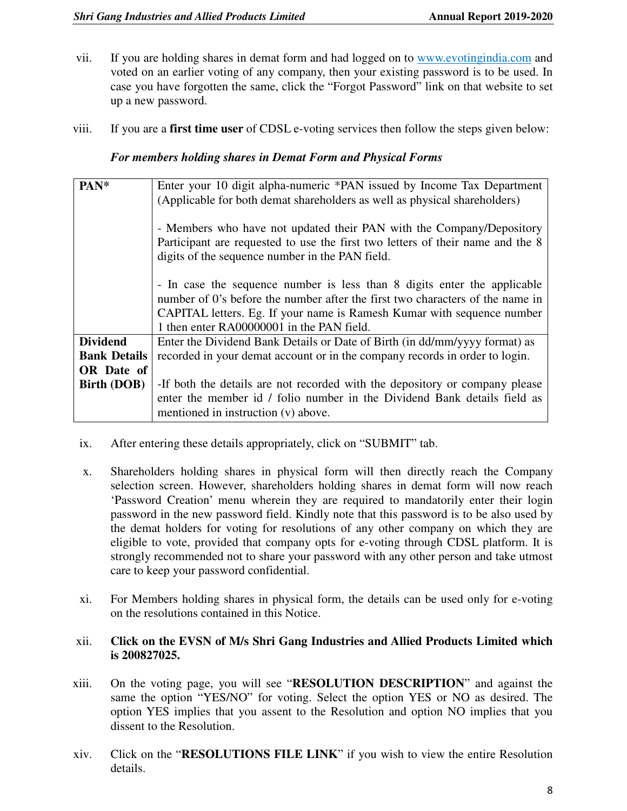- vii. If you are holding shares in demat form and had logged on to www.evotingindia.com and voted on an earlier voting of any company, then your existing password is to be used. In case you have forgotten the same, click the "Forgot Password" link on that website to set up a new password.
- viii. If you are a **first time user** of CDSL e-voting services then follow the steps given below:

#### *For members holding shares in Demat Form and Physical Forms*

| PAN*                | Enter your 10 digit alpha-numeric *PAN issued by Income Tax Department         |  |  |  |
|---------------------|--------------------------------------------------------------------------------|--|--|--|
|                     | (Applicable for both demat shareholders as well as physical shareholders)      |  |  |  |
|                     |                                                                                |  |  |  |
|                     |                                                                                |  |  |  |
|                     | - Members who have not updated their PAN with the Company/Depository           |  |  |  |
|                     | Participant are requested to use the first two letters of their name and the 8 |  |  |  |
|                     |                                                                                |  |  |  |
|                     | digits of the sequence number in the PAN field.                                |  |  |  |
|                     |                                                                                |  |  |  |
|                     | - In case the sequence number is less than 8 digits enter the applicable       |  |  |  |
|                     |                                                                                |  |  |  |
|                     | number of 0's before the number after the first two characters of the name in  |  |  |  |
|                     | CAPITAL letters. Eg. If your name is Ramesh Kumar with sequence number         |  |  |  |
|                     | 1 then enter RA00000001 in the PAN field.                                      |  |  |  |
|                     |                                                                                |  |  |  |
| <b>Dividend</b>     | Enter the Dividend Bank Details or Date of Birth (in dd/mm/yyyy format) as     |  |  |  |
| <b>Bank Details</b> | recorded in your demat account or in the company records in order to login.    |  |  |  |
| <b>OR</b> Date of   |                                                                                |  |  |  |
| <b>Birth (DOB)</b>  | -If both the details are not recorded with the depository or company please    |  |  |  |
|                     | enter the member id / folio number in the Dividend Bank details field as       |  |  |  |
|                     | mentioned in instruction (v) above.                                            |  |  |  |
|                     |                                                                                |  |  |  |

- ix. After entering these details appropriately, click on "SUBMIT" tab.
- x. Shareholders holding shares in physical form will then directly reach the Company selection screen. However, shareholders holding shares in demat form will now reach 'Password Creation' menu wherein they are required to mandatorily enter their login password in the new password field. Kindly note that this password is to be also used by the demat holders for voting for resolutions of any other company on which they are eligible to vote, provided that company opts for e-voting through CDSL platform. It is strongly recommended not to share your password with any other person and take utmost care to keep your password confidential.
- xi. For Members holding shares in physical form, the details can be used only for e-voting on the resolutions contained in this Notice.

#### xii. **Click on the EVSN of M/s Shri Gang Industries and Allied Products Limited which is 200827025.**

- xiii. On the voting page, you will see "**RESOLUTION DESCRIPTION**" and against the same the option "YES/NO" for voting. Select the option YES or NO as desired. The option YES implies that you assent to the Resolution and option NO implies that you dissent to the Resolution.
- xiv. Click on the "**RESOLUTIONS FILE LINK**" if you wish to view the entire Resolution details.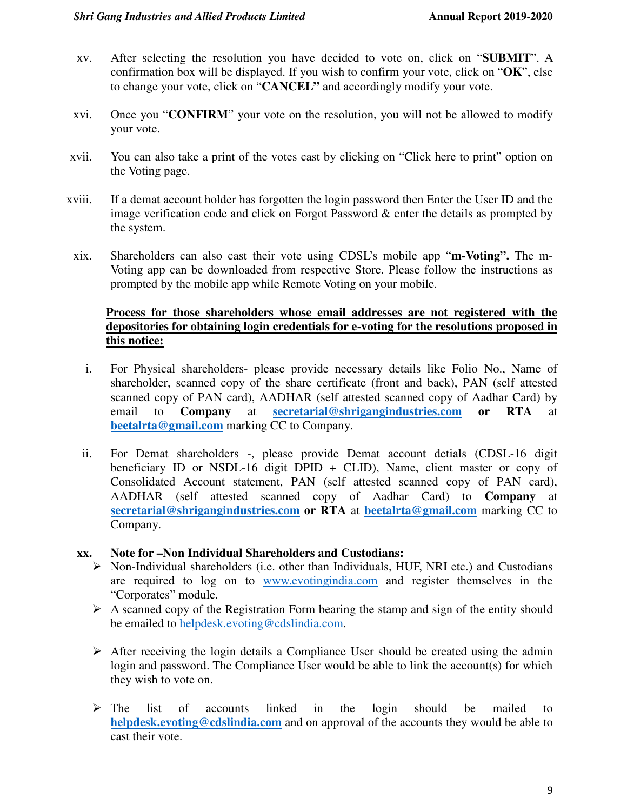- xv. After selecting the resolution you have decided to vote on, click on "**SUBMIT**". A confirmation box will be displayed. If you wish to confirm your vote, click on "**OK**", else to change your vote, click on "**CANCEL"** and accordingly modify your vote.
- xvi. Once you "**CONFIRM**" your vote on the resolution, you will not be allowed to modify your vote.
- xvii. You can also take a print of the votes cast by clicking on "Click here to print" option on the Voting page.
- xviii. If a demat account holder has forgotten the login password then Enter the User ID and the image verification code and click on Forgot Password & enter the details as prompted by the system.
- xix. Shareholders can also cast their vote using CDSL's mobile app "**m-Voting".** The m-Voting app can be downloaded from respective Store. Please follow the instructions as prompted by the mobile app while Remote Voting on your mobile.

# **Process for those shareholders whose email addresses are not registered with the depositories for obtaining login credentials for e-voting for the resolutions proposed in this notice:**

- i. For Physical shareholders- please provide necessary details like Folio No., Name of shareholder, scanned copy of the share certificate (front and back), PAN (self attested scanned copy of PAN card), AADHAR (self attested scanned copy of Aadhar Card) by email to **Company** at **secretarial@shrigangindustries.com or RTA** at **beetalrta@gmail.com** marking CC to Company.
- ii. For Demat shareholders -, please provide Demat account detials (CDSL-16 digit beneficiary ID or NSDL-16 digit DPID + CLID), Name, client master or copy of Consolidated Account statement, PAN (self attested scanned copy of PAN card), AADHAR (self attested scanned copy of Aadhar Card) to **Company** at **secretarial@shrigangindustries.com or RTA** at **beetalrta@gmail.com** marking CC to Company.

#### **xx. Note for –Non Individual Shareholders and Custodians:**

- $\triangleright$  Non-Individual shareholders (i.e. other than Individuals, HUF, NRI etc.) and Custodians are required to log on to www.evotingindia.com and register themselves in the "Corporates" module.
- $\triangleright$  A scanned copy of the Registration Form bearing the stamp and sign of the entity should be emailed to helpdesk.evoting@cdslindia.com.
- $\triangleright$  After receiving the login details a Compliance User should be created using the admin login and password. The Compliance User would be able to link the account(s) for which they wish to vote on.
- The list of accounts linked in the login should be mailed to **helpdesk.evoting@cdslindia.com** and on approval of the accounts they would be able to cast their vote.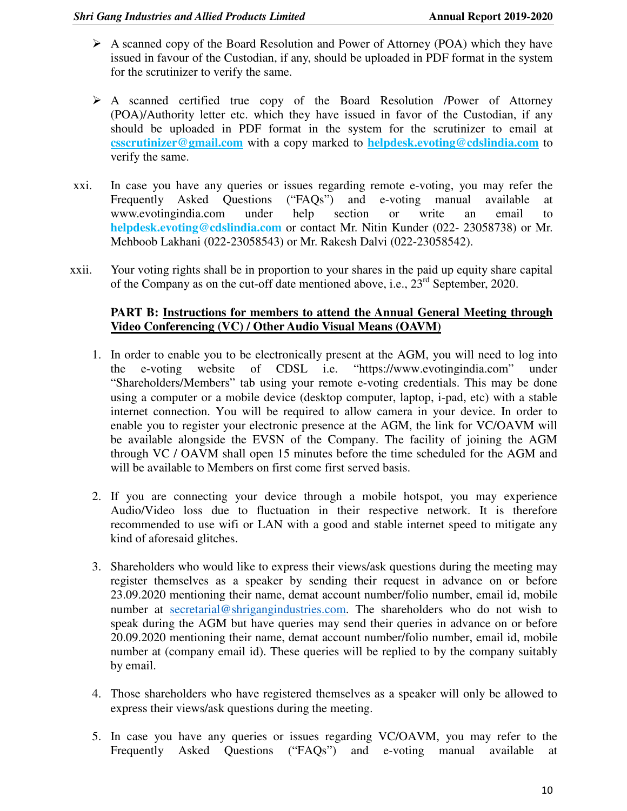- $\triangleright$  A scanned copy of the Board Resolution and Power of Attorney (POA) which they have issued in favour of the Custodian, if any, should be uploaded in PDF format in the system for the scrutinizer to verify the same.
- A scanned certified true copy of the Board Resolution /Power of Attorney (POA)/Authority letter etc. which they have issued in favor of the Custodian, if any should be uploaded in PDF format in the system for the scrutinizer to email at **csscrutinizer@gmail.com** with a copy marked to **helpdesk.evoting@cdslindia.com** to verify the same.
- xxi. In case you have any queries or issues regarding remote e-voting, you may refer the Frequently Asked Questions ("FAQs") and e-voting manual available at www.evotingindia.com under help section or write an email to **helpdesk.evoting@cdslindia.com** or contact Mr. Nitin Kunder (022- 23058738) or Mr. Mehboob Lakhani (022-23058543) or Mr. Rakesh Dalvi (022-23058542).
- xxii. Your voting rights shall be in proportion to your shares in the paid up equity share capital of the Company as on the cut-off date mentioned above, i.e.,  $23^{\text{rd}}$  September, 2020.

# **PART B: Instructions for members to attend the Annual General Meeting through Video Conferencing (VC) / Other Audio Visual Means (OAVM)**

- 1. In order to enable you to be electronically present at the AGM, you will need to log into the e-voting website of CDSL i.e. "https://www.evotingindia.com" under "Shareholders/Members" tab using your remote e-voting credentials. This may be done using a computer or a mobile device (desktop computer, laptop, i-pad, etc) with a stable internet connection. You will be required to allow camera in your device. In order to enable you to register your electronic presence at the AGM, the link for VC/OAVM will be available alongside the EVSN of the Company. The facility of joining the AGM through VC / OAVM shall open 15 minutes before the time scheduled for the AGM and will be available to Members on first come first served basis.
- 2. If you are connecting your device through a mobile hotspot, you may experience Audio/Video loss due to fluctuation in their respective network. It is therefore recommended to use wifi or LAN with a good and stable internet speed to mitigate any kind of aforesaid glitches.
- 3. Shareholders who would like to express their views/ask questions during the meeting may register themselves as a speaker by sending their request in advance on or before 23.09.2020 mentioning their name, demat account number/folio number, email id, mobile number at secretarial@shrigangindustries.com. The shareholders who do not wish to speak during the AGM but have queries may send their queries in advance on or before 20.09.2020 mentioning their name, demat account number/folio number, email id, mobile number at (company email id). These queries will be replied to by the company suitably by email.
- 4. Those shareholders who have registered themselves as a speaker will only be allowed to express their views/ask questions during the meeting.
- 5. In case you have any queries or issues regarding VC/OAVM, you may refer to the Frequently Asked Questions ("FAQs") and e-voting manual available at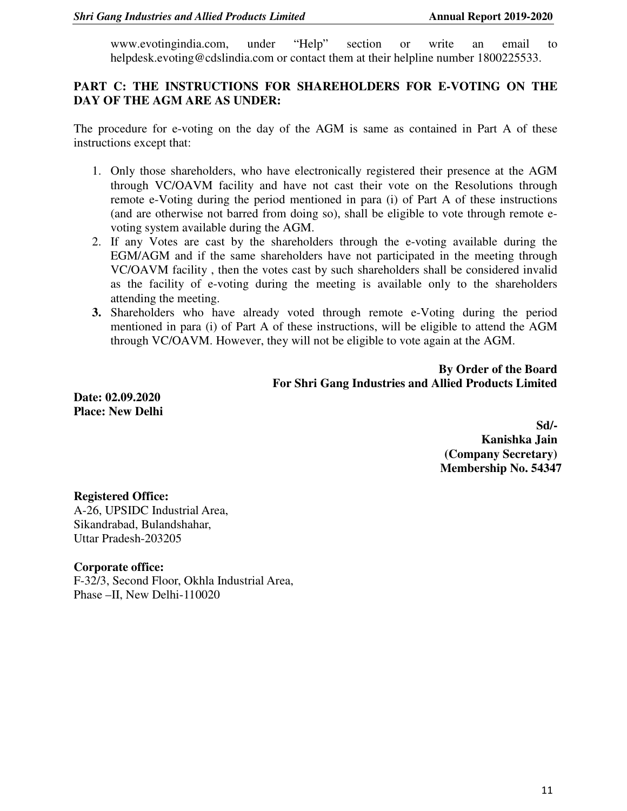www.evotingindia.com, under "Help" section or write an email to helpdesk.evoting@cdslindia.com or contact them at their helpline number 1800225533.

# **PART C: THE INSTRUCTIONS FOR SHAREHOLDERS FOR E-VOTING ON THE DAY OF THE AGM ARE AS UNDER:**

The procedure for e-voting on the day of the AGM is same as contained in Part A of these instructions except that:

- 1. Only those shareholders, who have electronically registered their presence at the AGM through VC/OAVM facility and have not cast their vote on the Resolutions through remote e-Voting during the period mentioned in para (i) of Part A of these instructions (and are otherwise not barred from doing so), shall be eligible to vote through remote evoting system available during the AGM.
- 2. If any Votes are cast by the shareholders through the e-voting available during the EGM/AGM and if the same shareholders have not participated in the meeting through VC/OAVM facility , then the votes cast by such shareholders shall be considered invalid as the facility of e-voting during the meeting is available only to the shareholders attending the meeting.
- **3.** Shareholders who have already voted through remote e-Voting during the period mentioned in para (i) of Part A of these instructions, will be eligible to attend the AGM through VC/OAVM. However, they will not be eligible to vote again at the AGM.

# **By Order of the Board For Shri Gang Industries and Allied Products Limited**

**Date: 02.09.2020 Place: New Delhi** 

> **Sd/- Kanishka Jain (Company Secretary) Membership No. 54347**

#### **Registered Office:**

A-26, UPSIDC Industrial Area, Sikandrabad, Bulandshahar, Uttar Pradesh-203205

#### **Corporate office:**

F-32/3, Second Floor, Okhla Industrial Area, Phase –II, New Delhi-110020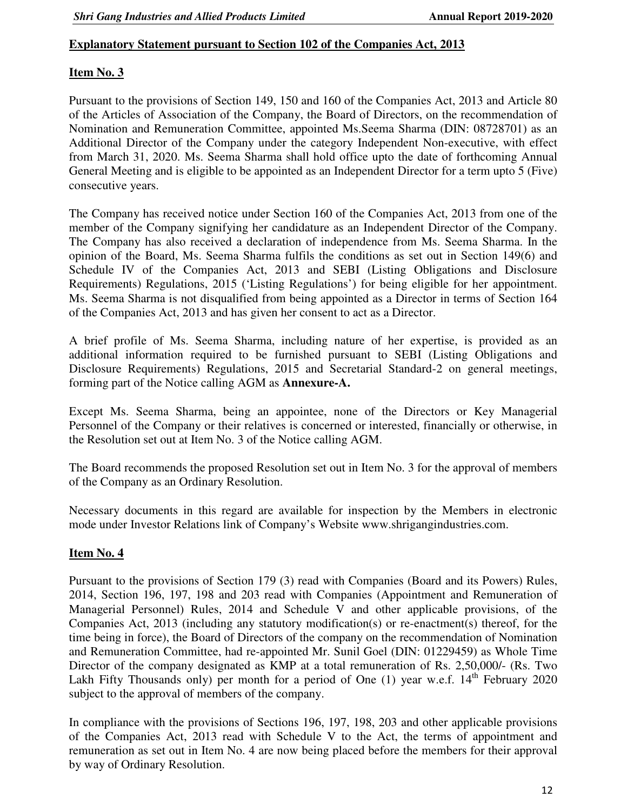# **Explanatory Statement pursuant to Section 102 of the Companies Act, 2013**

# **Item No. 3**

Pursuant to the provisions of Section 149, 150 and 160 of the Companies Act, 2013 and Article 80 of the Articles of Association of the Company, the Board of Directors, on the recommendation of Nomination and Remuneration Committee, appointed Ms.Seema Sharma (DIN: 08728701) as an Additional Director of the Company under the category Independent Non-executive, with effect from March 31, 2020. Ms. Seema Sharma shall hold office upto the date of forthcoming Annual General Meeting and is eligible to be appointed as an Independent Director for a term upto 5 (Five) consecutive years.

The Company has received notice under Section 160 of the Companies Act, 2013 from one of the member of the Company signifying her candidature as an Independent Director of the Company. The Company has also received a declaration of independence from Ms. Seema Sharma. In the opinion of the Board, Ms. Seema Sharma fulfils the conditions as set out in Section 149(6) and Schedule IV of the Companies Act, 2013 and SEBI (Listing Obligations and Disclosure Requirements) Regulations, 2015 ('Listing Regulations') for being eligible for her appointment. Ms. Seema Sharma is not disqualified from being appointed as a Director in terms of Section 164 of the Companies Act, 2013 and has given her consent to act as a Director.

A brief profile of Ms. Seema Sharma, including nature of her expertise, is provided as an additional information required to be furnished pursuant to SEBI (Listing Obligations and Disclosure Requirements) Regulations, 2015 and Secretarial Standard-2 on general meetings, forming part of the Notice calling AGM as **Annexure-A.**

Except Ms. Seema Sharma, being an appointee, none of the Directors or Key Managerial Personnel of the Company or their relatives is concerned or interested, financially or otherwise, in the Resolution set out at Item No. 3 of the Notice calling AGM.

The Board recommends the proposed Resolution set out in Item No. 3 for the approval of members of the Company as an Ordinary Resolution.

Necessary documents in this regard are available for inspection by the Members in electronic mode under Investor Relations link of Company's Website www.shrigangindustries.com.

# **Item No. 4**

Pursuant to the provisions of Section 179 (3) read with Companies (Board and its Powers) Rules, 2014, Section 196, 197, 198 and 203 read with Companies (Appointment and Remuneration of Managerial Personnel) Rules, 2014 and Schedule V and other applicable provisions, of the Companies Act, 2013 (including any statutory modification(s) or re-enactment(s) thereof, for the time being in force), the Board of Directors of the company on the recommendation of Nomination and Remuneration Committee, had re-appointed Mr. Sunil Goel (DIN: 01229459) as Whole Time Director of the company designated as KMP at a total remuneration of Rs. 2,50,000/- (Rs. Two Lakh Fifty Thousands only) per month for a period of One  $(1)$  year w.e.f.  $14<sup>th</sup>$  February 2020 subject to the approval of members of the company.

In compliance with the provisions of Sections 196, 197, 198, 203 and other applicable provisions of the Companies Act, 2013 read with Schedule V to the Act, the terms of appointment and remuneration as set out in Item No. 4 are now being placed before the members for their approval by way of Ordinary Resolution.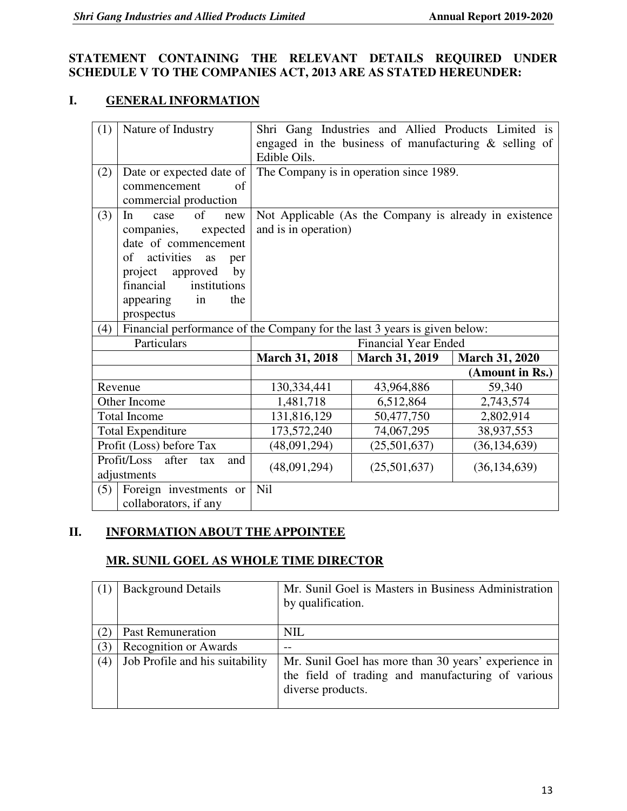# **STATEMENT CONTAINING THE RELEVANT DETAILS REQUIRED UNDER SCHEDULE V TO THE COMPANIES ACT, 2013 ARE AS STATED HEREUNDER:**

# **I. GENERAL INFORMATION**

| (1)         | Nature of Industry                                                        | Edible Oils.          |                                         | Shri Gang Industries and Allied Products Limited is<br>engaged in the business of manufacturing $\&$ selling of |
|-------------|---------------------------------------------------------------------------|-----------------------|-----------------------------------------|-----------------------------------------------------------------------------------------------------------------|
|             |                                                                           |                       |                                         |                                                                                                                 |
| (2)         | Date or expected date of                                                  |                       | The Company is in operation since 1989. |                                                                                                                 |
|             | of<br>commencement                                                        |                       |                                         |                                                                                                                 |
|             | commercial production                                                     |                       |                                         |                                                                                                                 |
| (3)         | of<br>In<br>case<br>new                                                   |                       |                                         | Not Applicable (As the Company is already in existence                                                          |
|             | companies,<br>expected                                                    | and is in operation)  |                                         |                                                                                                                 |
|             | date of commencement                                                      |                       |                                         |                                                                                                                 |
|             | activities<br>of<br>as<br>per                                             |                       |                                         |                                                                                                                 |
|             | approved by<br>project                                                    |                       |                                         |                                                                                                                 |
|             | financial<br>institutions                                                 |                       |                                         |                                                                                                                 |
|             | appearing<br>the<br>in                                                    |                       |                                         |                                                                                                                 |
|             | prospectus                                                                |                       |                                         |                                                                                                                 |
| (4)         | Financial performance of the Company for the last 3 years is given below: |                       |                                         |                                                                                                                 |
| Particulars |                                                                           |                       | <b>Financial Year Ended</b>             |                                                                                                                 |
|             |                                                                           |                       |                                         |                                                                                                                 |
|             |                                                                           | <b>March 31, 2018</b> | <b>March 31, 2019</b>                   | <b>March 31, 2020</b>                                                                                           |
|             |                                                                           |                       |                                         | (Amount in Rs.)                                                                                                 |
|             | Revenue                                                                   | 130,334,441           | 43,964,886                              | 59,340                                                                                                          |
|             | Other Income                                                              | 1,481,718             | 6,512,864                               | 2,743,574                                                                                                       |
|             | <b>Total Income</b>                                                       | 131,816,129           | 50,477,750                              | 2,802,914                                                                                                       |
|             | <b>Total Expenditure</b>                                                  | 173,572,240           | 74,067,295                              | 38,937,553                                                                                                      |
|             | Profit (Loss) before Tax                                                  | (48,091,294)          | (25,501,637)                            | (36, 134, 639)                                                                                                  |
|             | Profit/Loss<br>after<br>and<br>tax<br>adjustments                         | (48,091,294)          | (25,501,637)                            | (36, 134, 639)                                                                                                  |
| (5)         | Foreign investments or                                                    | Nil                   |                                         |                                                                                                                 |
|             | collaborators, if any                                                     |                       |                                         |                                                                                                                 |

# **II. INFORMATION ABOUT THE APPOINTEE**

# **MR. SUNIL GOEL AS WHOLE TIME DIRECTOR**

|     | <b>Background Details</b>       | Mr. Sunil Goel is Masters in Business Administration<br>by qualification.                                                      |
|-----|---------------------------------|--------------------------------------------------------------------------------------------------------------------------------|
|     |                                 |                                                                                                                                |
| (2) | <b>Past Remuneration</b>        | <b>NIL</b>                                                                                                                     |
| (3) | Recognition or Awards           |                                                                                                                                |
| (4) | Job Profile and his suitability | Mr. Sunil Goel has more than 30 years' experience in<br>the field of trading and manufacturing of various<br>diverse products. |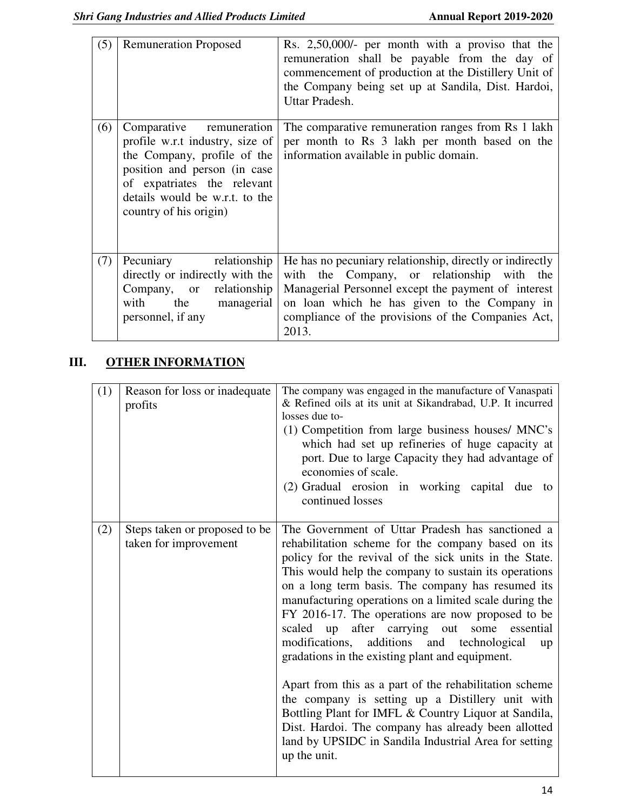| (5) | <b>Remuneration Proposed</b>                                                                                                                                                                                          | Rs. $2,50,000/$ - per month with a proviso that the<br>remuneration shall be payable from the day of<br>commencement of production at the Distillery Unit of<br>the Company being set up at Sandila, Dist. Hardoi,<br>Uttar Pradesh.                                         |
|-----|-----------------------------------------------------------------------------------------------------------------------------------------------------------------------------------------------------------------------|------------------------------------------------------------------------------------------------------------------------------------------------------------------------------------------------------------------------------------------------------------------------------|
| (6) | Comparative remuneration<br>profile w.r.t industry, size of<br>the Company, profile of the<br>position and person (in case<br>of expatriates the relevant<br>details would be w.r.t. to the<br>country of his origin) | The comparative remuneration ranges from Rs 1 lakh<br>per month to Rs 3 lakh per month based on the<br>information available in public domain.                                                                                                                               |
| (7) | Pecuniary relationship<br>directly or indirectly with the<br>Company, or relationship<br>with<br>the managerial<br>personnel, if any                                                                                  | He has no pecuniary relationship, directly or indirectly<br>with the Company, or relationship with the<br>Managerial Personnel except the payment of interest<br>on loan which he has given to the Company in<br>compliance of the provisions of the Companies Act,<br>2013. |

# **III. OTHER INFORMATION**

| (1) | Reason for loss or inadequate<br>profits               | The company was engaged in the manufacture of Vanaspati<br>& Refined oils at its unit at Sikandrabad, U.P. It incurred<br>losses due to-<br>(1) Competition from large business houses/ MNC's<br>which had set up refineries of huge capacity at<br>port. Due to large Capacity they had advantage of<br>economies of scale.<br>(2) Gradual erosion in working capital due to<br>continued losses                                                                                                                                                                                                                                                                                                                                                                                                                                                                  |
|-----|--------------------------------------------------------|--------------------------------------------------------------------------------------------------------------------------------------------------------------------------------------------------------------------------------------------------------------------------------------------------------------------------------------------------------------------------------------------------------------------------------------------------------------------------------------------------------------------------------------------------------------------------------------------------------------------------------------------------------------------------------------------------------------------------------------------------------------------------------------------------------------------------------------------------------------------|
| (2) | Steps taken or proposed to be<br>taken for improvement | The Government of Uttar Pradesh has sanctioned a<br>rehabilitation scheme for the company based on its<br>policy for the revival of the sick units in the State.<br>This would help the company to sustain its operations<br>on a long term basis. The company has resumed its<br>manufacturing operations on a limited scale during the<br>FY 2016-17. The operations are now proposed to be<br>after carrying out<br>some<br>scaled up<br>essential<br>modifications, additions and technological<br>up<br>gradations in the existing plant and equipment.<br>Apart from this as a part of the rehabilitation scheme<br>the company is setting up a Distillery unit with<br>Bottling Plant for IMFL & Country Liquor at Sandila,<br>Dist. Hardoi. The company has already been allotted<br>land by UPSIDC in Sandila Industrial Area for setting<br>up the unit. |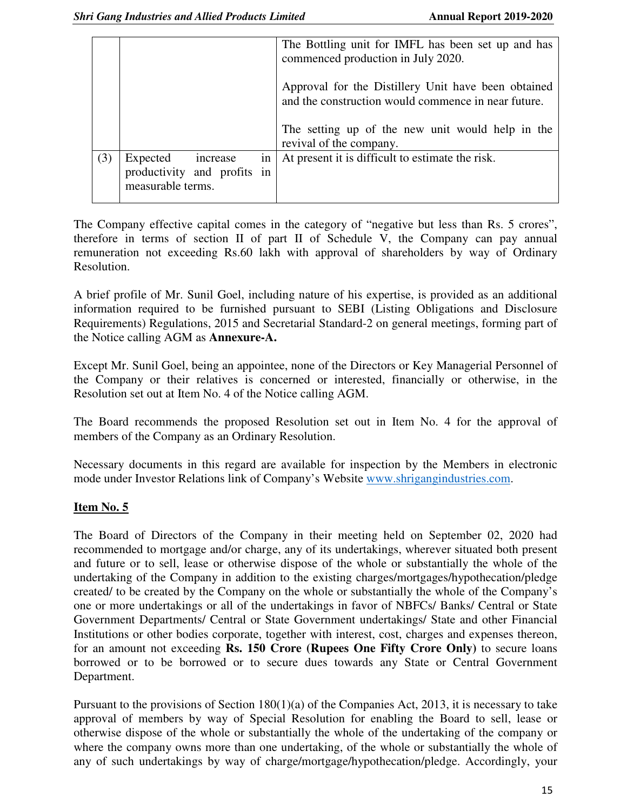|     |                                                                       |          | The Bottling unit for IMFL has been set up and has<br>commenced production in July 2020.                   |
|-----|-----------------------------------------------------------------------|----------|------------------------------------------------------------------------------------------------------------|
|     |                                                                       |          | Approval for the Distillery Unit have been obtained<br>and the construction would commence in near future. |
|     |                                                                       |          | The setting up of the new unit would help in the<br>revival of the company.                                |
| (3) | Expected<br>increase<br>productivity and profits<br>measurable terms. | in<br>in | At present it is difficult to estimate the risk.                                                           |

The Company effective capital comes in the category of "negative but less than Rs. 5 crores", therefore in terms of section II of part II of Schedule V, the Company can pay annual remuneration not exceeding Rs.60 lakh with approval of shareholders by way of Ordinary Resolution.

A brief profile of Mr. Sunil Goel, including nature of his expertise, is provided as an additional information required to be furnished pursuant to SEBI (Listing Obligations and Disclosure Requirements) Regulations, 2015 and Secretarial Standard-2 on general meetings, forming part of the Notice calling AGM as **Annexure-A.**

Except Mr. Sunil Goel, being an appointee, none of the Directors or Key Managerial Personnel of the Company or their relatives is concerned or interested, financially or otherwise, in the Resolution set out at Item No. 4 of the Notice calling AGM.

The Board recommends the proposed Resolution set out in Item No. 4 for the approval of members of the Company as an Ordinary Resolution.

Necessary documents in this regard are available for inspection by the Members in electronic mode under Investor Relations link of Company's Website www.shrigangindustries.com.

# **Item No. 5**

The Board of Directors of the Company in their meeting held on September 02, 2020 had recommended to mortgage and/or charge, any of its undertakings, wherever situated both present and future or to sell, lease or otherwise dispose of the whole or substantially the whole of the undertaking of the Company in addition to the existing charges/mortgages/hypothecation/pledge created/ to be created by the Company on the whole or substantially the whole of the Company's one or more undertakings or all of the undertakings in favor of NBFCs/ Banks/ Central or State Government Departments/ Central or State Government undertakings/ State and other Financial Institutions or other bodies corporate, together with interest, cost, charges and expenses thereon, for an amount not exceeding **Rs. 150 Crore (Rupees One Fifty Crore Only)** to secure loans borrowed or to be borrowed or to secure dues towards any State or Central Government Department.

Pursuant to the provisions of Section 180(1)(a) of the Companies Act, 2013, it is necessary to take approval of members by way of Special Resolution for enabling the Board to sell, lease or otherwise dispose of the whole or substantially the whole of the undertaking of the company or where the company owns more than one undertaking, of the whole or substantially the whole of any of such undertakings by way of charge/mortgage/hypothecation/pledge. Accordingly, your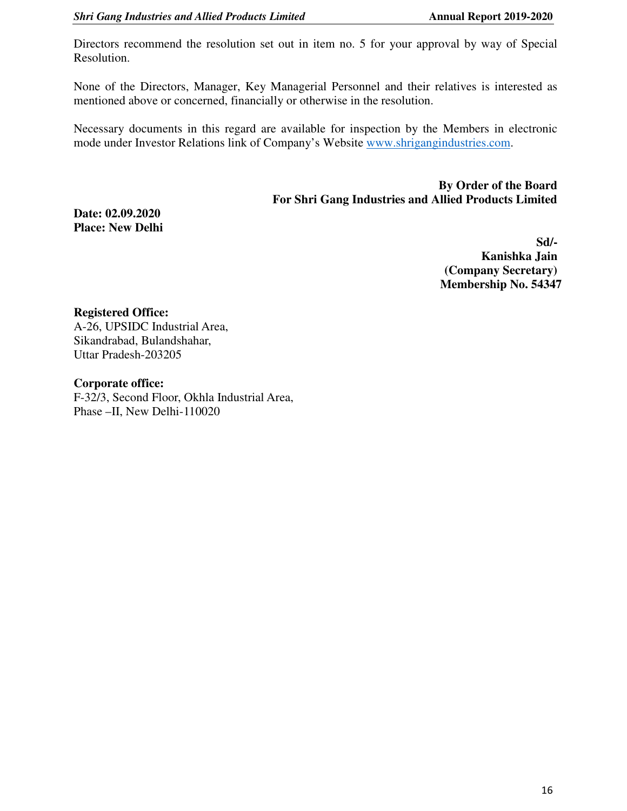Directors recommend the resolution set out in item no. 5 for your approval by way of Special Resolution.

None of the Directors, Manager, Key Managerial Personnel and their relatives is interested as mentioned above or concerned, financially or otherwise in the resolution.

Necessary documents in this regard are available for inspection by the Members in electronic mode under Investor Relations link of Company's Website www.shrigangindustries.com.

> **By Order of the Board For Shri Gang Industries and Allied Products Limited**

**Date: 02.09.2020 Place: New Delhi** 

> **Sd/- Kanishka Jain (Company Secretary) Membership No. 54347**

#### **Registered Office:**

A-26, UPSIDC Industrial Area, Sikandrabad, Bulandshahar, Uttar Pradesh-203205

#### **Corporate office:**

F-32/3, Second Floor, Okhla Industrial Area, Phase –II, New Delhi-110020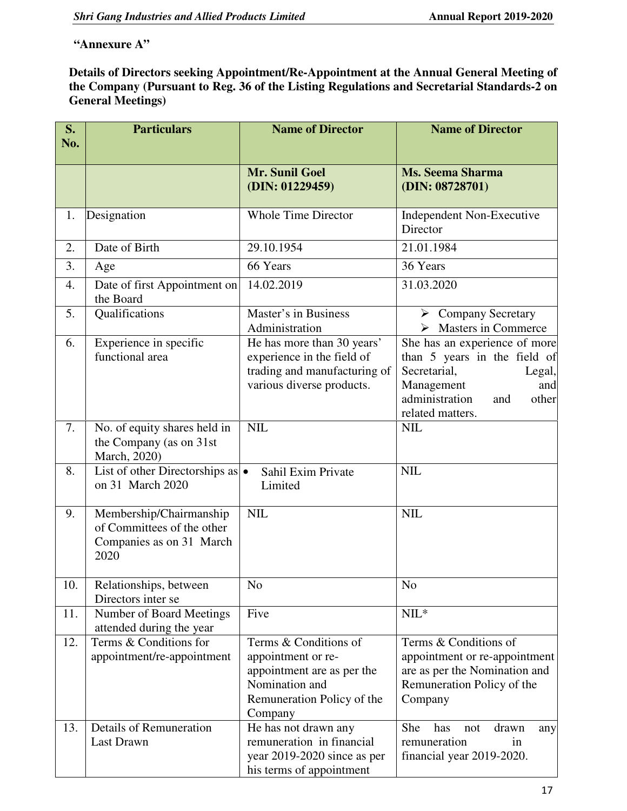# **"Annexure A"**

**Details of Directors seeking Appointment/Re-Appointment at the Annual General Meeting of the Company (Pursuant to Reg. 36 of the Listing Regulations and Secretarial Standards-2 on General Meetings)** 

| S.<br>No. | <b>Particulars</b>                                                                        | <b>Name of Director</b>                                                                                                              | <b>Name of Director</b>                                                                                                                                            |
|-----------|-------------------------------------------------------------------------------------------|--------------------------------------------------------------------------------------------------------------------------------------|--------------------------------------------------------------------------------------------------------------------------------------------------------------------|
|           |                                                                                           | Mr. Sunil Goel<br>(DIN: 01229459)                                                                                                    | <b>Ms. Seema Sharma</b><br>(DIN: 08728701)                                                                                                                         |
| 1.        | Designation                                                                               | <b>Whole Time Director</b>                                                                                                           | Independent Non-Executive<br>Director                                                                                                                              |
| 2.        | Date of Birth                                                                             | 29.10.1954                                                                                                                           | 21.01.1984                                                                                                                                                         |
| 3.        | Age                                                                                       | 66 Years                                                                                                                             | 36 Years                                                                                                                                                           |
| 4.        | Date of first Appointment on<br>the Board                                                 | 14.02.2019                                                                                                                           | 31.03.2020                                                                                                                                                         |
| 5.        | Qualifications                                                                            | Master's in Business<br>Administration                                                                                               | $\triangleright$ Company Secretary<br><b>Masters in Commerce</b><br>➤                                                                                              |
| 6.        | Experience in specific<br>functional area                                                 | He has more than 30 years'<br>experience in the field of<br>trading and manufacturing of<br>various diverse products.                | She has an experience of more<br>than 5 years in the field of<br>Secretarial,<br>Legal,<br>Management<br>and<br>administration<br>other<br>and<br>related matters. |
| 7.        | No. of equity shares held in<br>the Company (as on 31st<br>March, 2020)                   | <b>NIL</b>                                                                                                                           | <b>NIL</b>                                                                                                                                                         |
| 8.        | List of other Directorships as $\bullet$<br>on 31 March 2020                              | Sahil Exim Private<br>Limited                                                                                                        | <b>NIL</b>                                                                                                                                                         |
| 9.        | Membership/Chairmanship<br>of Committees of the other<br>Companies as on 31 March<br>2020 | <b>NIL</b>                                                                                                                           | <b>NIL</b>                                                                                                                                                         |
| 10.       | Relationships, between<br>Directors inter se                                              | N <sub>o</sub>                                                                                                                       | N <sub>o</sub>                                                                                                                                                     |
| 11.       | Number of Board Meetings<br>attended during the year                                      | Five                                                                                                                                 | $\text{NIL}^*$                                                                                                                                                     |
| 12.       | Terms & Conditions for<br>appointment/re-appointment                                      | Terms & Conditions of<br>appointment or re-<br>appointment are as per the<br>Nomination and<br>Remuneration Policy of the<br>Company | Terms & Conditions of<br>appointment or re-appointment<br>are as per the Nomination and<br>Remuneration Policy of the<br>Company                                   |
| 13.       | Details of Remuneration<br>Last Drawn                                                     | He has not drawn any<br>remuneration in financial<br>year 2019-2020 since as per<br>his terms of appointment                         | She<br>has<br>drawn<br>not<br>any<br>remuneration<br>in<br>financial year 2019-2020.                                                                               |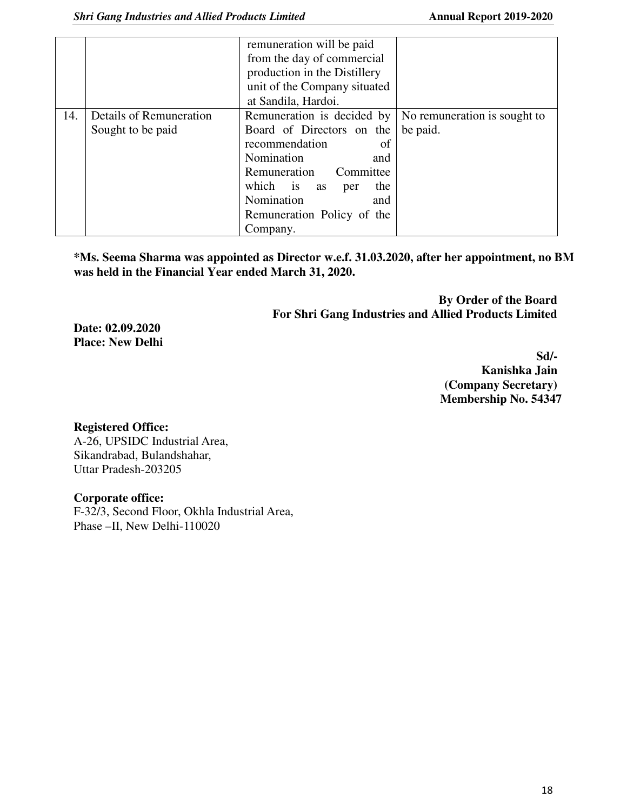|     |                                              | remuneration will be paid<br>from the day of commercial<br>production in the Distillery<br>unit of the Company situated<br>at Sandila, Hardoi.                                                                                                                     |          |
|-----|----------------------------------------------|--------------------------------------------------------------------------------------------------------------------------------------------------------------------------------------------------------------------------------------------------------------------|----------|
| 14. | Details of Remuneration<br>Sought to be paid | Remuneration is decided by $\vert$ No remuneration is sought to<br>Board of Directors on the<br>recommendation<br>of<br>Nomination<br>and<br>Remuneration<br>Committee<br>which is as<br>the<br>per<br>Nomination<br>and<br>Remuneration Policy of the<br>Company. | be paid. |

**\*Ms. Seema Sharma was appointed as Director w.e.f. 31.03.2020, after her appointment, no BM was held in the Financial Year ended March 31, 2020.** 

> **By Order of the Board For Shri Gang Industries and Allied Products Limited**

**Date: 02.09.2020 Place: New Delhi** 

> **Sd/- Kanishka Jain (Company Secretary) Membership No. 54347**

#### **Registered Office:**

A-26, UPSIDC Industrial Area, Sikandrabad, Bulandshahar, Uttar Pradesh-203205

#### **Corporate office:**

F-32/3, Second Floor, Okhla Industrial Area, Phase –II, New Delhi-110020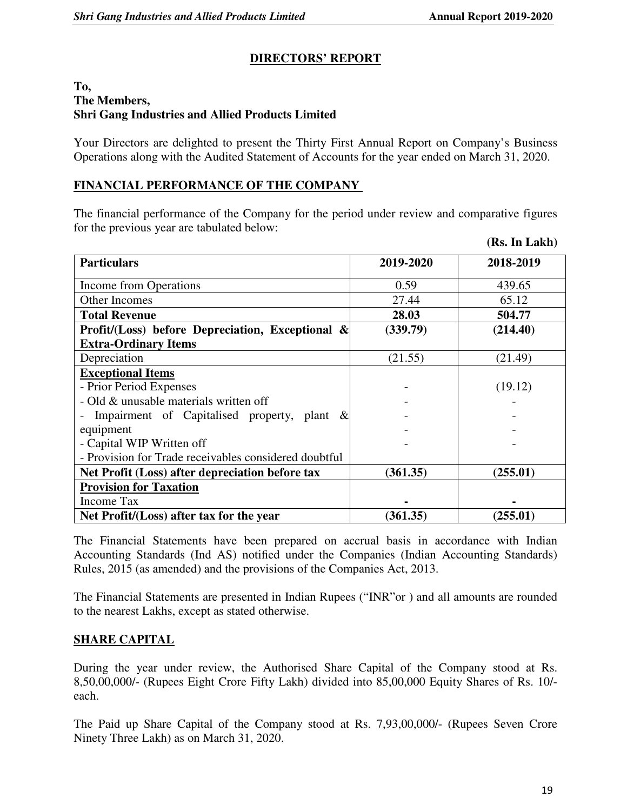**(Rs. In Lakh)** 

# **DIRECTORS' REPORT**

#### **To, The Members, Shri Gang Industries and Allied Products Limited**

Your Directors are delighted to present the Thirty First Annual Report on Company's Business Operations along with the Audited Statement of Accounts for the year ended on March 31, 2020.

# **FINANCIAL PERFORMANCE OF THE COMPANY**

The financial performance of the Company for the period under review and comparative figures for the previous year are tabulated below:

|                                                       |           | $\lambda$ |
|-------------------------------------------------------|-----------|-----------|
| <b>Particulars</b>                                    | 2019-2020 | 2018-2019 |
| Income from Operations                                | 0.59      | 439.65    |
| <b>Other Incomes</b>                                  | 27.44     | 65.12     |
| <b>Total Revenue</b>                                  | 28.03     | 504.77    |
| Profit/(Loss) before Depreciation, Exceptional $\&$   | (339.79)  | (214.40)  |
| <b>Extra-Ordinary Items</b>                           |           |           |
| Depreciation                                          | (21.55)   | (21.49)   |
| <b>Exceptional Items</b>                              |           |           |
| - Prior Period Expenses                               |           | (19.12)   |
| - Old & unusable materials written off                |           |           |
| Impairment of Capitalised property, plant $\&$        |           |           |
| equipment                                             |           |           |
| - Capital WIP Written off                             |           |           |
| - Provision for Trade receivables considered doubtful |           |           |
| Net Profit (Loss) after depreciation before tax       | (361.35)  | (255.01)  |
| <b>Provision for Taxation</b>                         |           |           |
| Income Tax                                            |           |           |
| Net Profit/(Loss) after tax for the year              | (361.35)  | (255.01)  |

The Financial Statements have been prepared on accrual basis in accordance with Indian Accounting Standards (Ind AS) notified under the Companies (Indian Accounting Standards) Rules, 2015 (as amended) and the provisions of the Companies Act, 2013.

The Financial Statements are presented in Indian Rupees ("INR"or ) and all amounts are rounded to the nearest Lakhs, except as stated otherwise.

# **SHARE CAPITAL**

During the year under review, the Authorised Share Capital of the Company stood at Rs. 8,50,00,000/- (Rupees Eight Crore Fifty Lakh) divided into 85,00,000 Equity Shares of Rs. 10/ each.

The Paid up Share Capital of the Company stood at Rs. 7,93,00,000/- (Rupees Seven Crore Ninety Three Lakh) as on March 31, 2020.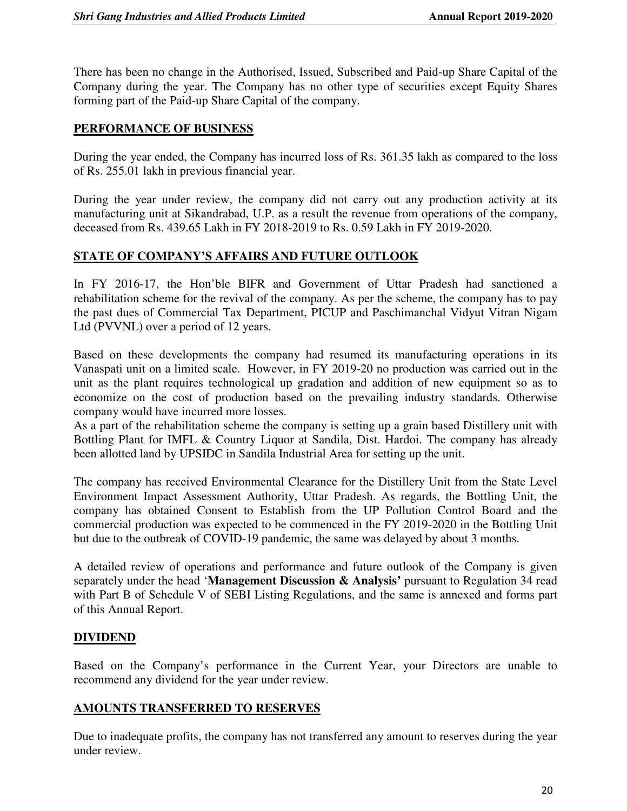There has been no change in the Authorised, Issued, Subscribed and Paid-up Share Capital of the Company during the year. The Company has no other type of securities except Equity Shares forming part of the Paid-up Share Capital of the company.

# **PERFORMANCE OF BUSINESS**

During the year ended, the Company has incurred loss of Rs. 361.35 lakh as compared to the loss of Rs. 255.01 lakh in previous financial year.

During the year under review, the company did not carry out any production activity at its manufacturing unit at Sikandrabad, U.P. as a result the revenue from operations of the company, deceased from Rs. 439.65 Lakh in FY 2018-2019 to Rs. 0.59 Lakh in FY 2019-2020.

# **STATE OF COMPANY'S AFFAIRS AND FUTURE OUTLOOK**

In FY 2016-17, the Hon'ble BIFR and Government of Uttar Pradesh had sanctioned a rehabilitation scheme for the revival of the company. As per the scheme, the company has to pay the past dues of Commercial Tax Department, PICUP and Paschimanchal Vidyut Vitran Nigam Ltd (PVVNL) over a period of 12 years.

Based on these developments the company had resumed its manufacturing operations in its Vanaspati unit on a limited scale. However, in FY 2019-20 no production was carried out in the unit as the plant requires technological up gradation and addition of new equipment so as to economize on the cost of production based on the prevailing industry standards. Otherwise company would have incurred more losses.

As a part of the rehabilitation scheme the company is setting up a grain based Distillery unit with Bottling Plant for IMFL & Country Liquor at Sandila, Dist. Hardoi. The company has already been allotted land by UPSIDC in Sandila Industrial Area for setting up the unit.

The company has received Environmental Clearance for the Distillery Unit from the State Level Environment Impact Assessment Authority, Uttar Pradesh. As regards, the Bottling Unit, the company has obtained Consent to Establish from the UP Pollution Control Board and the commercial production was expected to be commenced in the FY 2019-2020 in the Bottling Unit but due to the outbreak of COVID-19 pandemic, the same was delayed by about 3 months.

A detailed review of operations and performance and future outlook of the Company is given separately under the head '**Management Discussion & Analysis'** pursuant to Regulation 34 read with Part B of Schedule V of SEBI Listing Regulations, and the same is annexed and forms part of this Annual Report.

# **DIVIDEND**

Based on the Company's performance in the Current Year, your Directors are unable to recommend any dividend for the year under review.

#### **AMOUNTS TRANSFERRED TO RESERVES**

Due to inadequate profits, the company has not transferred any amount to reserves during the year under review.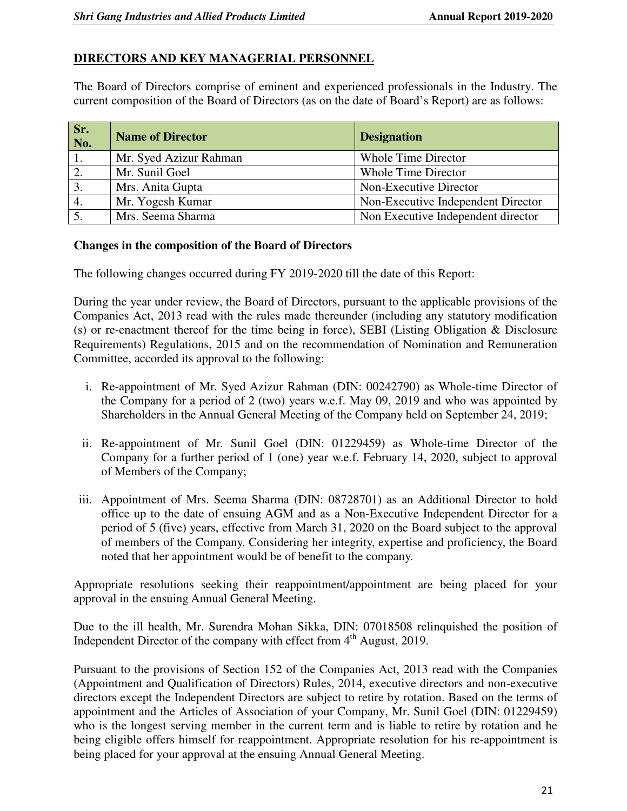# **DIRECTORS AND KEY MANAGERIAL PERSONNEL**

The Board of Directors comprise of eminent and experienced professionals in the Industry. The current composition of the Board of Directors (as on the date of Board's Report) are as follows:

| Sr.<br>No. | <b>Name of Director</b> | <b>Designation</b>                 |
|------------|-------------------------|------------------------------------|
|            | Mr. Syed Azizur Rahman  | Whole Time Director                |
| 2.         | Mr. Sunil Goel          | <b>Whole Time Director</b>         |
| 3.         | Mrs. Anita Gupta        | Non-Executive Director             |
| 4.         | Mr. Yogesh Kumar        | Non-Executive Independent Director |
| 5.         | Mrs. Seema Sharma       | Non Executive Independent director |

# **Changes in the composition of the Board of Directors**

The following changes occurred during FY 2019-2020 till the date of this Report:

During the year under review, the Board of Directors, pursuant to the applicable provisions of the Companies Act, 2013 read with the rules made thereunder (including any statutory modification (s) or re-enactment thereof for the time being in force), SEBI (Listing Obligation & Disclosure Requirements) Regulations, 2015 and on the recommendation of Nomination and Remuneration Committee, accorded its approval to the following:

- i. Re-appointment of Mr. Syed Azizur Rahman (DIN: 00242790) as Whole-time Director of the Company for a period of 2 (two) years w.e.f. May 09, 2019 and who was appointed by Shareholders in the Annual General Meeting of the Company held on September 24, 2019;
- ii. Re-appointment of Mr. Sunil Goel (DIN: 01229459) as Whole-time Director of the Company for a further period of 1 (one) year w.e.f. February 14, 2020, subject to approval of Members of the Company;
- iii. Appointment of Mrs. Seema Sharma (DIN: 08728701) as an Additional Director to hold office up to the date of ensuing AGM and as a Non-Executive Independent Director for a period of 5 (five) years, effective from March 31, 2020 on the Board subject to the approval of members of the Company. Considering her integrity, expertise and proficiency, the Board noted that her appointment would be of benefit to the company.

Appropriate resolutions seeking their reappointment/appointment are being placed for your approval in the ensuing Annual General Meeting.

Due to the ill health, Mr. Surendra Mohan Sikka, DIN: 07018508 relinquished the position of Independent Director of the company with effect from  $4<sup>th</sup>$  August, 2019.

Pursuant to the provisions of Section 152 of the Companies Act, 2013 read with the Companies (Appointment and Qualification of Directors) Rules, 2014, executive directors and non-executive directors except the Independent Directors are subject to retire by rotation. Based on the terms of appointment and the Articles of Association of your Company, Mr. Sunil Goel (DIN: 01229459) who is the longest serving member in the current term and is liable to retire by rotation and he being eligible offers himself for reappointment. Appropriate resolution for his re-appointment is being placed for your approval at the ensuing Annual General Meeting.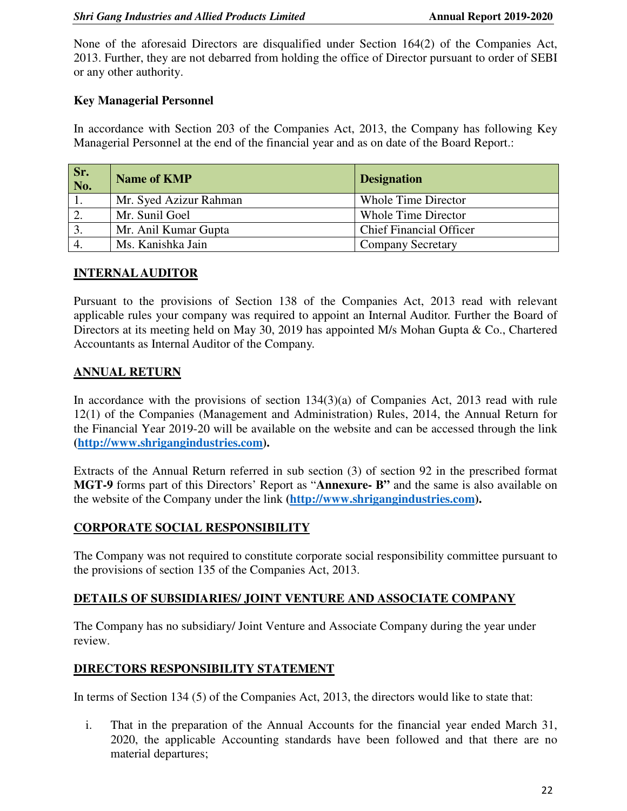None of the aforesaid Directors are disqualified under Section 164(2) of the Companies Act, 2013. Further, they are not debarred from holding the office of Director pursuant to order of SEBI or any other authority.

# **Key Managerial Personnel**

In accordance with Section 203 of the Companies Act, 2013, the Company has following Key Managerial Personnel at the end of the financial year and as on date of the Board Report.:

| Sr.<br>No. | <b>Name of KMP</b>     | <b>Designation</b>             |
|------------|------------------------|--------------------------------|
|            | Mr. Syed Azizur Rahman | Whole Time Director            |
|            | Mr. Sunil Goel         | Whole Time Director            |
|            | Mr. Anil Kumar Gupta   | <b>Chief Financial Officer</b> |
|            | Ms. Kanishka Jain      | <b>Company Secretary</b>       |

# **INTERNAL AUDITOR**

Pursuant to the provisions of Section 138 of the Companies Act, 2013 read with relevant applicable rules your company was required to appoint an Internal Auditor. Further the Board of Directors at its meeting held on May 30, 2019 has appointed M/s Mohan Gupta & Co., Chartered Accountants as Internal Auditor of the Company.

# **ANNUAL RETURN**

In accordance with the provisions of section 134(3)(a) of Companies Act, 2013 read with rule 12(1) of the Companies (Management and Administration) Rules, 2014, the Annual Return for the Financial Year 2019-20 will be available on the website and can be accessed through the link **(http://www.shrigangindustries.com).** 

Extracts of the Annual Return referred in sub section (3) of section 92 in the prescribed format **MGT-9** forms part of this Directors' Report as "**Annexure- B"** and the same is also available on the website of the Company under the link **(http://www.shrigangindustries.com).** 

# **CORPORATE SOCIAL RESPONSIBILITY**

The Company was not required to constitute corporate social responsibility committee pursuant to the provisions of section 135 of the Companies Act, 2013.

# **DETAILS OF SUBSIDIARIES/ JOINT VENTURE AND ASSOCIATE COMPANY**

The Company has no subsidiary/ Joint Venture and Associate Company during the year under review.

#### **DIRECTORS RESPONSIBILITY STATEMENT**

In terms of Section 134 (5) of the Companies Act, 2013, the directors would like to state that:

i. That in the preparation of the Annual Accounts for the financial year ended March 31, 2020, the applicable Accounting standards have been followed and that there are no material departures;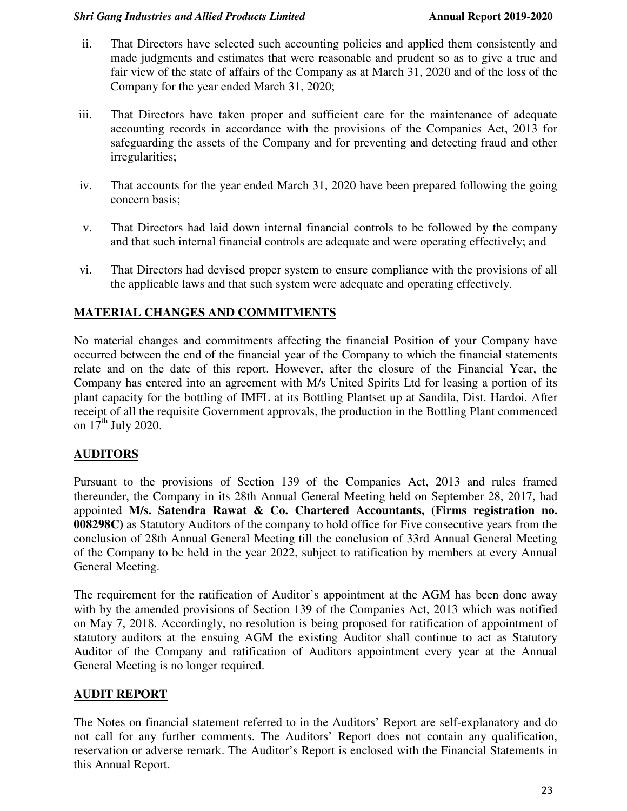- ii. That Directors have selected such accounting policies and applied them consistently and made judgments and estimates that were reasonable and prudent so as to give a true and fair view of the state of affairs of the Company as at March 31, 2020 and of the loss of the Company for the year ended March 31, 2020;
- iii. That Directors have taken proper and sufficient care for the maintenance of adequate accounting records in accordance with the provisions of the Companies Act, 2013 for safeguarding the assets of the Company and for preventing and detecting fraud and other irregularities;
- iv. That accounts for the year ended March 31, 2020 have been prepared following the going concern basis;
- v. That Directors had laid down internal financial controls to be followed by the company and that such internal financial controls are adequate and were operating effectively; and
- vi. That Directors had devised proper system to ensure compliance with the provisions of all the applicable laws and that such system were adequate and operating effectively.

# **MATERIAL CHANGES AND COMMITMENTS**

No material changes and commitments affecting the financial Position of your Company have occurred between the end of the financial year of the Company to which the financial statements relate and on the date of this report. However, after the closure of the Financial Year, the Company has entered into an agreement with M/s United Spirits Ltd for leasing a portion of its plant capacity for the bottling of IMFL at its Bottling Plantset up at Sandila, Dist. Hardoi. After receipt of all the requisite Government approvals, the production in the Bottling Plant commenced on  $17^{\text{th}}$  July 2020.

# **AUDITORS**

Pursuant to the provisions of Section 139 of the Companies Act, 2013 and rules framed thereunder, the Company in its 28th Annual General Meeting held on September 28, 2017, had appointed **M/s. Satendra Rawat & Co. Chartered Accountants, (Firms registration no. 008298C)** as Statutory Auditors of the company to hold office for Five consecutive years from the conclusion of 28th Annual General Meeting till the conclusion of 33rd Annual General Meeting of the Company to be held in the year 2022, subject to ratification by members at every Annual General Meeting.

The requirement for the ratification of Auditor's appointment at the AGM has been done away with by the amended provisions of Section 139 of the Companies Act, 2013 which was notified on May 7, 2018. Accordingly, no resolution is being proposed for ratification of appointment of statutory auditors at the ensuing AGM the existing Auditor shall continue to act as Statutory Auditor of the Company and ratification of Auditors appointment every year at the Annual General Meeting is no longer required.

# **AUDIT REPORT**

The Notes on financial statement referred to in the Auditors' Report are self-explanatory and do not call for any further comments. The Auditors' Report does not contain any qualification, reservation or adverse remark. The Auditor's Report is enclosed with the Financial Statements in this Annual Report.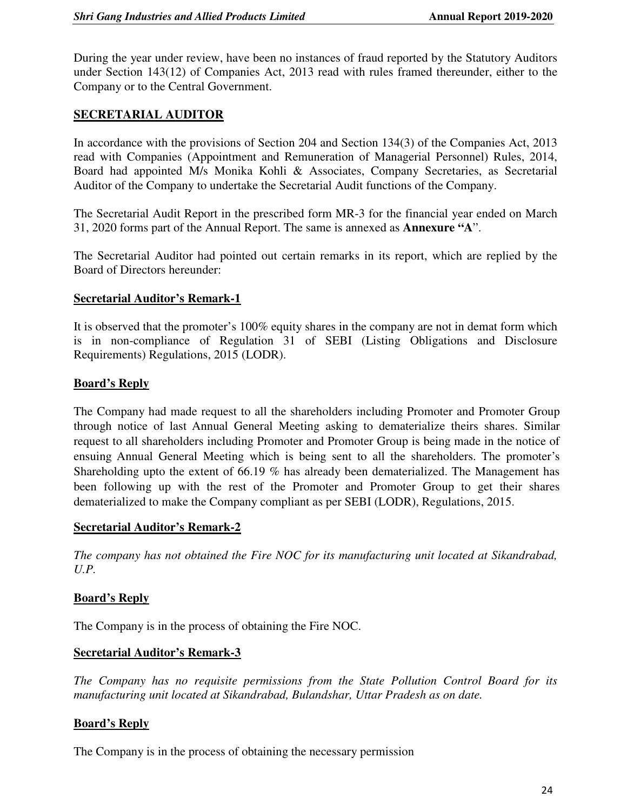During the year under review, have been no instances of fraud reported by the Statutory Auditors under Section 143(12) of Companies Act, 2013 read with rules framed thereunder, either to the Company or to the Central Government.

# **SECRETARIAL AUDITOR**

In accordance with the provisions of Section 204 and Section 134(3) of the Companies Act, 2013 read with Companies (Appointment and Remuneration of Managerial Personnel) Rules, 2014, Board had appointed M/s Monika Kohli & Associates, Company Secretaries, as Secretarial Auditor of the Company to undertake the Secretarial Audit functions of the Company.

The Secretarial Audit Report in the prescribed form MR-3 for the financial year ended on March 31, 2020 forms part of the Annual Report. The same is annexed as **Annexure "A**".

The Secretarial Auditor had pointed out certain remarks in its report, which are replied by the Board of Directors hereunder:

# **Secretarial Auditor's Remark-1**

It is observed that the promoter's 100% equity shares in the company are not in demat form which is in non-compliance of Regulation 31 of SEBI (Listing Obligations and Disclosure Requirements) Regulations, 2015 (LODR).

# **Board's Reply**

The Company had made request to all the shareholders including Promoter and Promoter Group through notice of last Annual General Meeting asking to dematerialize theirs shares. Similar request to all shareholders including Promoter and Promoter Group is being made in the notice of ensuing Annual General Meeting which is being sent to all the shareholders. The promoter's Shareholding upto the extent of 66.19 % has already been dematerialized. The Management has been following up with the rest of the Promoter and Promoter Group to get their shares dematerialized to make the Company compliant as per SEBI (LODR), Regulations, 2015.

#### **Secretarial Auditor's Remark-2**

*The company has not obtained the Fire NOC for its manufacturing unit located at Sikandrabad, U.P.* 

#### **Board's Reply**

The Company is in the process of obtaining the Fire NOC.

#### **Secretarial Auditor's Remark-3**

*The Company has no requisite permissions from the State Pollution Control Board for its manufacturing unit located at Sikandrabad, Bulandshar, Uttar Pradesh as on date.* 

#### **Board's Reply**

The Company is in the process of obtaining the necessary permission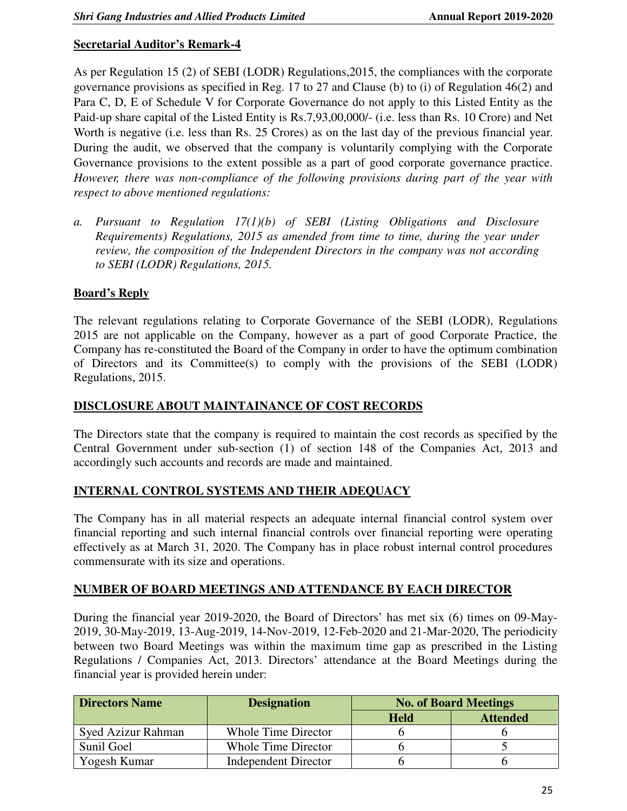# **Secretarial Auditor's Remark-4**

As per Regulation 15 (2) of SEBI (LODR) Regulations,2015, the compliances with the corporate governance provisions as specified in Reg. 17 to 27 and Clause (b) to (i) of Regulation 46(2) and Para C, D, E of Schedule V for Corporate Governance do not apply to this Listed Entity as the Paid-up share capital of the Listed Entity is Rs.7,93,00,000/- (i.e. less than Rs. 10 Crore) and Net Worth is negative (i.e. less than Rs. 25 Crores) as on the last day of the previous financial year. During the audit, we observed that the company is voluntarily complying with the Corporate Governance provisions to the extent possible as a part of good corporate governance practice. *However, there was non-compliance of the following provisions during part of the year with respect to above mentioned regulations:* 

*a. Pursuant to Regulation 17(1)(b) of SEBI (Listing Obligations and Disclosure Requirements) Regulations, 2015 as amended from time to time, during the year under review, the composition of the Independent Directors in the company was not according to SEBI (LODR) Regulations, 2015.* 

# **Board's Reply**

The relevant regulations relating to Corporate Governance of the SEBI (LODR), Regulations 2015 are not applicable on the Company, however as a part of good Corporate Practice, the Company has re-constituted the Board of the Company in order to have the optimum combination of Directors and its Committee(s) to comply with the provisions of the SEBI (LODR) Regulations, 2015.

# **DISCLOSURE ABOUT MAINTAINANCE OF COST RECORDS**

The Directors state that the company is required to maintain the cost records as specified by the Central Government under sub-section (1) of section 148 of the Companies Act, 2013 and accordingly such accounts and records are made and maintained.

# **INTERNAL CONTROL SYSTEMS AND THEIR ADEQUACY**

The Company has in all material respects an adequate internal financial control system over financial reporting and such internal financial controls over financial reporting were operating effectively as at March 31, 2020. The Company has in place robust internal control procedures commensurate with its size and operations.

# **NUMBER OF BOARD MEETINGS AND ATTENDANCE BY EACH DIRECTOR**

During the financial year 2019-2020, the Board of Directors' has met six (6) times on 09-May-2019, 30-May-2019, 13-Aug-2019, 14-Nov-2019, 12-Feb-2020 and 21-Mar-2020, The periodicity between two Board Meetings was within the maximum time gap as prescribed in the Listing Regulations / Companies Act, 2013. Directors' attendance at the Board Meetings during the financial year is provided herein under:

| <b>Directors Name</b> | <b>Designation</b>          | <b>No. of Board Meetings</b> |                 |
|-----------------------|-----------------------------|------------------------------|-----------------|
|                       |                             | <b>Held</b>                  | <b>Attended</b> |
| Syed Azizur Rahman    | Whole Time Director         |                              |                 |
| Sunil Goel            | Whole Time Director         |                              |                 |
| Yogesh Kumar          | <b>Independent Director</b> |                              |                 |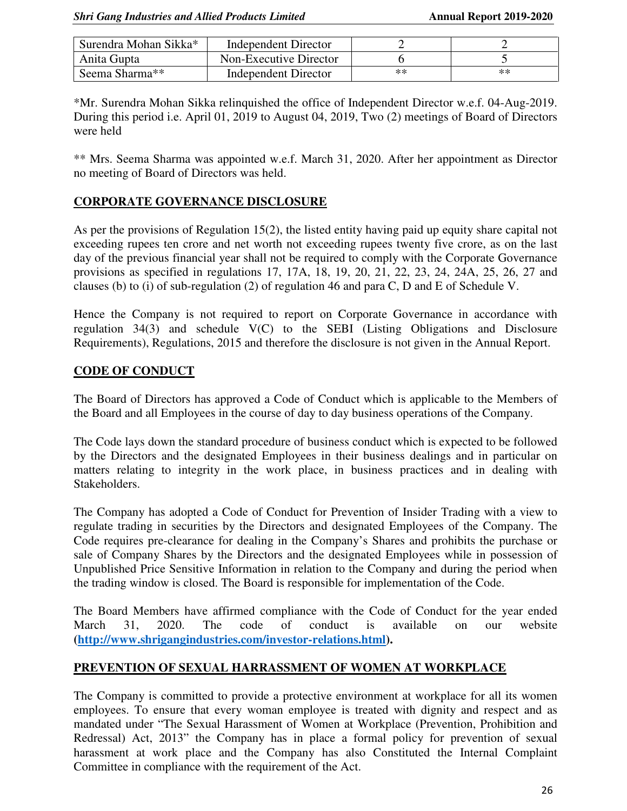| Surendra Mohan Sikka* | Independent Director        |    |    |
|-----------------------|-----------------------------|----|----|
| Anita Gupta           | Non-Executive Director      |    |    |
| Seema Sharma**        | <b>Independent Director</b> | ** | ** |

\*Mr. Surendra Mohan Sikka relinquished the office of Independent Director w.e.f. 04-Aug-2019. During this period i.e. April 01, 2019 to August 04, 2019, Two (2) meetings of Board of Directors were held

\*\* Mrs. Seema Sharma was appointed w.e.f. March 31, 2020. After her appointment as Director no meeting of Board of Directors was held.

# **CORPORATE GOVERNANCE DISCLOSURE**

As per the provisions of Regulation 15(2), the listed entity having paid up equity share capital not exceeding rupees ten crore and net worth not exceeding rupees twenty five crore, as on the last day of the previous financial year shall not be required to comply with the Corporate Governance provisions as specified in regulations 17, 17A, 18, 19, 20, 21, 22, 23, 24, 24A, 25, 26, 27 and clauses (b) to (i) of sub-regulation (2) of regulation 46 and para C, D and E of Schedule V.

Hence the Company is not required to report on Corporate Governance in accordance with regulation 34(3) and schedule V(C) to the SEBI (Listing Obligations and Disclosure Requirements), Regulations, 2015 and therefore the disclosure is not given in the Annual Report.

# **CODE OF CONDUCT**

The Board of Directors has approved a Code of Conduct which is applicable to the Members of the Board and all Employees in the course of day to day business operations of the Company.

The Code lays down the standard procedure of business conduct which is expected to be followed by the Directors and the designated Employees in their business dealings and in particular on matters relating to integrity in the work place, in business practices and in dealing with Stakeholders.

The Company has adopted a Code of Conduct for Prevention of Insider Trading with a view to regulate trading in securities by the Directors and designated Employees of the Company. The Code requires pre-clearance for dealing in the Company's Shares and prohibits the purchase or sale of Company Shares by the Directors and the designated Employees while in possession of Unpublished Price Sensitive Information in relation to the Company and during the period when the trading window is closed. The Board is responsible for implementation of the Code.

The Board Members have affirmed compliance with the Code of Conduct for the year ended March 31, 2020. The code of conduct is available on our website **(http://www.shrigangindustries.com/investor-relations.html).** 

#### **PREVENTION OF SEXUAL HARRASSMENT OF WOMEN AT WORKPLACE**

The Company is committed to provide a protective environment at workplace for all its women employees. To ensure that every woman employee is treated with dignity and respect and as mandated under "The Sexual Harassment of Women at Workplace (Prevention, Prohibition and Redressal) Act, 2013" the Company has in place a formal policy for prevention of sexual harassment at work place and the Company has also Constituted the Internal Complaint Committee in compliance with the requirement of the Act.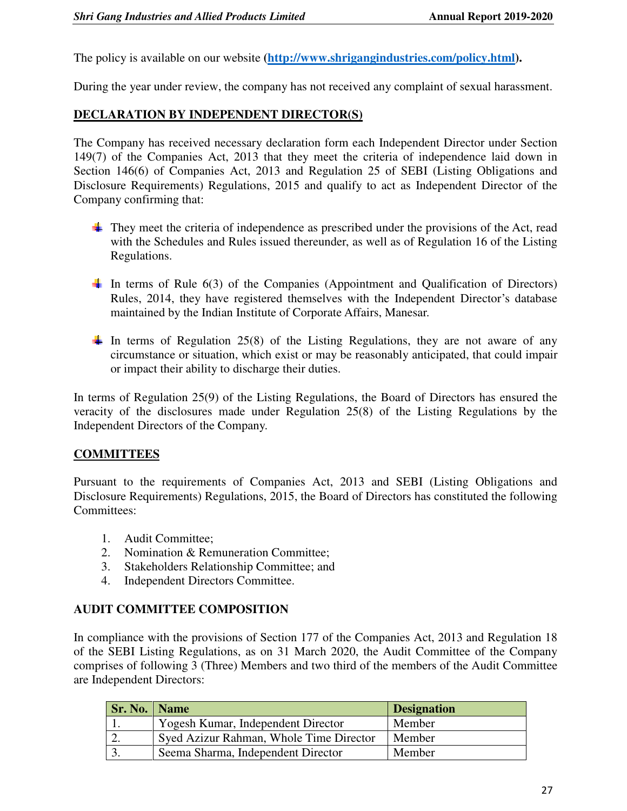The policy is available on our website **(http://www.shrigangindustries.com/policy.html).** 

During the year under review, the company has not received any complaint of sexual harassment.

#### **DECLARATION BY INDEPENDENT DIRECTOR(S)**

The Company has received necessary declaration form each Independent Director under Section 149(7) of the Companies Act, 2013 that they meet the criteria of independence laid down in Section 146(6) of Companies Act, 2013 and Regulation 25 of SEBI (Listing Obligations and Disclosure Requirements) Regulations, 2015 and qualify to act as Independent Director of the Company confirming that:

- $\pm$  They meet the criteria of independence as prescribed under the provisions of the Act, read with the Schedules and Rules issued thereunder, as well as of Regulation 16 of the Listing Regulations.
- In terms of Rule  $6(3)$  of the Companies (Appointment and Qualification of Directors) Rules, 2014, they have registered themselves with the Independent Director's database maintained by the Indian Institute of Corporate Affairs, Manesar.
- In terms of Regulation 25(8) of the Listing Regulations, they are not aware of any circumstance or situation, which exist or may be reasonably anticipated, that could impair or impact their ability to discharge their duties.

In terms of Regulation 25(9) of the Listing Regulations, the Board of Directors has ensured the veracity of the disclosures made under Regulation 25(8) of the Listing Regulations by the Independent Directors of the Company.

#### **COMMITTEES**

Pursuant to the requirements of Companies Act, 2013 and SEBI (Listing Obligations and Disclosure Requirements) Regulations, 2015, the Board of Directors has constituted the following Committees:

- 1. Audit Committee;
- 2. Nomination & Remuneration Committee;
- 3. Stakeholders Relationship Committee; and
- 4. Independent Directors Committee.

#### **AUDIT COMMITTEE COMPOSITION**

In compliance with the provisions of Section 177 of the Companies Act, 2013 and Regulation 18 of the SEBI Listing Regulations, as on 31 March 2020, the Audit Committee of the Company comprises of following 3 (Three) Members and two third of the members of the Audit Committee are Independent Directors:

| <b>Sr. No.   Name</b> |                                         | <b>Designation</b> |
|-----------------------|-----------------------------------------|--------------------|
|                       | Yogesh Kumar, Independent Director      | Member             |
|                       | Syed Azizur Rahman, Whole Time Director | Member             |
|                       | Seema Sharma, Independent Director      | Member             |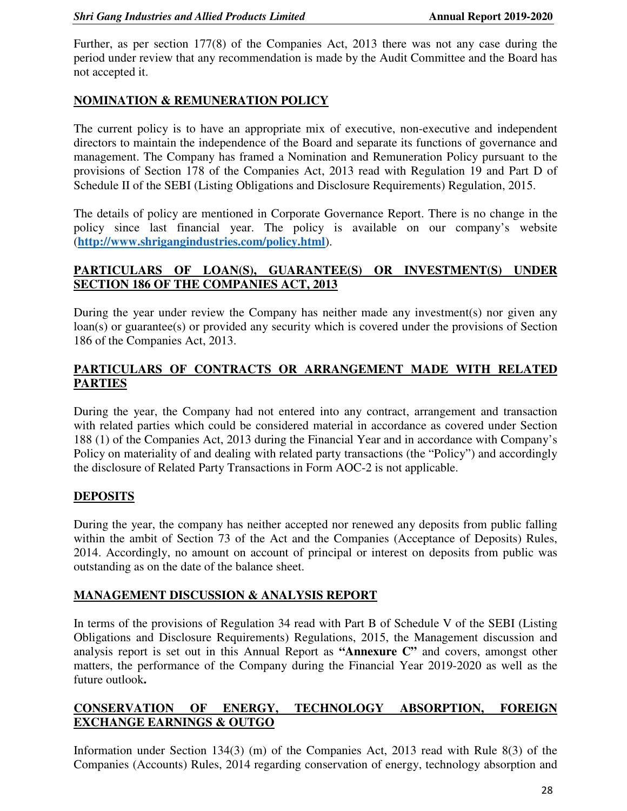Further, as per section 177(8) of the Companies Act, 2013 there was not any case during the period under review that any recommendation is made by the Audit Committee and the Board has not accepted it.

# **NOMINATION & REMUNERATION POLICY**

The current policy is to have an appropriate mix of executive, non-executive and independent directors to maintain the independence of the Board and separate its functions of governance and management. The Company has framed a Nomination and Remuneration Policy pursuant to the provisions of Section 178 of the Companies Act, 2013 read with Regulation 19 and Part D of Schedule II of the SEBI (Listing Obligations and Disclosure Requirements) Regulation, 2015.

The details of policy are mentioned in Corporate Governance Report. There is no change in the policy since last financial year. The policy is available on our company's website (**http://www.shrigangindustries.com/policy.html**).

# **PARTICULARS OF LOAN(S), GUARANTEE(S) OR INVESTMENT(S) UNDER SECTION 186 OF THE COMPANIES ACT, 2013**

During the year under review the Company has neither made any investment(s) nor given any loan(s) or guarantee(s) or provided any security which is covered under the provisions of Section 186 of the Companies Act, 2013.

# **PARTICULARS OF CONTRACTS OR ARRANGEMENT MADE WITH RELATED PARTIES**

During the year, the Company had not entered into any contract, arrangement and transaction with related parties which could be considered material in accordance as covered under Section 188 (1) of the Companies Act, 2013 during the Financial Year and in accordance with Company's Policy on materiality of and dealing with related party transactions (the "Policy") and accordingly the disclosure of Related Party Transactions in Form AOC-2 is not applicable.

#### **DEPOSITS**

During the year, the company has neither accepted nor renewed any deposits from public falling within the ambit of Section 73 of the Act and the Companies (Acceptance of Deposits) Rules, 2014. Accordingly, no amount on account of principal or interest on deposits from public was outstanding as on the date of the balance sheet.

# **MANAGEMENT DISCUSSION & ANALYSIS REPORT**

In terms of the provisions of Regulation 34 read with Part B of Schedule V of the SEBI (Listing Obligations and Disclosure Requirements) Regulations, 2015, the Management discussion and analysis report is set out in this Annual Report as **"Annexure C"** and covers, amongst other matters, the performance of the Company during the Financial Year 2019-2020 as well as the future outlook**.** 

# **CONSERVATION OF ENERGY, TECHNOLOGY ABSORPTION, FOREIGN EXCHANGE EARNINGS & OUTGO**

Information under Section 134(3) (m) of the Companies Act, 2013 read with Rule 8(3) of the Companies (Accounts) Rules, 2014 regarding conservation of energy, technology absorption and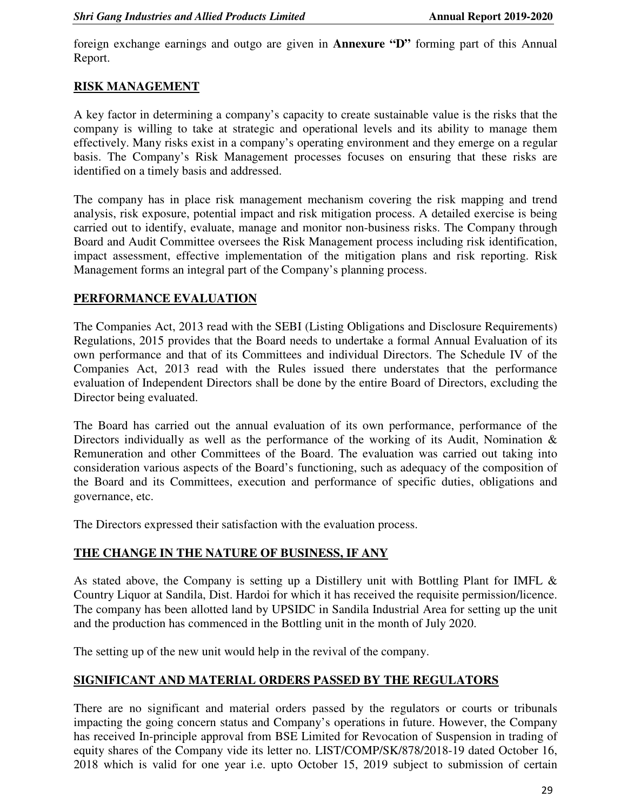foreign exchange earnings and outgo are given in **Annexure "D"** forming part of this Annual Report.

# **RISK MANAGEMENT**

A key factor in determining a company's capacity to create sustainable value is the risks that the company is willing to take at strategic and operational levels and its ability to manage them effectively. Many risks exist in a company's operating environment and they emerge on a regular basis. The Company's Risk Management processes focuses on ensuring that these risks are identified on a timely basis and addressed.

The company has in place risk management mechanism covering the risk mapping and trend analysis, risk exposure, potential impact and risk mitigation process. A detailed exercise is being carried out to identify, evaluate, manage and monitor non-business risks. The Company through Board and Audit Committee oversees the Risk Management process including risk identification, impact assessment, effective implementation of the mitigation plans and risk reporting. Risk Management forms an integral part of the Company's planning process.

# **PERFORMANCE EVALUATION**

The Companies Act, 2013 read with the SEBI (Listing Obligations and Disclosure Requirements) Regulations, 2015 provides that the Board needs to undertake a formal Annual Evaluation of its own performance and that of its Committees and individual Directors. The Schedule IV of the Companies Act, 2013 read with the Rules issued there understates that the performance evaluation of Independent Directors shall be done by the entire Board of Directors, excluding the Director being evaluated.

The Board has carried out the annual evaluation of its own performance, performance of the Directors individually as well as the performance of the working of its Audit, Nomination  $\&$ Remuneration and other Committees of the Board. The evaluation was carried out taking into consideration various aspects of the Board's functioning, such as adequacy of the composition of the Board and its Committees, execution and performance of specific duties, obligations and governance, etc.

The Directors expressed their satisfaction with the evaluation process.

# **THE CHANGE IN THE NATURE OF BUSINESS, IF ANY**

As stated above, the Company is setting up a Distillery unit with Bottling Plant for IMFL & Country Liquor at Sandila, Dist. Hardoi for which it has received the requisite permission/licence. The company has been allotted land by UPSIDC in Sandila Industrial Area for setting up the unit and the production has commenced in the Bottling unit in the month of July 2020.

The setting up of the new unit would help in the revival of the company.

#### **SIGNIFICANT AND MATERIAL ORDERS PASSED BY THE REGULATORS**

There are no significant and material orders passed by the regulators or courts or tribunals impacting the going concern status and Company's operations in future. However, the Company has received In-principle approval from BSE Limited for Revocation of Suspension in trading of equity shares of the Company vide its letter no. LIST/COMP/SK/878/2018-19 dated October 16, 2018 which is valid for one year i.e. upto October 15, 2019 subject to submission of certain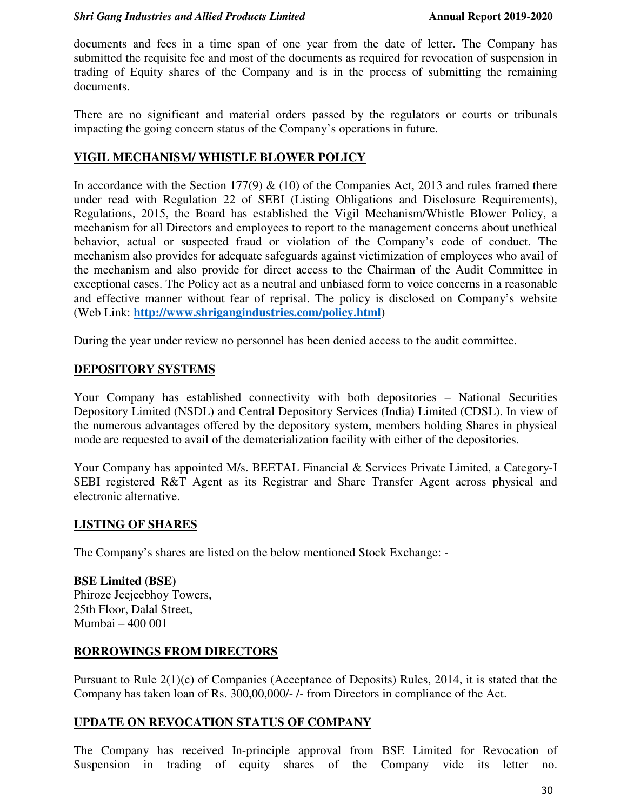documents and fees in a time span of one year from the date of letter. The Company has submitted the requisite fee and most of the documents as required for revocation of suspension in trading of Equity shares of the Company and is in the process of submitting the remaining documents.

There are no significant and material orders passed by the regulators or courts or tribunals impacting the going concern status of the Company's operations in future.

# **VIGIL MECHANISM/ WHISTLE BLOWER POLICY**

In accordance with the Section 177(9)  $\&$  (10) of the Companies Act, 2013 and rules framed there under read with Regulation 22 of SEBI (Listing Obligations and Disclosure Requirements), Regulations, 2015, the Board has established the Vigil Mechanism/Whistle Blower Policy, a mechanism for all Directors and employees to report to the management concerns about unethical behavior, actual or suspected fraud or violation of the Company's code of conduct. The mechanism also provides for adequate safeguards against victimization of employees who avail of the mechanism and also provide for direct access to the Chairman of the Audit Committee in exceptional cases. The Policy act as a neutral and unbiased form to voice concerns in a reasonable and effective manner without fear of reprisal. The policy is disclosed on Company's website (Web Link: **http://www.shrigangindustries.com/policy.html**)

During the year under review no personnel has been denied access to the audit committee.

# **DEPOSITORY SYSTEMS**

Your Company has established connectivity with both depositories – National Securities Depository Limited (NSDL) and Central Depository Services (India) Limited (CDSL). In view of the numerous advantages offered by the depository system, members holding Shares in physical mode are requested to avail of the dematerialization facility with either of the depositories.

Your Company has appointed M/s. BEETAL Financial & Services Private Limited, a Category-I SEBI registered R&T Agent as its Registrar and Share Transfer Agent across physical and electronic alternative.

#### **LISTING OF SHARES**

The Company's shares are listed on the below mentioned Stock Exchange: -

**BSE Limited (BSE)**  Phiroze Jeejeebhoy Towers, 25th Floor, Dalal Street, Mumbai – 400 001

#### **BORROWINGS FROM DIRECTORS**

Pursuant to Rule 2(1)(c) of Companies (Acceptance of Deposits) Rules, 2014, it is stated that the Company has taken loan of Rs. 300,00,000/- /- from Directors in compliance of the Act.

#### **UPDATE ON REVOCATION STATUS OF COMPANY**

The Company has received In-principle approval from BSE Limited for Revocation of Suspension in trading of equity shares of the Company vide its letter no.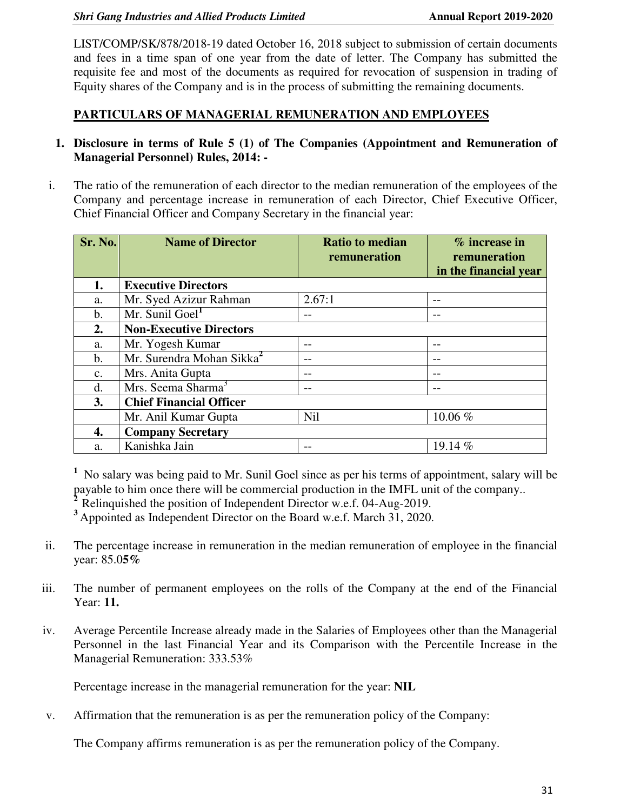LIST/COMP/SK/878/2018-19 dated October 16, 2018 subject to submission of certain documents and fees in a time span of one year from the date of letter. The Company has submitted the requisite fee and most of the documents as required for revocation of suspension in trading of Equity shares of the Company and is in the process of submitting the remaining documents.

# **PARTICULARS OF MANAGERIAL REMUNERATION AND EMPLOYEES**

- **1. Disclosure in terms of Rule 5 (1) of The Companies (Appointment and Remuneration of Managerial Personnel) Rules, 2014: -**
- i. The ratio of the remuneration of each director to the median remuneration of the employees of the Company and percentage increase in remuneration of each Director, Chief Executive Officer, Chief Financial Officer and Company Secretary in the financial year:

| Sr. No.        | <b>Name of Director</b>               | <b>Ratio to median</b><br>remuneration | % increase in<br>remuneration<br>in the financial year |
|----------------|---------------------------------------|----------------------------------------|--------------------------------------------------------|
| 1.             | <b>Executive Directors</b>            |                                        |                                                        |
| a.             | Mr. Syed Azizur Rahman                | 2.67:1                                 |                                                        |
| b.             | Mr. Sunil Goel <sup>1</sup>           |                                        |                                                        |
| 2.             | <b>Non-Executive Directors</b>        |                                        |                                                        |
| a.             | Mr. Yogesh Kumar                      |                                        |                                                        |
| b.             | Mr. Surendra Mohan Sikka <sup>2</sup> |                                        |                                                        |
| $\mathbf{c}$ . | Mrs. Anita Gupta                      |                                        |                                                        |
| $\mathbf d$ .  | Mrs. Seema Sharma <sup>3</sup>        |                                        |                                                        |
| 3.             | <b>Chief Financial Officer</b>        |                                        |                                                        |
|                | Mr. Anil Kumar Gupta                  | <b>Nil</b>                             | 10.06 $%$                                              |
| 4.             | <b>Company Secretary</b>              |                                        |                                                        |
| a.             | Kanishka Jain                         |                                        | 19.14 %                                                |

**1** No salary was being paid to Mr. Sunil Goel since as per his terms of appointment, salary will be payable to him once there will be commercial production in the IMFL unit of the company..

<sup>2</sup> Relinquished the position of Independent Director w.e.f. 04-Aug-2019.

**<sup>3</sup>**Appointed as Independent Director on the Board w.e.f. March 31, 2020.

- ii. The percentage increase in remuneration in the median remuneration of employee in the financial year: 85.0**5%**
- iii. The number of permanent employees on the rolls of the Company at the end of the Financial Year: **11.**
- iv. Average Percentile Increase already made in the Salaries of Employees other than the Managerial Personnel in the last Financial Year and its Comparison with the Percentile Increase in the Managerial Remuneration: 333.53%

Percentage increase in the managerial remuneration for the year: **NIL** 

v. Affirmation that the remuneration is as per the remuneration policy of the Company:

The Company affirms remuneration is as per the remuneration policy of the Company.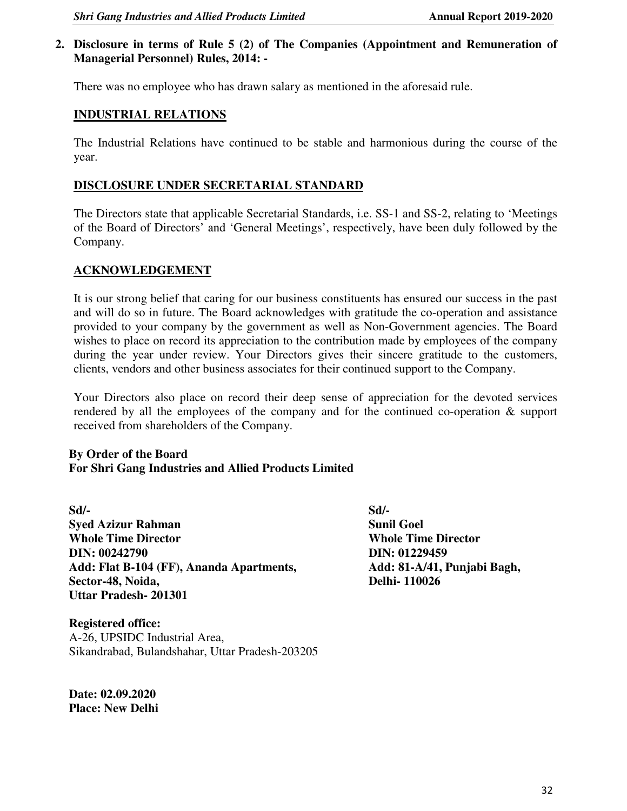#### **2. Disclosure in terms of Rule 5 (2) of The Companies (Appointment and Remuneration of Managerial Personnel) Rules, 2014: -**

There was no employee who has drawn salary as mentioned in the aforesaid rule.

#### **INDUSTRIAL RELATIONS**

The Industrial Relations have continued to be stable and harmonious during the course of the year.

#### **DISCLOSURE UNDER SECRETARIAL STANDARD**

The Directors state that applicable Secretarial Standards, i.e. SS-1 and SS-2, relating to 'Meetings of the Board of Directors' and 'General Meetings', respectively, have been duly followed by the Company.

#### **ACKNOWLEDGEMENT**

It is our strong belief that caring for our business constituents has ensured our success in the past and will do so in future. The Board acknowledges with gratitude the co-operation and assistance provided to your company by the government as well as Non-Government agencies. The Board wishes to place on record its appreciation to the contribution made by employees of the company during the year under review. Your Directors gives their sincere gratitude to the customers, clients, vendors and other business associates for their continued support to the Company.

Your Directors also place on record their deep sense of appreciation for the devoted services rendered by all the employees of the company and for the continued co-operation & support received from shareholders of the Company.

#### **By Order of the Board For Shri Gang Industries and Allied Products Limited**

**Sd/- Sd/- Syed Azizur Rahman** Sunil Goel **Sunil Goel Whole Time Director Whole Time Director DIN: 00242790 DIN: 01229459 Add: Flat B-104 (FF), Ananda Apartments, Add: 81-A/41, Punjabi Bagh, Sector-48, Noida, Delhi- 110026 Uttar Pradesh- 201301** 

**Registered office:**  A-26, UPSIDC Industrial Area, Sikandrabad, Bulandshahar, Uttar Pradesh-203205

**Date: 02.09.2020 Place: New Delhi**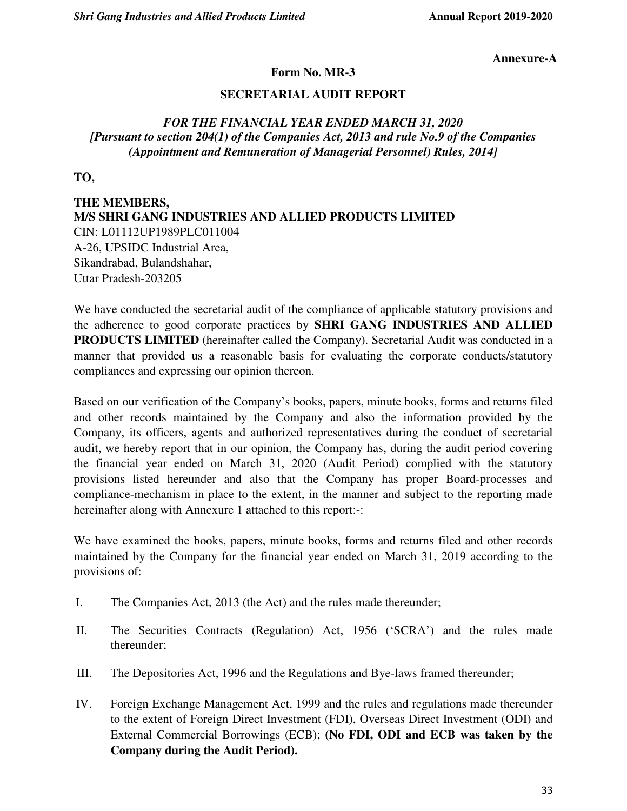#### **Annexure-A**

# **Form No. MR-3**

#### **SECRETARIAL AUDIT REPORT**

# *FOR THE FINANCIAL YEAR ENDED MARCH 31, 2020 [Pursuant to section 204(1) of the Companies Act, 2013 and rule No.9 of the Companies (Appointment and Remuneration of Managerial Personnel) Rules, 2014]*

**TO,** 

# **THE MEMBERS, M/S SHRI GANG INDUSTRIES AND ALLIED PRODUCTS LIMITED**  CIN: L01112UP1989PLC011004 A-26, UPSIDC Industrial Area, Sikandrabad, Bulandshahar, Uttar Pradesh-203205

We have conducted the secretarial audit of the compliance of applicable statutory provisions and the adherence to good corporate practices by **SHRI GANG INDUSTRIES AND ALLIED PRODUCTS LIMITED** (hereinafter called the Company). Secretarial Audit was conducted in a manner that provided us a reasonable basis for evaluating the corporate conducts/statutory compliances and expressing our opinion thereon.

Based on our verification of the Company's books, papers, minute books, forms and returns filed and other records maintained by the Company and also the information provided by the Company, its officers, agents and authorized representatives during the conduct of secretarial audit, we hereby report that in our opinion, the Company has, during the audit period covering the financial year ended on March 31, 2020 (Audit Period) complied with the statutory provisions listed hereunder and also that the Company has proper Board-processes and compliance-mechanism in place to the extent, in the manner and subject to the reporting made hereinafter along with Annexure 1 attached to this report:-:

We have examined the books, papers, minute books, forms and returns filed and other records maintained by the Company for the financial year ended on March 31, 2019 according to the provisions of:

- I. The Companies Act, 2013 (the Act) and the rules made thereunder;
- II. The Securities Contracts (Regulation) Act, 1956 ('SCRA') and the rules made thereunder;
- III. The Depositories Act, 1996 and the Regulations and Bye-laws framed thereunder;
- IV. Foreign Exchange Management Act, 1999 and the rules and regulations made thereunder to the extent of Foreign Direct Investment (FDI), Overseas Direct Investment (ODI) and External Commercial Borrowings (ECB); **(No FDI, ODI and ECB was taken by the Company during the Audit Period).**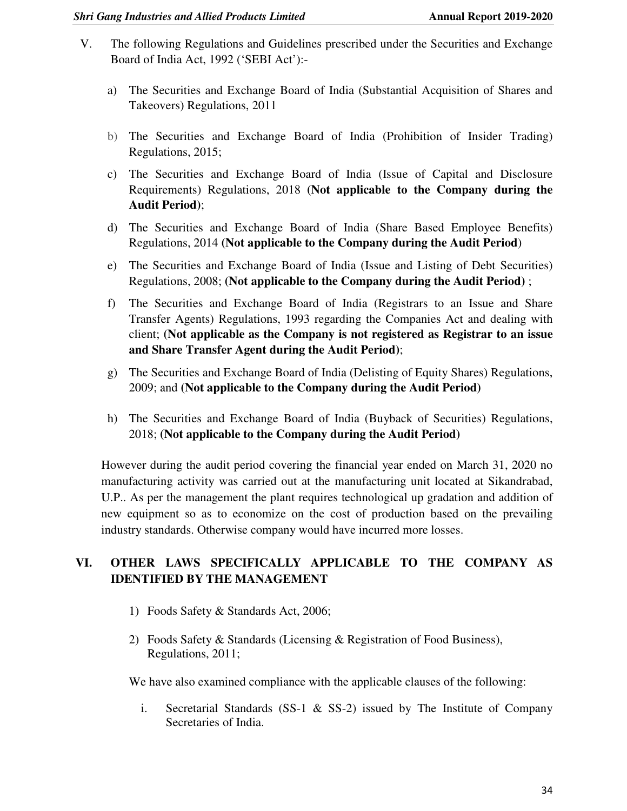- V. The following Regulations and Guidelines prescribed under the Securities and Exchange Board of India Act, 1992 ('SEBI Act'):
	- a) The Securities and Exchange Board of India (Substantial Acquisition of Shares and Takeovers) Regulations, 2011
	- b) The Securities and Exchange Board of India (Prohibition of Insider Trading) Regulations, 2015;
	- c) The Securities and Exchange Board of India (Issue of Capital and Disclosure Requirements) Regulations, 2018 **(Not applicable to the Company during the Audit Period)**;
	- d) The Securities and Exchange Board of India (Share Based Employee Benefits) Regulations, 2014 **(Not applicable to the Company during the Audit Period**)
	- e) The Securities and Exchange Board of India (Issue and Listing of Debt Securities) Regulations, 2008; **(Not applicable to the Company during the Audit Period)** ;
	- f) The Securities and Exchange Board of India (Registrars to an Issue and Share Transfer Agents) Regulations, 1993 regarding the Companies Act and dealing with client; **(Not applicable as the Company is not registered as Registrar to an issue and Share Transfer Agent during the Audit Period)**;
	- g) The Securities and Exchange Board of India (Delisting of Equity Shares) Regulations, 2009; and **(Not applicable to the Company during the Audit Period)**
	- h) The Securities and Exchange Board of India (Buyback of Securities) Regulations, 2018; **(Not applicable to the Company during the Audit Period)**

However during the audit period covering the financial year ended on March 31, 2020 no manufacturing activity was carried out at the manufacturing unit located at Sikandrabad, U.P.. As per the management the plant requires technological up gradation and addition of new equipment so as to economize on the cost of production based on the prevailing industry standards. Otherwise company would have incurred more losses.

## **VI. OTHER LAWS SPECIFICALLY APPLICABLE TO THE COMPANY AS IDENTIFIED BY THE MANAGEMENT**

- 1) Foods Safety & Standards Act, 2006;
- 2) Foods Safety & Standards (Licensing & Registration of Food Business), Regulations, 2011;

We have also examined compliance with the applicable clauses of the following:

i. Secretarial Standards (SS-1 & SS-2) issued by The Institute of Company Secretaries of India.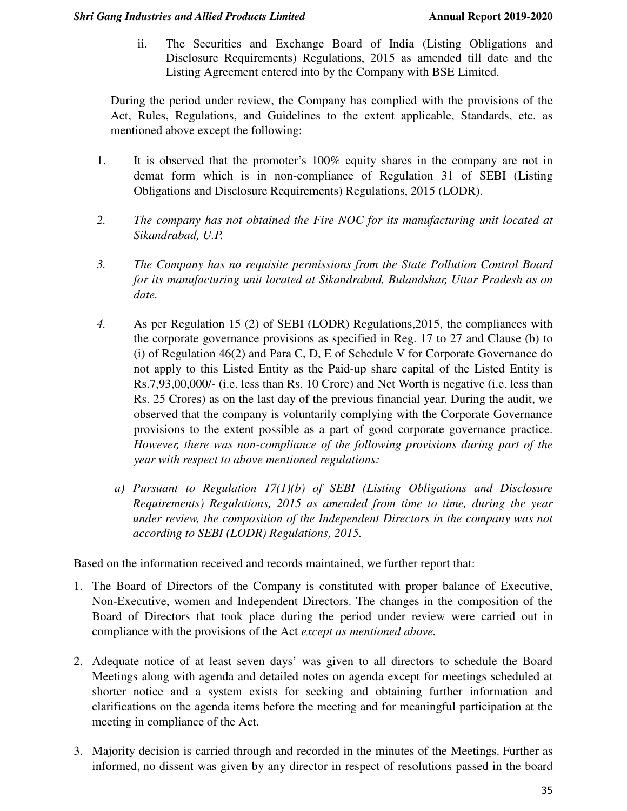ii. The Securities and Exchange Board of India (Listing Obligations and Disclosure Requirements) Regulations, 2015 as amended till date and the Listing Agreement entered into by the Company with BSE Limited.

During the period under review, the Company has complied with the provisions of the Act, Rules, Regulations, and Guidelines to the extent applicable, Standards, etc. as mentioned above except the following:

- 1. It is observed that the promoter's 100% equity shares in the company are not in demat form which is in non-compliance of Regulation 31 of SEBI (Listing Obligations and Disclosure Requirements) Regulations, 2015 (LODR).
- *2. The company has not obtained the Fire NOC for its manufacturing unit located at Sikandrabad, U.P.*
- *3. The Company has no requisite permissions from the State Pollution Control Board for its manufacturing unit located at Sikandrabad, Bulandshar, Uttar Pradesh as on date.*
- *4.* As per Regulation 15 (2) of SEBI (LODR) Regulations,2015, the compliances with the corporate governance provisions as specified in Reg. 17 to 27 and Clause (b) to (i) of Regulation 46(2) and Para C, D, E of Schedule V for Corporate Governance do not apply to this Listed Entity as the Paid-up share capital of the Listed Entity is Rs.7,93,00,000/- (i.e. less than Rs. 10 Crore) and Net Worth is negative (i.e. less than Rs. 25 Crores) as on the last day of the previous financial year. During the audit, we observed that the company is voluntarily complying with the Corporate Governance provisions to the extent possible as a part of good corporate governance practice. *However, there was non-compliance of the following provisions during part of the year with respect to above mentioned regulations:* 
	- *a) Pursuant to Regulation 17(1)(b) of SEBI (Listing Obligations and Disclosure Requirements) Regulations, 2015 as amended from time to time, during the year under review, the composition of the Independent Directors in the company was not according to SEBI (LODR) Regulations, 2015.*

Based on the information received and records maintained, we further report that:

- 1. The Board of Directors of the Company is constituted with proper balance of Executive, Non-Executive, women and Independent Directors. The changes in the composition of the Board of Directors that took place during the period under review were carried out in compliance with the provisions of the Act *except as mentioned above.*
- 2. Adequate notice of at least seven days' was given to all directors to schedule the Board Meetings along with agenda and detailed notes on agenda except for meetings scheduled at shorter notice and a system exists for seeking and obtaining further information and clarifications on the agenda items before the meeting and for meaningful participation at the meeting in compliance of the Act.
- 3. Majority decision is carried through and recorded in the minutes of the Meetings. Further as informed, no dissent was given by any director in respect of resolutions passed in the board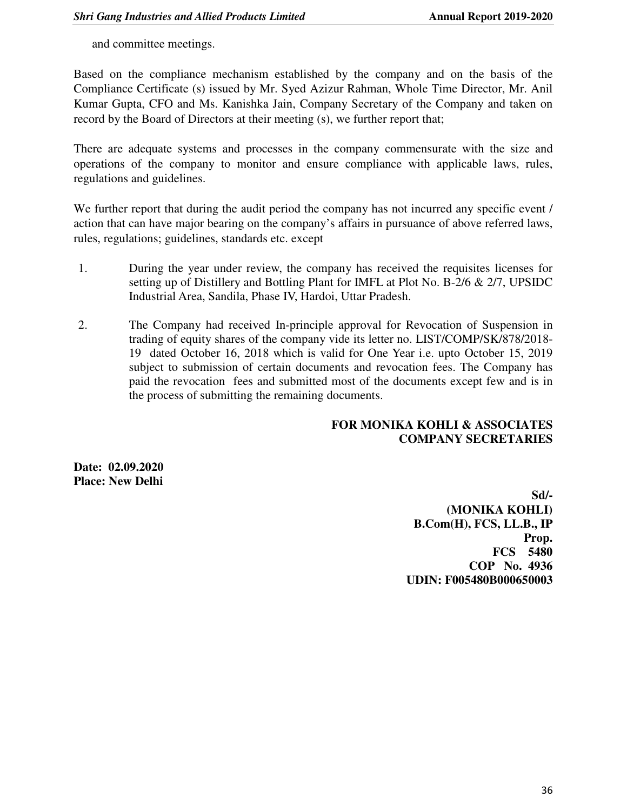and committee meetings.

Based on the compliance mechanism established by the company and on the basis of the Compliance Certificate (s) issued by Mr. Syed Azizur Rahman, Whole Time Director, Mr. Anil Kumar Gupta, CFO and Ms. Kanishka Jain, Company Secretary of the Company and taken on record by the Board of Directors at their meeting (s), we further report that;

There are adequate systems and processes in the company commensurate with the size and operations of the company to monitor and ensure compliance with applicable laws, rules, regulations and guidelines.

We further report that during the audit period the company has not incurred any specific event / action that can have major bearing on the company's affairs in pursuance of above referred laws, rules, regulations; guidelines, standards etc. except

- 1. During the year under review, the company has received the requisites licenses for setting up of Distillery and Bottling Plant for IMFL at Plot No. B-2/6 & 2/7, UPSIDC Industrial Area, Sandila, Phase IV, Hardoi, Uttar Pradesh.
- 2. The Company had received In-principle approval for Revocation of Suspension in trading of equity shares of the company vide its letter no. LIST/COMP/SK/878/2018- 19 dated October 16, 2018 which is valid for One Year i.e. upto October 15, 2019 subject to submission of certain documents and revocation fees. The Company has paid the revocation fees and submitted most of the documents except few and is in the process of submitting the remaining documents.

## **FOR MONIKA KOHLI & ASSOCIATES COMPANY SECRETARIES**

**Date: 02.09.2020 Place: New Delhi** 

> **Sd/- (MONIKA KOHLI) B.Com(H), FCS, LL.B., IP Prop. FCS 5480 COP No. 4936 UDIN: F005480B000650003**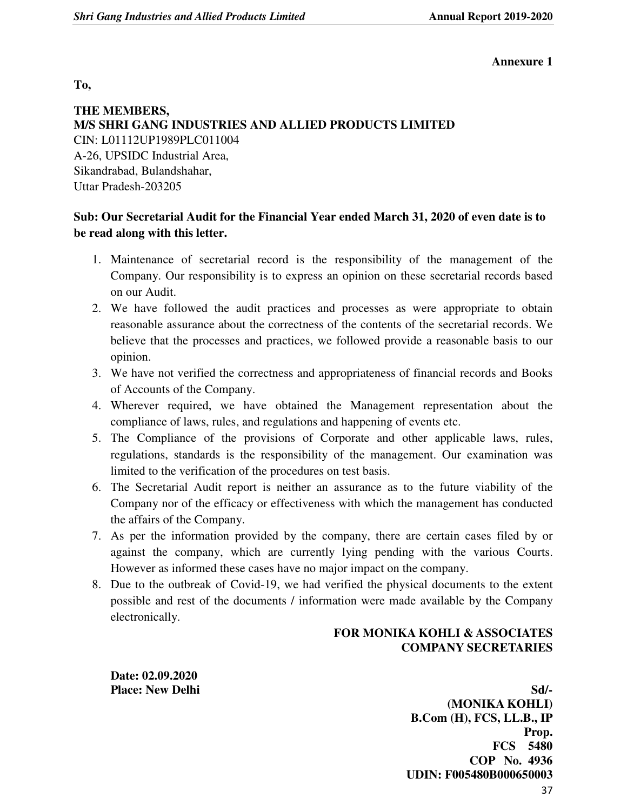**Annexure 1** 

**To,** 

## **THE MEMBERS, M/S SHRI GANG INDUSTRIES AND ALLIED PRODUCTS LIMITED**  CIN: L01112UP1989PLC011004 A-26, UPSIDC Industrial Area, Sikandrabad, Bulandshahar, Uttar Pradesh-203205

## **Sub: Our Secretarial Audit for the Financial Year ended March 31, 2020 of even date is to be read along with this letter.**

- 1. Maintenance of secretarial record is the responsibility of the management of the Company. Our responsibility is to express an opinion on these secretarial records based on our Audit.
- 2. We have followed the audit practices and processes as were appropriate to obtain reasonable assurance about the correctness of the contents of the secretarial records. We believe that the processes and practices, we followed provide a reasonable basis to our opinion.
- 3. We have not verified the correctness and appropriateness of financial records and Books of Accounts of the Company.
- 4. Wherever required, we have obtained the Management representation about the compliance of laws, rules, and regulations and happening of events etc.
- 5. The Compliance of the provisions of Corporate and other applicable laws, rules, regulations, standards is the responsibility of the management. Our examination was limited to the verification of the procedures on test basis.
- 6. The Secretarial Audit report is neither an assurance as to the future viability of the Company nor of the efficacy or effectiveness with which the management has conducted the affairs of the Company.
- 7. As per the information provided by the company, there are certain cases filed by or against the company, which are currently lying pending with the various Courts. However as informed these cases have no major impact on the company.
- 8. Due to the outbreak of Covid-19, we had verified the physical documents to the extent possible and rest of the documents / information were made available by the Company electronically.

## **FOR MONIKA KOHLI & ASSOCIATES COMPANY SECRETARIES**

**Date: 02.09.2020** 

37 **Place:** New Delhi Sd/-**(MONIKA KOHLI) B.Com (H), FCS, LL.B., IP Prop. FCS 5480 COP No. 4936 UDIN: F005480B000650003**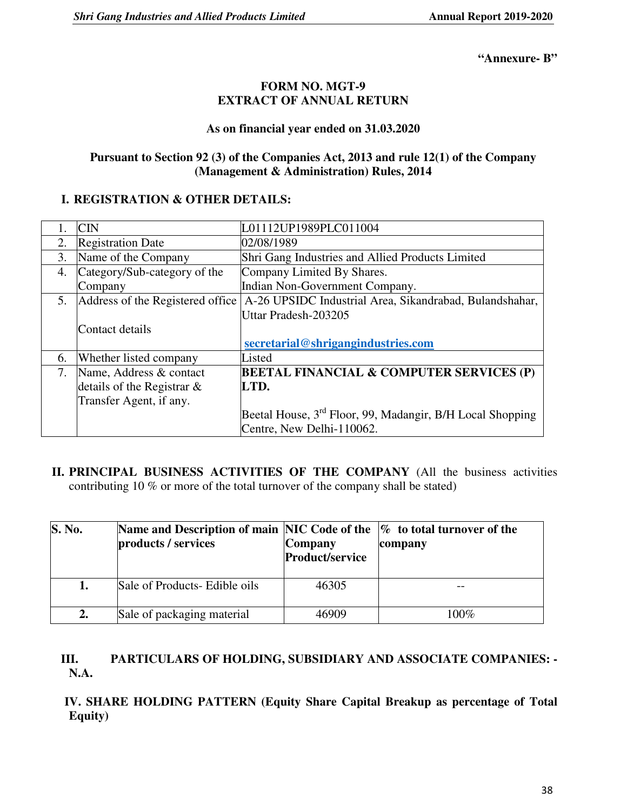**"Annexure- B"** 

## **FORM NO. MGT-9 EXTRACT OF ANNUAL RETURN**

## **As on financial year ended on 31.03.2020**

## **Pursuant to Section 92 (3) of the Companies Act, 2013 and rule 12(1) of the Company (Management & Administration) Rules, 2014**

## **I. REGISTRATION & OTHER DETAILS:**

|    | <b>CIN</b>                   | L01112UP1989PLC011004                                                                      |  |  |  |
|----|------------------------------|--------------------------------------------------------------------------------------------|--|--|--|
| 2. | <b>Registration Date</b>     | 02/08/1989                                                                                 |  |  |  |
| 3. | Name of the Company          | Shri Gang Industries and Allied Products Limited                                           |  |  |  |
| 4. | Category/Sub-category of the | Company Limited By Shares.                                                                 |  |  |  |
|    | Company                      | Indian Non-Government Company.                                                             |  |  |  |
| 5. |                              | Address of the Registered office   A-26 UPSIDC Industrial Area, Sikandrabad, Bulandshahar, |  |  |  |
|    |                              | Uttar Pradesh-203205                                                                       |  |  |  |
|    | Contact details              |                                                                                            |  |  |  |
|    |                              | secretarial@shrigangindustries.com                                                         |  |  |  |
| 6. | Whether listed company       | Listed                                                                                     |  |  |  |
| 7. | Name, Address & contact      | <b>BEETAL FINANCIAL &amp; COMPUTER SERVICES (P)</b>                                        |  |  |  |
|    | details of the Registrar &   | LTD.                                                                                       |  |  |  |
|    | Transfer Agent, if any.      |                                                                                            |  |  |  |
|    |                              | Beetal House, 3 <sup>rd</sup> Floor, 99, Madangir, B/H Local Shopping                      |  |  |  |
|    |                              | Centre, New Delhi-110062.                                                                  |  |  |  |

**II. PRINCIPAL BUSINESS ACTIVITIES OF THE COMPANY** (All the business activities contributing 10 % or more of the total turnover of the company shall be stated)

| <b>S. No.</b>  | Name and Description of main $NIC$ Code of the $\%$ to total turnover of the<br>products / services | <b>Company</b><br>Product/service | company |
|----------------|-----------------------------------------------------------------------------------------------------|-----------------------------------|---------|
| 1.             | Sale of Products- Edible oils                                                                       | 46305                             |         |
| $\mathbf{2}$ . | Sale of packaging material                                                                          | 46909                             | 100%    |

## **III. PARTICULARS OF HOLDING, SUBSIDIARY AND ASSOCIATE COMPANIES: - N.A.**

## **IV. SHARE HOLDING PATTERN (Equity Share Capital Breakup as percentage of Total Equity)**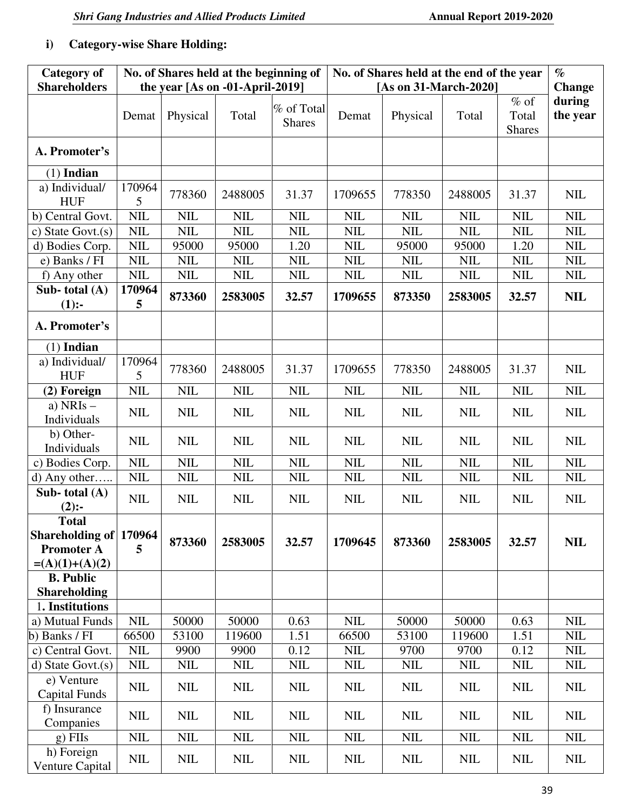## **i) Category-wise Share Holding:**

| <b>Category of</b>                                                              |              |              | No. of Shares held at the beginning of |                             | No. of Shares held at the end of the year |                       |            | $\%$                             |                    |
|---------------------------------------------------------------------------------|--------------|--------------|----------------------------------------|-----------------------------|-------------------------------------------|-----------------------|------------|----------------------------------|--------------------|
| <b>Shareholders</b>                                                             |              |              | the year [As on -01-April-2019]        |                             |                                           | [As on 31-March-2020] |            |                                  | <b>Change</b>      |
|                                                                                 | Demat        | Physical     | Total                                  | % of Total<br><b>Shares</b> | Demat                                     | Physical              | Total      | $%$ of<br>Total<br><b>Shares</b> | during<br>the year |
| A. Promoter's                                                                   |              |              |                                        |                             |                                           |                       |            |                                  |                    |
| $(1)$ Indian                                                                    |              |              |                                        |                             |                                           |                       |            |                                  |                    |
| a) Individual/<br><b>HUF</b>                                                    | 170964<br>5  | 778360       | 2488005                                | 31.37                       | 1709655                                   | 778350                | 2488005    | 31.37                            | <b>NIL</b>         |
| b) Central Govt.                                                                | <b>NIL</b>   | <b>NIL</b>   | <b>NIL</b>                             | <b>NIL</b>                  | <b>NIL</b>                                | <b>NIL</b>            | <b>NIL</b> | <b>NIL</b>                       | <b>NIL</b>         |
| c) State Govt. $(s)$                                                            | <b>NIL</b>   | <b>NIL</b>   | <b>NIL</b>                             | <b>NIL</b>                  | <b>NIL</b>                                | <b>NIL</b>            | <b>NIL</b> | <b>NIL</b>                       | <b>NIL</b>         |
| d) Bodies Corp.                                                                 | <b>NIL</b>   | 95000        | 95000                                  | 1.20                        | <b>NIL</b>                                | 95000                 | 95000      | 1.20                             | <b>NIL</b>         |
| e) Banks / FI                                                                   | <b>NIL</b>   | <b>NIL</b>   | NIL                                    | <b>NIL</b>                  | <b>NIL</b>                                | <b>NIL</b>            | <b>NIL</b> | NIL                              | $\text{NIL}$       |
| f) Any other                                                                    | <b>NIL</b>   | <b>NIL</b>   | NIL                                    | <b>NIL</b>                  | <b>NIL</b>                                | <b>NIL</b>            | <b>NIL</b> | <b>NIL</b>                       | <b>NIL</b>         |
| Sub-total (A)<br>$(1)$ :-                                                       | 170964<br>5  | 873360       | 2583005                                | 32.57                       | 1709655                                   | 873350                | 2583005    | 32.57                            | <b>NIL</b>         |
| A. Promoter's                                                                   |              |              |                                        |                             |                                           |                       |            |                                  |                    |
| $(1)$ Indian                                                                    |              |              |                                        |                             |                                           |                       |            |                                  |                    |
| $\overline{a}$ ) Individual/<br><b>HUF</b>                                      | 170964<br>5  | 778360       | 2488005                                | 31.37                       | 1709655                                   | 778350                | 2488005    | 31.37                            | <b>NIL</b>         |
| (2) Foreign                                                                     | <b>NIL</b>   | <b>NIL</b>   | <b>NIL</b>                             | <b>NIL</b>                  | <b>NIL</b>                                | <b>NIL</b>            | <b>NIL</b> | <b>NIL</b>                       | <b>NIL</b>         |
| a) $NRIs -$<br>Individuals                                                      | <b>NIL</b>   | <b>NIL</b>   | NIL                                    | <b>NIL</b>                  | <b>NIL</b>                                | <b>NIL</b>            | <b>NIL</b> | <b>NIL</b>                       | <b>NIL</b>         |
| b) Other-<br>Individuals                                                        | <b>NIL</b>   | <b>NIL</b>   | <b>NIL</b>                             | <b>NIL</b>                  | <b>NIL</b>                                | <b>NIL</b>            | <b>NIL</b> | <b>NIL</b>                       | <b>NIL</b>         |
| c) Bodies Corp.                                                                 | <b>NIL</b>   | <b>NIL</b>   | <b>NIL</b>                             | <b>NIL</b>                  | <b>NIL</b>                                | <b>NIL</b>            | <b>NIL</b> | <b>NIL</b>                       | <b>NIL</b>         |
| $d)$ Any other                                                                  | <b>NIL</b>   | <b>NIL</b>   | NIL                                    | <b>NIL</b>                  | <b>NIL</b>                                | <b>NIL</b>            | <b>NIL</b> | <b>NIL</b>                       | <b>NIL</b>         |
| Sub-total (A)<br>$(2)$ :-                                                       | <b>NIL</b>   | <b>NIL</b>   | <b>NIL</b>                             | <b>NIL</b>                  | <b>NIL</b>                                | <b>NIL</b>            | <b>NIL</b> | <b>NIL</b>                       | <b>NIL</b>         |
| <b>Total</b><br>Shareholding of 170964<br><b>Promoter A</b><br>$=(A)(1)+(A)(2)$ | 5            | 873360       | 2583005                                | 32.57                       | 1709645                                   | 873360                | 2583005    | 32.57                            | <b>NIL</b>         |
| <b>B.</b> Public<br><b>Shareholding</b>                                         |              |              |                                        |                             |                                           |                       |            |                                  |                    |
| 1. Institutions                                                                 |              |              |                                        |                             |                                           |                       |            |                                  |                    |
| a) Mutual Funds                                                                 | <b>NIL</b>   | 50000        | 50000                                  | 0.63                        | <b>NIL</b>                                | 50000                 | 50000      | 0.63                             | <b>NIL</b>         |
| b) Banks / FI                                                                   | 66500        | 53100        | 119600                                 | 1.51                        | 66500                                     | 53100                 | 119600     | 1.51                             | <b>NIL</b>         |
| c) Central Govt.                                                                | <b>NIL</b>   | 9900         | 9900                                   | 0.12                        | <b>NIL</b>                                | 9700                  | 9700       | 0.12                             | <b>NIL</b>         |
| $d)$ State Govt. $(s)$                                                          | <b>NIL</b>   | $\text{NIL}$ | <b>NIL</b>                             | $\text{NIL}$                | $\text{NIL}$                              | <b>NIL</b>            | <b>NIL</b> | $NIL$                            | NIL                |
| e) Venture<br><b>Capital Funds</b>                                              | <b>NIL</b>   | <b>NIL</b>   | NIL                                    | <b>NIL</b>                  | <b>NIL</b>                                | NIL                   | <b>NIL</b> | <b>NIL</b>                       | $\text{NIL}$       |
| f) Insurance<br>Companies                                                       | <b>NIL</b>   | <b>NIL</b>   | <b>NIL</b>                             | <b>NIL</b>                  | <b>NIL</b>                                | <b>NIL</b>            | <b>NIL</b> | <b>NIL</b>                       | <b>NIL</b>         |
| $g$ ) FIIs                                                                      | <b>NIL</b>   | NIL          | <b>NIL</b>                             | <b>NIL</b>                  | <b>NIL</b>                                | <b>NIL</b>            | <b>NIL</b> | <b>NIL</b>                       | <b>NIL</b>         |
| h) Foreign<br>Venture Capital                                                   | $\mbox{NIL}$ | $\text{NIL}$ | <b>NIL</b>                             | <b>NIL</b>                  | <b>NIL</b>                                | NIL                   | <b>NIL</b> | <b>NIL</b>                       | $\text{NIL}$       |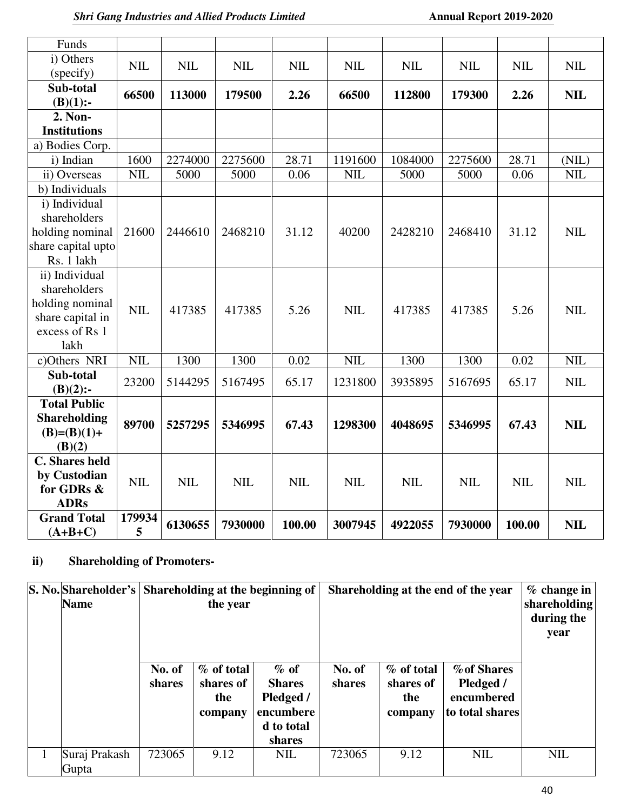| Funds                                                                                           |             |            |            |            |            |            |            |            |            |
|-------------------------------------------------------------------------------------------------|-------------|------------|------------|------------|------------|------------|------------|------------|------------|
| i) Others<br>(specify)                                                                          | <b>NIL</b>  | <b>NIL</b> | <b>NIL</b> | <b>NIL</b> | <b>NIL</b> | <b>NIL</b> | <b>NIL</b> | <b>NIL</b> | <b>NIL</b> |
| Sub-total<br>$(B)(1)$ :-                                                                        | 66500       | 113000     | 179500     | 2.26       | 66500      | 112800     | 179300     | 2.26       | <b>NIL</b> |
| 2. Non-                                                                                         |             |            |            |            |            |            |            |            |            |
| <b>Institutions</b>                                                                             |             |            |            |            |            |            |            |            |            |
| a) Bodies Corp.                                                                                 |             |            |            |            |            |            |            |            |            |
| i) Indian                                                                                       | 1600        | 2274000    | 2275600    | 28.71      | 1191600    | 1084000    | 2275600    | 28.71      | (NIL)      |
| ii) Overseas                                                                                    | <b>NIL</b>  | 5000       | 5000       | 0.06       | <b>NIL</b> | 5000       | 5000       | 0.06       | <b>NIL</b> |
| b) Individuals                                                                                  |             |            |            |            |            |            |            |            |            |
| i) Individual<br>shareholders<br>holding nominal<br>share capital upto<br>Rs. 1 lakh            | 21600       | 2446610    | 2468210    | 31.12      | 40200      | 2428210    | 2468410    | 31.12      | <b>NIL</b> |
| ii) Individual<br>shareholders<br>holding nominal<br>share capital in<br>excess of Rs 1<br>lakh | <b>NIL</b>  | 417385     | 417385     | 5.26       | <b>NIL</b> | 417385     | 417385     | 5.26       | <b>NIL</b> |
| c)Others NRI                                                                                    | <b>NIL</b>  | 1300       | 1300       | 0.02       | <b>NIL</b> | 1300       | 1300       | 0.02       | <b>NIL</b> |
| Sub-total<br>$(B)(2)$ :-                                                                        | 23200       | 5144295    | 5167495    | 65.17      | 1231800    | 3935895    | 5167695    | 65.17      | <b>NIL</b> |
| <b>Total Public</b><br><b>Shareholding</b><br>$(B)=(B)(1)+$<br>(B)(2)                           | 89700       | 5257295    | 5346995    | 67.43      | 1298300    | 4048695    | 5346995    | 67.43      | <b>NIL</b> |
| <b>C.</b> Shares held<br>by Custodian<br>for GDRs &<br><b>ADRs</b>                              | <b>NIL</b>  | <b>NIL</b> | <b>NIL</b> | <b>NIL</b> | <b>NIL</b> | <b>NIL</b> | <b>NIL</b> | <b>NIL</b> | <b>NIL</b> |
| <b>Grand Total</b><br>$(A+B+C)$                                                                 | 179934<br>5 | 6130655    | 7930000    | 100.00     | 3007945    | 4922055    | 7930000    | 100.00     | <b>NIL</b> |

## **ii) Shareholding of Promoters-**

|   | S. No. Shareholder's Shareholding at the beginning of<br><b>Name</b> |                  | the year                                  |                                                                            |                  |                                           | Shareholding at the end of the year                              | $%$ change in<br>shareholding<br>during the<br>year |
|---|----------------------------------------------------------------------|------------------|-------------------------------------------|----------------------------------------------------------------------------|------------------|-------------------------------------------|------------------------------------------------------------------|-----------------------------------------------------|
|   |                                                                      | No. of<br>shares | % of total<br>shares of<br>the<br>company | $\%$ of<br><b>Shares</b><br>Pledged /<br>encumbere<br>d to total<br>shares | No. of<br>shares | % of total<br>shares of<br>the<br>company | <b>% of Shares</b><br>Pledged /<br>encumbered<br>to total shares |                                                     |
| 1 | Suraj Prakash<br>Gupta                                               | 723065           | 9.12                                      | <b>NIL</b>                                                                 | 723065           | 9.12                                      | <b>NIL</b>                                                       | <b>NIL</b>                                          |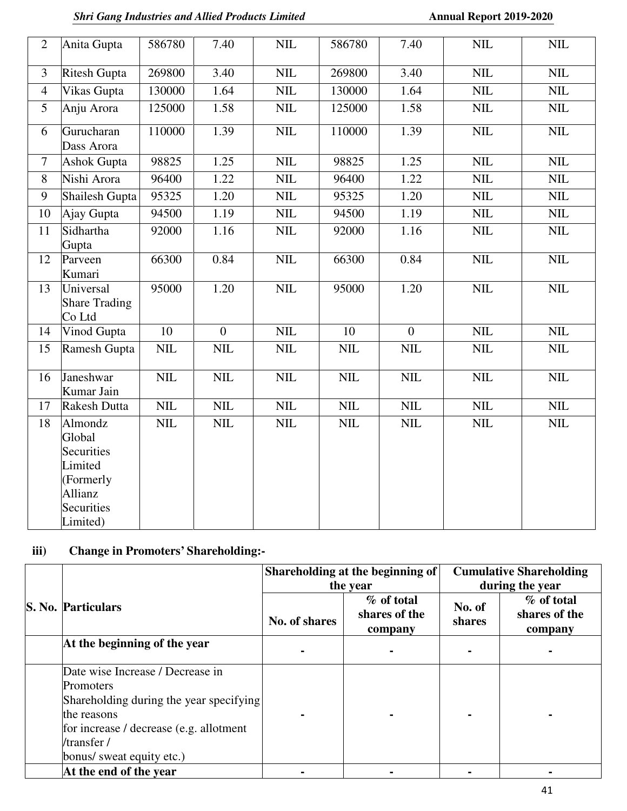**Shri Gang Industries and Allied Products Limited <b>Annual Report 2019-2020 Annual Report 2019-2020** 

| $\overline{2}$ | Anita Gupta                                                                                                | 586780       | 7.40                    | $\text{NIL}$ | 586780       | 7.40           | $\mbox{NIL}$ | $\mbox{NIL}$ |
|----------------|------------------------------------------------------------------------------------------------------------|--------------|-------------------------|--------------|--------------|----------------|--------------|--------------|
| $\overline{3}$ | <b>Ritesh Gupta</b>                                                                                        | 269800       | 3.40                    | NIL          | 269800       | 3.40           | NIL          | NIL          |
| $\overline{4}$ | Vikas Gupta                                                                                                | 130000       | 1.64                    | $\text{NIL}$ | 130000       | 1.64           | $\mbox{NIL}$ | $\mbox{NIL}$ |
| 5              | Anju Arora                                                                                                 | 125000       | 1.58                    | $\text{NIL}$ | 125000       | 1.58           | $\mbox{NIL}$ | $\mbox{NIL}$ |
| 6              | Gurucharan<br>Dass Arora                                                                                   | 110000       | 1.39                    | $\text{NIL}$ | 110000       | 1.39           | $\mbox{NIL}$ | $\mbox{NIL}$ |
| $\overline{7}$ | Ashok Gupta                                                                                                | 98825        | 1.25                    | NIL          | 98825        | 1.25           | $NIL$        | NIL          |
| $8\,$          | Nishi Arora                                                                                                | 96400        | 1.22                    | $\text{NIL}$ | 96400        | 1.22           | $\mbox{NIL}$ | $\mbox{NIL}$ |
| 9              | Shailesh Gupta                                                                                             | 95325        | 1.20                    | NIL          | 95325        | 1.20           | NIL          | <b>NIL</b>   |
| 10             | Ajay Gupta                                                                                                 | 94500        | 1.19                    | $\text{NIL}$ | 94500        | 1.19           | $\mbox{NIL}$ | <b>NIL</b>   |
| 11             | Sidhartha<br>Gupta                                                                                         | 92000        | 1.16                    | $\text{NIL}$ | 92000        | 1.16           | $\mbox{NIL}$ | $\mbox{NIL}$ |
| 12             | Parveen<br>Kumari                                                                                          | 66300        | 0.84                    | $\text{NIL}$ | 66300        | 0.84           | NIL          | <b>NIL</b>   |
| 13             | Universal<br><b>Share Trading</b><br>Co Ltd                                                                | 95000        | 1.20                    | $\mbox{NIL}$ | 95000        | 1.20           | $\mbox{NIL}$ | $\mbox{NIL}$ |
| 14             | Vinod Gupta                                                                                                | 10           | $\overline{0}$          | NIL          | 10           | $\overline{0}$ | NIL          | NIL          |
| 15             | Ramesh Gupta                                                                                               | $NIL$        | $\overline{\text{NIL}}$ | $\text{NIL}$ | $\mbox{NIL}$ | $\mbox{NIL}$   | NIL          | NIL          |
| 16             | Janeshwar<br>Kumar Jain                                                                                    | $\mbox{NIL}$ | $\text{NIL}$            | $\text{NIL}$ | $\text{NIL}$ | $\mbox{NIL}$   | $\text{NIL}$ | <b>NIL</b>   |
| 17             | Rakesh Dutta                                                                                               | $\mbox{NIL}$ | $\mbox{NIL}$            | $\text{NIL}$ | $\text{NIL}$ | $\mbox{NIL}$   | $\mbox{NIL}$ | $\mbox{NIL}$ |
| 18             | Almondz<br>Global<br><b>Securities</b><br>Limited<br>(Formerly<br>Allianz<br><b>Securities</b><br>Limited) | $\mbox{NIL}$ | $\mbox{NIL}$            | $\text{NIL}$ | $\text{NIL}$ | $\mbox{NIL}$   | $\text{NIL}$ | $\mbox{NIL}$ |

# **iii) Change in Promoters' Shareholding:-**

|                                                                                                                                                                                                |               | Shareholding at the beginning of<br>the year | <b>Cumulative Shareholding</b><br>during the year |                                        |
|------------------------------------------------------------------------------------------------------------------------------------------------------------------------------------------------|---------------|----------------------------------------------|---------------------------------------------------|----------------------------------------|
| S. No. Particulars                                                                                                                                                                             | No. of shares | % of total<br>shares of the<br>company       | No. of<br>shares                                  | % of total<br>shares of the<br>company |
| At the beginning of the year                                                                                                                                                                   |               |                                              |                                                   |                                        |
| Date wise Increase / Decrease in<br>Promoters<br>Shareholding during the year specifying<br>the reasons<br>for increase / decrease (e.g. allotment)<br>/transfer/<br>bonus/ sweat equity etc.) |               | $\blacksquare$                               |                                                   |                                        |
| At the end of the year                                                                                                                                                                         |               |                                              |                                                   |                                        |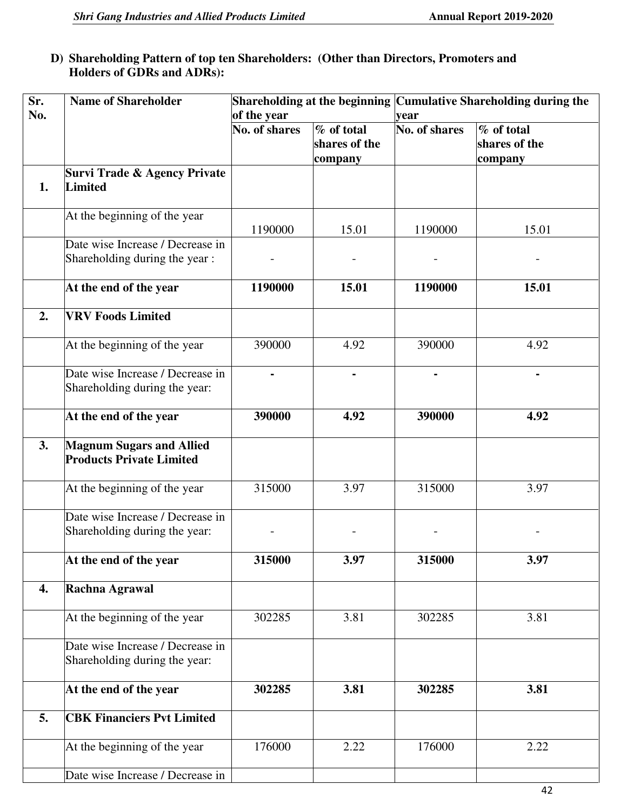## **D) Shareholding Pattern of top ten Shareholders: (Other than Directors, Promoters and Holders of GDRs and ADRs):**

| Sr. | <b>Name of Shareholder</b>        |                |               | Shareholding at the beginning Cumulative Shareholding during the |               |  |
|-----|-----------------------------------|----------------|---------------|------------------------------------------------------------------|---------------|--|
| No. |                                   | of the year    |               | year                                                             |               |  |
|     |                                   | No. of shares  | % of total    | No. of shares                                                    | % of total    |  |
|     |                                   |                | shares of the |                                                                  | shares of the |  |
|     |                                   |                | company       |                                                                  | company       |  |
|     | Survi Trade & Agency Private      |                |               |                                                                  |               |  |
| 1.  | <b>Limited</b>                    |                |               |                                                                  |               |  |
|     |                                   |                |               |                                                                  |               |  |
|     | At the beginning of the year      |                |               |                                                                  |               |  |
|     |                                   | 1190000        | 15.01         | 1190000                                                          | 15.01         |  |
|     | Date wise Increase / Decrease in  |                |               |                                                                  |               |  |
|     | Shareholding during the year :    |                |               |                                                                  |               |  |
|     |                                   |                |               |                                                                  |               |  |
|     | At the end of the year            | 1190000        | 15.01         | 1190000                                                          | 15.01         |  |
|     |                                   |                |               |                                                                  |               |  |
| 2.  | <b>VRV Foods Limited</b>          |                |               |                                                                  |               |  |
|     |                                   |                |               |                                                                  |               |  |
|     | At the beginning of the year      | 390000         | 4.92          | 390000                                                           | 4.92          |  |
|     |                                   |                |               |                                                                  |               |  |
|     | Date wise Increase / Decrease in  | $\blacksquare$ |               |                                                                  |               |  |
|     | Shareholding during the year:     |                |               |                                                                  |               |  |
|     |                                   |                |               |                                                                  |               |  |
|     | At the end of the year            | 390000         | 4.92          | 390000                                                           | 4.92          |  |
|     |                                   |                |               |                                                                  |               |  |
| 3.  | <b>Magnum Sugars and Allied</b>   |                |               |                                                                  |               |  |
|     | <b>Products Private Limited</b>   |                |               |                                                                  |               |  |
|     |                                   |                |               |                                                                  |               |  |
|     | At the beginning of the year      | 315000         | 3.97          | 315000                                                           | 3.97          |  |
|     |                                   |                |               |                                                                  |               |  |
|     | Date wise Increase / Decrease in  |                |               |                                                                  |               |  |
|     |                                   |                |               |                                                                  |               |  |
|     | Shareholding during the year:     |                |               |                                                                  |               |  |
|     |                                   | 315000         | 3.97          |                                                                  |               |  |
|     | At the end of the year            |                |               | 315000                                                           | 3.97          |  |
|     |                                   |                |               |                                                                  |               |  |
| 4.  | Rachna Agrawal                    |                |               |                                                                  |               |  |
|     | At the beginning of the year      | 302285         | 3.81          | 302285                                                           | 3.81          |  |
|     |                                   |                |               |                                                                  |               |  |
|     | Date wise Increase / Decrease in  |                |               |                                                                  |               |  |
|     |                                   |                |               |                                                                  |               |  |
|     | Shareholding during the year:     |                |               |                                                                  |               |  |
|     |                                   |                |               |                                                                  |               |  |
|     | At the end of the year            | 302285         | 3.81          | 302285                                                           | 3.81          |  |
|     | <b>CBK Financiers Pvt Limited</b> |                |               |                                                                  |               |  |
| 5.  |                                   |                |               |                                                                  |               |  |
|     |                                   |                |               |                                                                  |               |  |
|     | At the beginning of the year      | 176000         | 2.22          | 176000                                                           | 2.22          |  |
|     |                                   |                |               |                                                                  |               |  |
|     | Date wise Increase / Decrease in  |                |               |                                                                  |               |  |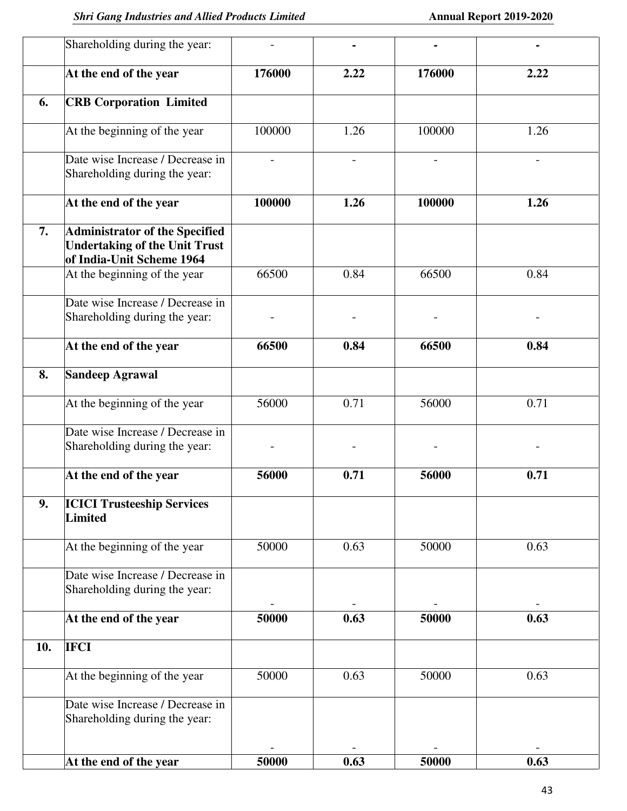|     | Shareholding during the year:                                                                              |        |      |        |      |
|-----|------------------------------------------------------------------------------------------------------------|--------|------|--------|------|
|     | At the end of the year                                                                                     | 176000 | 2.22 | 176000 | 2.22 |
| 6.  | <b>CRB</b> Corporation Limited                                                                             |        |      |        |      |
|     | At the beginning of the year                                                                               | 100000 | 1.26 | 100000 | 1.26 |
|     | Date wise Increase / Decrease in<br>Shareholding during the year:                                          |        |      |        |      |
|     | At the end of the year                                                                                     | 100000 | 1.26 | 100000 | 1.26 |
| 7.  | <b>Administrator of the Specified</b><br><b>Undertaking of the Unit Trust</b><br>of India-Unit Scheme 1964 |        |      |        |      |
|     | At the beginning of the year                                                                               | 66500  | 0.84 | 66500  | 0.84 |
|     | Date wise Increase / Decrease in<br>Shareholding during the year:                                          |        |      |        |      |
|     | At the end of the year                                                                                     | 66500  | 0.84 | 66500  | 0.84 |
| 8.  | <b>Sandeep Agrawal</b>                                                                                     |        |      |        |      |
|     | At the beginning of the year                                                                               | 56000  | 0.71 | 56000  | 0.71 |
|     | Date wise Increase / Decrease in<br>Shareholding during the year:                                          |        |      |        |      |
|     | At the end of the year                                                                                     | 56000  | 0.71 | 56000  | 0.71 |
| 9.  | <b>ICICI Trusteeship Services</b><br><b>Limited</b>                                                        |        |      |        |      |
|     | At the beginning of the year                                                                               | 50000  | 0.63 | 50000  | 0.63 |
|     | Date wise Increase / Decrease in<br>Shareholding during the year:                                          |        |      |        |      |
|     | At the end of the year                                                                                     | 50000  | 0.63 | 50000  | 0.63 |
| 10. | <b>IFCI</b>                                                                                                |        |      |        |      |
|     | At the beginning of the year                                                                               | 50000  | 0.63 | 50000  | 0.63 |
|     | Date wise Increase / Decrease in<br>Shareholding during the year:                                          |        |      |        |      |
|     | At the end of the year                                                                                     | 50000  | 0.63 | 50000  | 0.63 |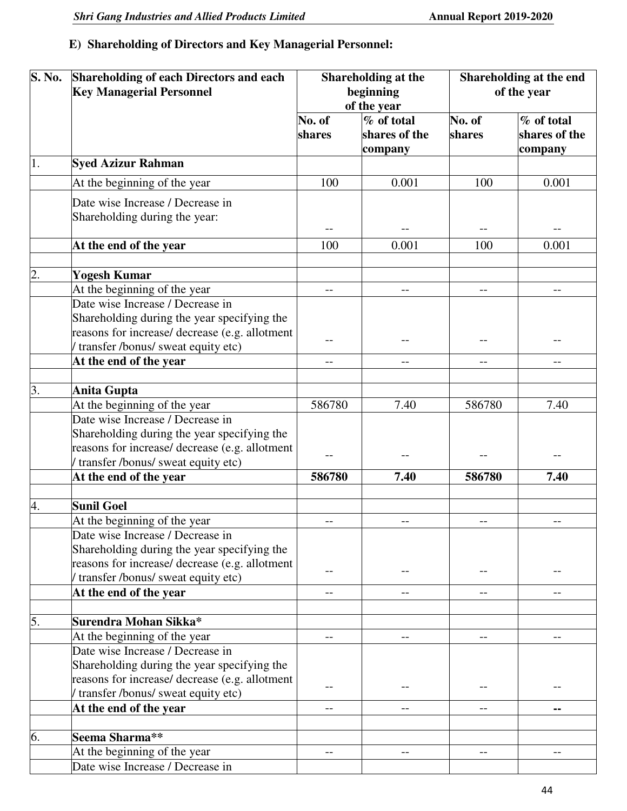## **E) Shareholding of Directors and Key Managerial Personnel:**

| <b>S. No.</b>    | <b>Shareholding of each Directors and each</b><br><b>Key Managerial Personnel</b>             |                  | Shareholding at the<br>beginning<br>of the year | Shareholding at the end<br>of the year |                                        |
|------------------|-----------------------------------------------------------------------------------------------|------------------|-------------------------------------------------|----------------------------------------|----------------------------------------|
|                  |                                                                                               | No. of<br>shares | % of total<br>shares of the<br>company          | No. of<br>shares                       | % of total<br>shares of the<br>company |
| 1.               | <b>Syed Azizur Rahman</b>                                                                     |                  |                                                 |                                        |                                        |
|                  | At the beginning of the year                                                                  | 100              | 0.001                                           | 100                                    | 0.001                                  |
|                  | Date wise Increase / Decrease in<br>Shareholding during the year:                             |                  |                                                 |                                        |                                        |
|                  | At the end of the year                                                                        | 100              | 0.001                                           | 100                                    | 0.001                                  |
|                  |                                                                                               |                  |                                                 |                                        |                                        |
| $\overline{2}$ . | <b>Yogesh Kumar</b>                                                                           |                  |                                                 |                                        |                                        |
|                  | At the beginning of the year                                                                  | $-$              | $-$                                             | --                                     | $-$                                    |
|                  | Date wise Increase / Decrease in                                                              |                  |                                                 |                                        |                                        |
|                  | Shareholding during the year specifying the<br>reasons for increase/ decrease (e.g. allotment | $-$              |                                                 |                                        |                                        |
|                  | (transfer /bonus/ sweat equity etc)                                                           |                  |                                                 |                                        |                                        |
|                  | At the end of the year                                                                        | $-$              | $-$                                             |                                        | $-$                                    |
| 3.               |                                                                                               |                  |                                                 |                                        |                                        |
|                  | <b>Anita Gupta</b><br>At the beginning of the year                                            | 586780           | 7.40                                            | 586780                                 | 7.40                                   |
|                  | Date wise Increase / Decrease in                                                              |                  |                                                 |                                        |                                        |
|                  | Shareholding during the year specifying the                                                   |                  |                                                 |                                        |                                        |
|                  | reasons for increase/ decrease (e.g. allotment                                                |                  |                                                 |                                        |                                        |
|                  | ' transfer /bonus/ sweat equity etc)                                                          |                  |                                                 |                                        |                                        |
|                  | At the end of the year                                                                        | 586780           | 7.40                                            | 586780                                 | 7.40                                   |
|                  |                                                                                               |                  |                                                 |                                        |                                        |
| 4.               | <b>Sunil Goel</b>                                                                             |                  |                                                 |                                        |                                        |
|                  | At the beginning of the year                                                                  | --               | $-$                                             |                                        | $ -$                                   |
|                  | Date wise Increase / Decrease in                                                              |                  |                                                 |                                        |                                        |
|                  | Shareholding during the year specifying the                                                   |                  |                                                 |                                        |                                        |
|                  | reasons for increase/ decrease (e.g. allotment                                                |                  |                                                 |                                        |                                        |
|                  | 'transfer /bonus/ sweat equity etc)<br>At the end of the year                                 | $-$              |                                                 |                                        | $-1$                                   |
|                  |                                                                                               |                  |                                                 |                                        |                                        |
| 5.               | Surendra Mohan Sikka*                                                                         |                  |                                                 |                                        |                                        |
|                  | At the beginning of the year                                                                  | --               | --                                              |                                        | --                                     |
|                  | Date wise Increase / Decrease in                                                              |                  |                                                 |                                        |                                        |
|                  | Shareholding during the year specifying the                                                   |                  |                                                 |                                        |                                        |
|                  | reasons for increase/ decrease (e.g. allotment                                                |                  |                                                 |                                        |                                        |
|                  | transfer /bonus/ sweat equity etc)                                                            |                  |                                                 |                                        |                                        |
|                  | At the end of the year                                                                        | --               | --                                              | --                                     | --                                     |
|                  |                                                                                               |                  |                                                 |                                        |                                        |
| 6.               | Seema Sharma**                                                                                |                  |                                                 |                                        |                                        |
|                  | At the beginning of the year                                                                  | --               | --                                              | --                                     | --                                     |
|                  | Date wise Increase / Decrease in                                                              |                  |                                                 |                                        |                                        |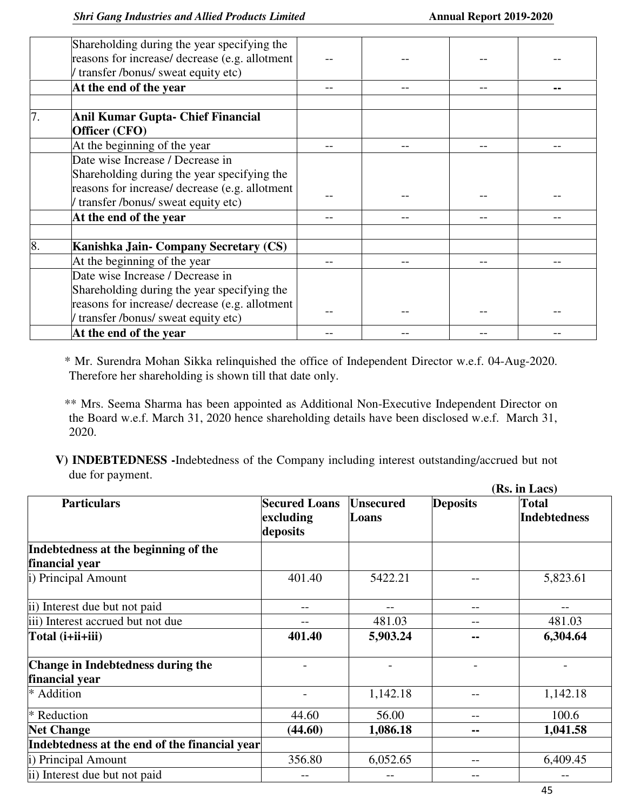|     | Shareholding during the year specifying the    |  |  |
|-----|------------------------------------------------|--|--|
|     | reasons for increase/ decrease (e.g. allotment |  |  |
|     | / transfer /bonus/ sweat equity etc)           |  |  |
|     | At the end of the year                         |  |  |
|     |                                                |  |  |
| 17. | <b>Anil Kumar Gupta- Chief Financial</b>       |  |  |
|     | Officer (CFO)                                  |  |  |
|     | At the beginning of the year                   |  |  |
|     | Date wise Increase / Decrease in               |  |  |
|     | Shareholding during the year specifying the    |  |  |
|     | reasons for increase/ decrease (e.g. allotment |  |  |
|     | / transfer /bonus/ sweat equity etc)           |  |  |
|     | At the end of the year                         |  |  |
|     |                                                |  |  |
| 8.  | Kanishka Jain- Company Secretary (CS)          |  |  |
|     | At the beginning of the year                   |  |  |
|     | Date wise Increase / Decrease in               |  |  |
|     | Shareholding during the year specifying the    |  |  |
|     | reasons for increase/ decrease (e.g. allotment |  |  |
|     | / transfer /bonus/ sweat equity etc)           |  |  |
|     | At the end of the year                         |  |  |
|     |                                                |  |  |

\* Mr. Surendra Mohan Sikka relinquished the office of Independent Director w.e.f. 04-Aug-2020. Therefore her shareholding is shown till that date only.

\*\* Mrs. Seema Sharma has been appointed as Additional Non-Executive Independent Director on the Board w.e.f. March 31, 2020 hence shareholding details have been disclosed w.e.f. March 31, 2020.

**V) INDEBTEDNESS -**Indebtedness of the Company including interest outstanding/accrued but not due for payment.

|                                               |                                               | (Rs. in Lacs)             |                 |                                     |
|-----------------------------------------------|-----------------------------------------------|---------------------------|-----------------|-------------------------------------|
| <b>Particulars</b>                            | <b>Secured Loans</b><br>excluding<br>deposits | <b>Unsecured</b><br>Loans | <b>Deposits</b> | <b>Total</b><br><b>Indebtedness</b> |
| Indebtedness at the beginning of the          |                                               |                           |                 |                                     |
| financial year                                |                                               |                           |                 |                                     |
| i) Principal Amount                           | 401.40                                        | 5422.21                   |                 | 5,823.61                            |
| ii) Interest due but not paid                 |                                               |                           | --              |                                     |
| iii) Interest accrued but not due             |                                               | 481.03                    |                 | 481.03                              |
| Total (i+ii+iii)                              | 401.40                                        | 5,903.24                  |                 | 6,304.64                            |
| Change in Indebtedness during the             |                                               |                           |                 |                                     |
| financial year                                |                                               |                           |                 |                                     |
| * Addition                                    |                                               | 1,142.18                  |                 | 1,142.18                            |
| * Reduction                                   | 44.60                                         | 56.00                     |                 | 100.6                               |
| <b>Net Change</b>                             | (44.60)                                       | 1,086.18                  | --              | 1,041.58                            |
| Indebtedness at the end of the financial year |                                               |                           |                 |                                     |
| i) Principal Amount                           | 356.80                                        | 6,052.65                  |                 | 6,409.45                            |
| ii) Interest due but not paid                 | $- -$                                         | --                        | --              |                                     |
|                                               |                                               |                           |                 | 45                                  |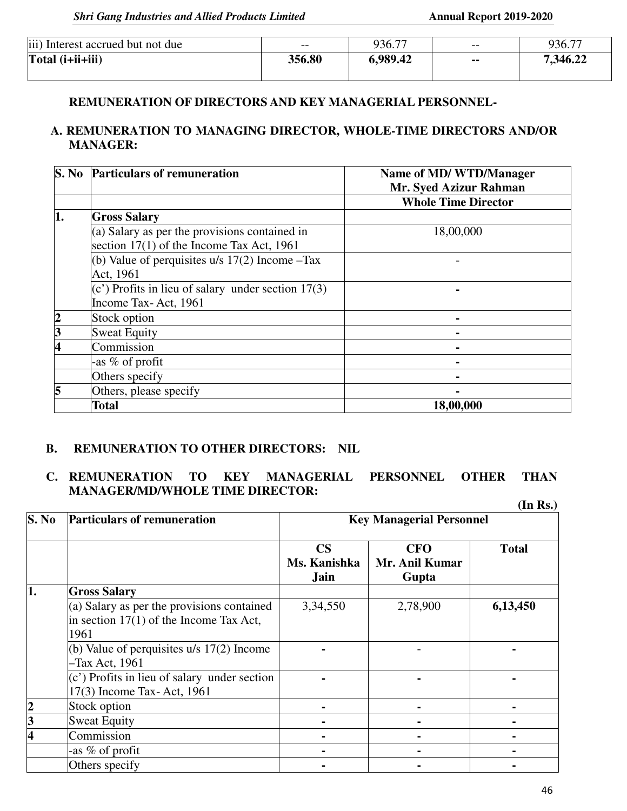| iii) Interest accrued but not due | $- -$  | 936.77   | $- -$         | 936.77   |
|-----------------------------------|--------|----------|---------------|----------|
| $Total (i+ii+iii)$                | 356.80 | 6,989.42 | $\sim$ $\sim$ | 7,346.22 |
|                                   |        |          |               |          |

## **REMUNERATION OF DIRECTORS AND KEY MANAGERIAL PERSONNEL-**

## **A. REMUNERATION TO MANAGING DIRECTOR, WHOLE-TIME DIRECTORS AND/OR MANAGER:**

|                         | <b>S. No</b> Particulars of remuneration             | Name of MD/WTD/Manager     |
|-------------------------|------------------------------------------------------|----------------------------|
|                         |                                                      | Mr. Syed Azizur Rahman     |
|                         |                                                      | <b>Whole Time Director</b> |
| 1.                      | <b>Gross Salary</b>                                  |                            |
|                         | (a) Salary as per the provisions contained in        | 18,00,000                  |
|                         | section $17(1)$ of the Income Tax Act, 1961          |                            |
|                         | (b) Value of perquisites $u/s$ 17(2) Income $-Tax$   |                            |
|                         | Act, 1961                                            |                            |
|                         | $(c')$ Profits in lieu of salary under section 17(3) |                            |
|                         | Income Tax-Act, 1961                                 |                            |
| $\overline{2}$          | Stock option                                         |                            |
| $\overline{\mathbf{3}}$ | <b>Sweat Equity</b>                                  |                            |
| $\overline{\mathbf{4}}$ | Commission                                           |                            |
|                         | -as % of profit                                      |                            |
|                         | Others specify                                       |                            |
| 5                       | Others, please specify                               |                            |
|                         | Total                                                | 18,00,000                  |

## **B. REMUNERATION TO OTHER DIRECTORS: NIL**

## **C. REMUNERATION TO KEY MANAGERIAL PERSONNEL OTHER THAN MANAGER/MD/WHOLE TIME DIRECTOR:**

**(In Rs.)** 

| S. No                   | <b>Particulars of remuneration</b>                                                              | <b>Key Managerial Personnel</b>   |                                       |              |  |  |  |
|-------------------------|-------------------------------------------------------------------------------------------------|-----------------------------------|---------------------------------------|--------------|--|--|--|
|                         |                                                                                                 | <b>CS</b><br>Ms. Kanishka<br>Jain | <b>CFO</b><br>Mr. Anil Kumar<br>Gupta | <b>Total</b> |  |  |  |
| 1.                      | <b>Gross Salary</b>                                                                             |                                   |                                       |              |  |  |  |
|                         | (a) Salary as per the provisions contained<br>in section $17(1)$ of the Income Tax Act,<br>1961 | 3,34,550                          | 2,78,900                              | 6,13,450     |  |  |  |
|                         | (b) Value of perquisites $u/s$ 17(2) Income<br>$-Tax$ Act, 1961                                 |                                   |                                       |              |  |  |  |
|                         | $(c')$ Profits in lieu of salary under section<br>17(3) Income Tax-Act, 1961                    |                                   |                                       |              |  |  |  |
| $\overline{2}$          | Stock option                                                                                    |                                   |                                       |              |  |  |  |
| $\overline{\mathbf{3}}$ | <b>Sweat Equity</b>                                                                             |                                   |                                       |              |  |  |  |
| 4                       | Commission                                                                                      |                                   |                                       |              |  |  |  |
|                         | -as % of profit                                                                                 |                                   |                                       |              |  |  |  |
|                         | Others specify                                                                                  |                                   |                                       |              |  |  |  |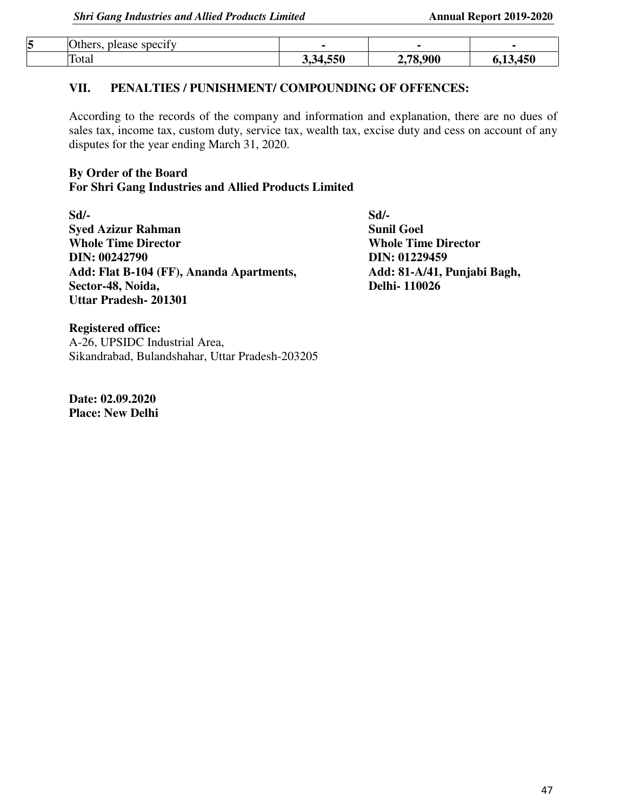| - | Others,<br>please specify |          |          |          |  |
|---|---------------------------|----------|----------|----------|--|
|   | Total                     | 3,34,550 | 2,78,900 | $-3,450$ |  |

### **VII. PENALTIES / PUNISHMENT/ COMPOUNDING OF OFFENCES:**

According to the records of the company and information and explanation, there are no dues of sales tax, income tax, custom duty, service tax, wealth tax, excise duty and cess on account of any disputes for the year ending March 31, 2020.

## **By Order of the Board For Shri Gang Industries and Allied Products Limited**

**Sd/- Sd/- Syed Azizur Rahman Sunil Goel Sunil Goel Sunil Goel Whole Time Sunit Report Sunit Report Sunit Report Sunit Report Sunit Report Sunit Report Sunit Report Sunit Report Sunit Report Sunit Report Sunit Report Sunit Report Su DIN: 00242790 DIN: 01229459**  Add: Flat B-104 (FF), Ananda Apartments, Add: 81-A/41, Punjabi Bagh, **Sector-48, Noida, Delhi- 110026 Uttar Pradesh- 201301** 

**Whole Time Director** 

**Registered office:**  A-26, UPSIDC Industrial Area, Sikandrabad, Bulandshahar, Uttar Pradesh-203205

**Date: 02.09.2020 Place: New Delhi**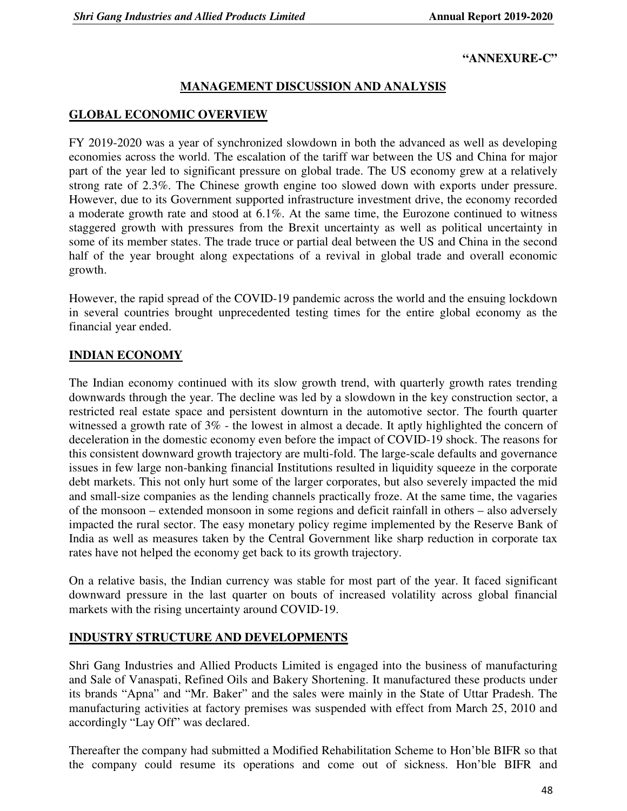#### **"ANNEXURE-C"**

## **MANAGEMENT DISCUSSION AND ANALYSIS**

#### **GLOBAL ECONOMIC OVERVIEW**

FY 2019-2020 was a year of synchronized slowdown in both the advanced as well as developing economies across the world. The escalation of the tariff war between the US and China for major part of the year led to significant pressure on global trade. The US economy grew at a relatively strong rate of 2.3%. The Chinese growth engine too slowed down with exports under pressure. However, due to its Government supported infrastructure investment drive, the economy recorded a moderate growth rate and stood at 6.1%. At the same time, the Eurozone continued to witness staggered growth with pressures from the Brexit uncertainty as well as political uncertainty in some of its member states. The trade truce or partial deal between the US and China in the second half of the year brought along expectations of a revival in global trade and overall economic growth.

However, the rapid spread of the COVID-19 pandemic across the world and the ensuing lockdown in several countries brought unprecedented testing times for the entire global economy as the financial year ended.

## **INDIAN ECONOMY**

The Indian economy continued with its slow growth trend, with quarterly growth rates trending downwards through the year. The decline was led by a slowdown in the key construction sector, a restricted real estate space and persistent downturn in the automotive sector. The fourth quarter witnessed a growth rate of 3% - the lowest in almost a decade. It aptly highlighted the concern of deceleration in the domestic economy even before the impact of COVID-19 shock. The reasons for this consistent downward growth trajectory are multi-fold. The large-scale defaults and governance issues in few large non-banking financial Institutions resulted in liquidity squeeze in the corporate debt markets. This not only hurt some of the larger corporates, but also severely impacted the mid and small-size companies as the lending channels practically froze. At the same time, the vagaries of the monsoon – extended monsoon in some regions and deficit rainfall in others – also adversely impacted the rural sector. The easy monetary policy regime implemented by the Reserve Bank of India as well as measures taken by the Central Government like sharp reduction in corporate tax rates have not helped the economy get back to its growth trajectory.

On a relative basis, the Indian currency was stable for most part of the year. It faced significant downward pressure in the last quarter on bouts of increased volatility across global financial markets with the rising uncertainty around COVID-19.

## **INDUSTRY STRUCTURE AND DEVELOPMENTS**

Shri Gang Industries and Allied Products Limited is engaged into the business of manufacturing and Sale of Vanaspati, Refined Oils and Bakery Shortening. It manufactured these products under its brands "Apna" and "Mr. Baker" and the sales were mainly in the State of Uttar Pradesh. The manufacturing activities at factory premises was suspended with effect from March 25, 2010 and accordingly "Lay Off" was declared.

Thereafter the company had submitted a Modified Rehabilitation Scheme to Hon'ble BIFR so that the company could resume its operations and come out of sickness. Hon'ble BIFR and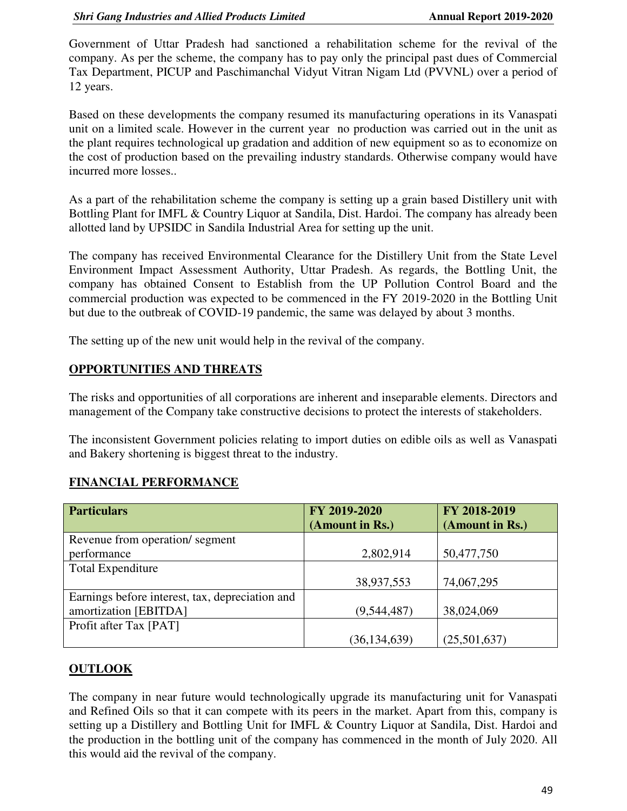Government of Uttar Pradesh had sanctioned a rehabilitation scheme for the revival of the company. As per the scheme, the company has to pay only the principal past dues of Commercial Tax Department, PICUP and Paschimanchal Vidyut Vitran Nigam Ltd (PVVNL) over a period of 12 years.

Based on these developments the company resumed its manufacturing operations in its Vanaspati unit on a limited scale. However in the current year no production was carried out in the unit as the plant requires technological up gradation and addition of new equipment so as to economize on the cost of production based on the prevailing industry standards. Otherwise company would have incurred more losses..

As a part of the rehabilitation scheme the company is setting up a grain based Distillery unit with Bottling Plant for IMFL & Country Liquor at Sandila, Dist. Hardoi. The company has already been allotted land by UPSIDC in Sandila Industrial Area for setting up the unit.

The company has received Environmental Clearance for the Distillery Unit from the State Level Environment Impact Assessment Authority, Uttar Pradesh. As regards, the Bottling Unit, the company has obtained Consent to Establish from the UP Pollution Control Board and the commercial production was expected to be commenced in the FY 2019-2020 in the Bottling Unit but due to the outbreak of COVID-19 pandemic, the same was delayed by about 3 months.

The setting up of the new unit would help in the revival of the company.

## **OPPORTUNITIES AND THREATS**

The risks and opportunities of all corporations are inherent and inseparable elements. Directors and management of the Company take constructive decisions to protect the interests of stakeholders.

The inconsistent Government policies relating to import duties on edible oils as well as Vanaspati and Bakery shortening is biggest threat to the industry.

## **FINANCIAL PERFORMANCE**

| <b>Particulars</b>                              | FY 2019-2020    | FY 2018-2019    |
|-------------------------------------------------|-----------------|-----------------|
|                                                 | (Amount in Rs.) | (Amount in Rs.) |
| Revenue from operation/segment                  |                 |                 |
| performance                                     | 2,802,914       | 50,477,750      |
| <b>Total Expenditure</b>                        |                 |                 |
|                                                 | 38,937,553      | 74,067,295      |
| Earnings before interest, tax, depreciation and |                 |                 |
| amortization [EBITDA]                           | (9,544,487)     | 38,024,069      |
| Profit after Tax [PAT]                          |                 |                 |
|                                                 | (36, 134, 639)  | (25,501,637)    |

## **OUTLOOK**

The company in near future would technologically upgrade its manufacturing unit for Vanaspati and Refined Oils so that it can compete with its peers in the market. Apart from this, company is setting up a Distillery and Bottling Unit for IMFL & Country Liquor at Sandila, Dist. Hardoi and the production in the bottling unit of the company has commenced in the month of July 2020. All this would aid the revival of the company.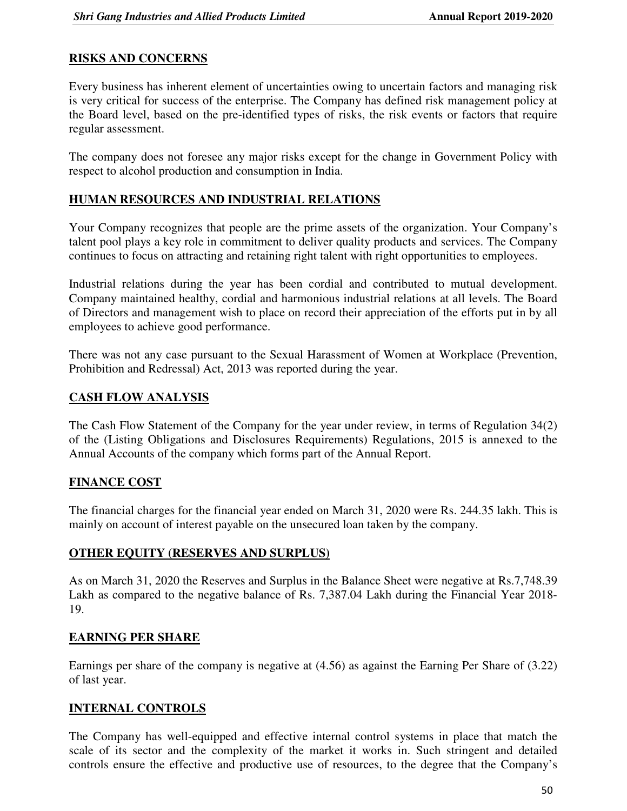## **RISKS AND CONCERNS**

Every business has inherent element of uncertainties owing to uncertain factors and managing risk is very critical for success of the enterprise. The Company has defined risk management policy at the Board level, based on the pre-identified types of risks, the risk events or factors that require regular assessment.

The company does not foresee any major risks except for the change in Government Policy with respect to alcohol production and consumption in India.

#### **HUMAN RESOURCES AND INDUSTRIAL RELATIONS**

Your Company recognizes that people are the prime assets of the organization. Your Company's talent pool plays a key role in commitment to deliver quality products and services. The Company continues to focus on attracting and retaining right talent with right opportunities to employees.

Industrial relations during the year has been cordial and contributed to mutual development. Company maintained healthy, cordial and harmonious industrial relations at all levels. The Board of Directors and management wish to place on record their appreciation of the efforts put in by all employees to achieve good performance.

There was not any case pursuant to the Sexual Harassment of Women at Workplace (Prevention, Prohibition and Redressal) Act, 2013 was reported during the year.

#### **CASH FLOW ANALYSIS**

The Cash Flow Statement of the Company for the year under review, in terms of Regulation 34(2) of the (Listing Obligations and Disclosures Requirements) Regulations, 2015 is annexed to the Annual Accounts of the company which forms part of the Annual Report.

#### **FINANCE COST**

The financial charges for the financial year ended on March 31, 2020 were Rs. 244.35 lakh. This is mainly on account of interest payable on the unsecured loan taken by the company.

## **OTHER EQUITY (RESERVES AND SURPLUS)**

As on March 31, 2020 the Reserves and Surplus in the Balance Sheet were negative at Rs.7,748.39 Lakh as compared to the negative balance of Rs. 7,387.04 Lakh during the Financial Year 2018- 19.

#### **EARNING PER SHARE**

Earnings per share of the company is negative at (4.56) as against the Earning Per Share of (3.22) of last year.

#### **INTERNAL CONTROLS**

The Company has well-equipped and effective internal control systems in place that match the scale of its sector and the complexity of the market it works in. Such stringent and detailed controls ensure the effective and productive use of resources, to the degree that the Company's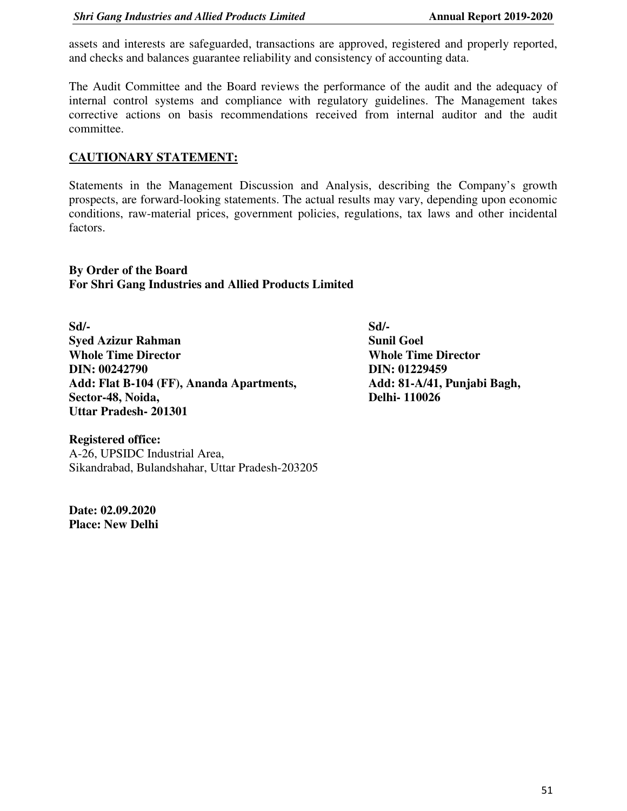assets and interests are safeguarded, transactions are approved, registered and properly reported, and checks and balances guarantee reliability and consistency of accounting data.

The Audit Committee and the Board reviews the performance of the audit and the adequacy of internal control systems and compliance with regulatory guidelines. The Management takes corrective actions on basis recommendations received from internal auditor and the audit committee.

## **CAUTIONARY STATEMENT:**

Statements in the Management Discussion and Analysis, describing the Company's growth prospects, are forward-looking statements. The actual results may vary, depending upon economic conditions, raw-material prices, government policies, regulations, tax laws and other incidental factors.

## **By Order of the Board For Shri Gang Industries and Allied Products Limited**

**Sd/- Sd/- Syed Azizur Rahman** Sunil Goel **Sunil Goel Whole Time Director Whole Time Director DIN: 00242790 DIN: 01229459**  Add: Flat B-104 (FF), Ananda Apartments, Add: 81-A/41, Punjabi Bagh, **Sector-48, Noida, Delhi- 110026 Uttar Pradesh- 201301** 

**Registered office:**  A-26, UPSIDC Industrial Area, Sikandrabad, Bulandshahar, Uttar Pradesh-203205

**Date: 02.09.2020 Place: New Delhi**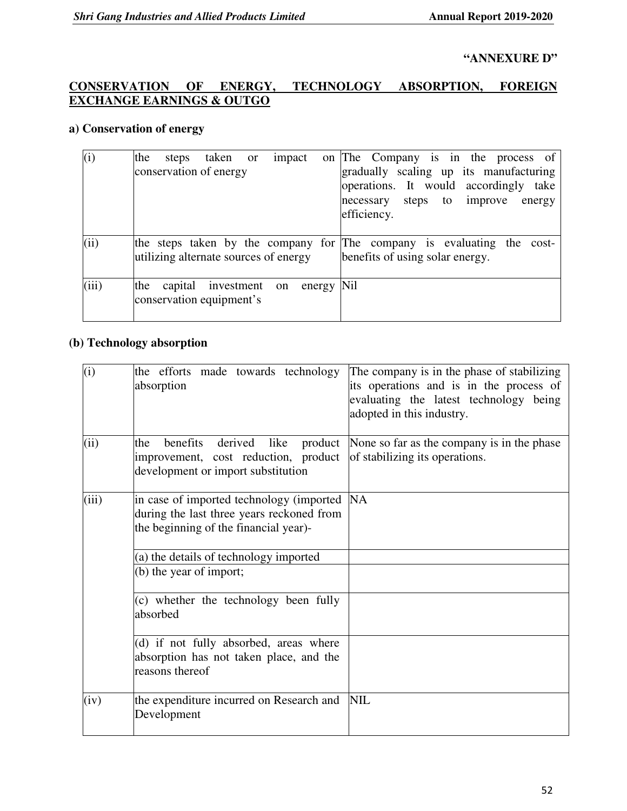## **"ANNEXURE D"**

## **CONSERVATION OF ENERGY, TECHNOLOGY ABSORPTION, FOREIGN EXCHANGE EARNINGS & OUTGO**

## **a) Conservation of energy**

| (i)   | the<br>taken<br>impact<br>steps<br><sub>or</sub><br><sub>on</sub>           | The Company is in the process of                                                |
|-------|-----------------------------------------------------------------------------|---------------------------------------------------------------------------------|
|       | conservation of energy                                                      | gradually scaling up its manufacturing<br>operations. It would accordingly take |
|       |                                                                             | improve<br>steps<br>to<br>energy<br>necessary<br>efficiency.                    |
| (ii)  | the steps taken by the company for<br>utilizing alternate sources of energy | The company is evaluating the cost-<br>benefits of using solar energy.          |
| (iii) | capital investment<br>the<br>energy<br>on<br>conservation equipment's       | Nil                                                                             |

## **(b) Technology absorption**

| (i)   | the efforts made towards technology<br>absorption                                                                                                                                                    | The company is in the phase of stabilizing<br>its operations and is in the process of<br>evaluating the latest technology being<br>adopted in this industry. |
|-------|------------------------------------------------------------------------------------------------------------------------------------------------------------------------------------------------------|--------------------------------------------------------------------------------------------------------------------------------------------------------------|
| (ii)  | benefits<br>derived<br>like<br>the<br>improvement, cost reduction, product<br>development or import substitution                                                                                     | product None so far as the company is in the phase<br>of stabilizing its operations.                                                                         |
| (iii) | in case of imported technology (imported)<br>during the last three years reckoned from<br>the beginning of the financial year)-<br>(a) the details of technology imported<br>(b) the year of import; | NA                                                                                                                                                           |
|       | (c) whether the technology been fully<br>absorbed                                                                                                                                                    |                                                                                                                                                              |
|       | (d) if not fully absorbed, areas where<br>absorption has not taken place, and the<br>reasons thereof                                                                                                 |                                                                                                                                                              |
| (iv)  | the expenditure incurred on Research and<br>Development                                                                                                                                              | <b>NIL</b>                                                                                                                                                   |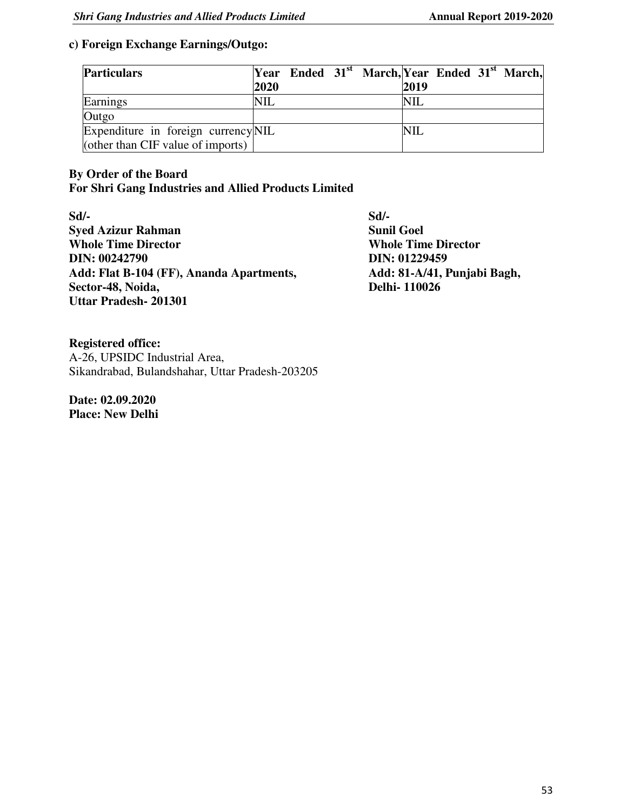### **c) Foreign Exchange Earnings/Outgo:**

| <b>Particulars</b>                  |           |  | Year Ended 31 <sup>st</sup> March, Year Ended 31 <sup>st</sup> March, |            |  |  |
|-------------------------------------|-----------|--|-----------------------------------------------------------------------|------------|--|--|
|                                     | 2020      |  |                                                                       | 2019       |  |  |
| Earnings                            | $\rm NIL$ |  |                                                                       | NIL        |  |  |
| Outgo                               |           |  |                                                                       |            |  |  |
| Expenditure in foreign currency NIL |           |  |                                                                       | <b>NIL</b> |  |  |
| (other than CIF value of imports)   |           |  |                                                                       |            |  |  |

## **By Order of the Board**

## **For Shri Gang Industries and Allied Products Limited**

**Sd/- Sd/- Syed Azizur Rahman** Sunil Goel **Whole Time Director Whole Time Director DIN: 00242790**<br> **DIN: 01229459**<br> **Add: Flat B-104 (FF), Ananda Apartments, Add: 81-A/41, Punjabi Bagh,** Add: Flat B-104 (FF), Ananda Apartments, **Sector-48, Noida, Delhi- 110026 Uttar Pradesh- 201301** 

**Registered office:**  A-26, UPSIDC Industrial Area, Sikandrabad, Bulandshahar, Uttar Pradesh-203205

**Date: 02.09.2020 Place: New Delhi**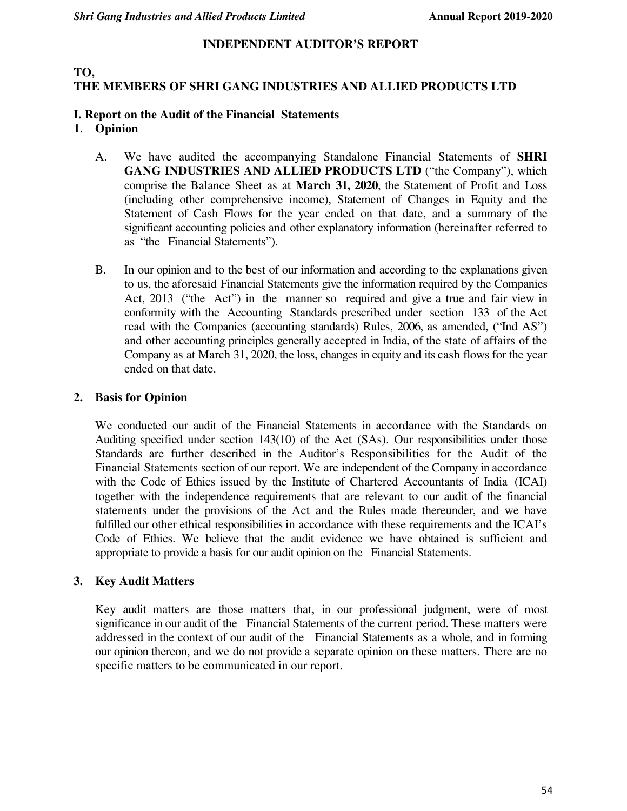## **INDEPENDENT AUDITOR'S REPORT**

#### **TO, THE MEMBERS OF SHRI GANG INDUSTRIES AND ALLIED PRODUCTS LTD**

## **I. Report on the Audit of the Financial Statements**

- **1**. **Opinion** 
	- A. We have audited the accompanying Standalone Financial Statements of **SHRI GANG INDUSTRIES AND ALLIED PRODUCTS LTD** ("the Company"), which comprise the Balance Sheet as at **March 31, 2020**, the Statement of Profit and Loss (including other comprehensive income), Statement of Changes in Equity and the Statement of Cash Flows for the year ended on that date, and a summary of the significant accounting policies and other explanatory information (hereinafter referred to as "the Financial Statements").
	- B. In our opinion and to the best of our information and according to the explanations given to us, the aforesaid Financial Statements give the information required by the Companies Act, 2013 ("the Act") in the manner so required and give a true and fair view in conformity with the Accounting Standards prescribed under section 133 of the Act read with the Companies (accounting standards) Rules, 2006, as amended, ("Ind AS") and other accounting principles generally accepted in India, of the state of affairs of the Company as at March 31, 2020, the loss, changes in equity and its cash flows for the year ended on that date.

#### **2. Basis for Opinion**

We conducted our audit of the Financial Statements in accordance with the Standards on Auditing specified under section 143(10) of the Act (SAs). Our responsibilities under those Standards are further described in the Auditor's Responsibilities for the Audit of the Financial Statements section of our report. We are independent of the Company in accordance with the Code of Ethics issued by the Institute of Chartered Accountants of India (ICAI) together with the independence requirements that are relevant to our audit of the financial statements under the provisions of the Act and the Rules made thereunder, and we have fulfilled our other ethical responsibilities in accordance with these requirements and the ICAI's Code of Ethics. We believe that the audit evidence we have obtained is sufficient and appropriate to provide a basis for our audit opinion on the Financial Statements.

#### **3. Key Audit Matters**

Key audit matters are those matters that, in our professional judgment, were of most significance in our audit of the Financial Statements of the current period. These matters were addressed in the context of our audit of the Financial Statements as a whole, and in forming our opinion thereon, and we do not provide a separate opinion on these matters. There are no specific matters to be communicated in our report.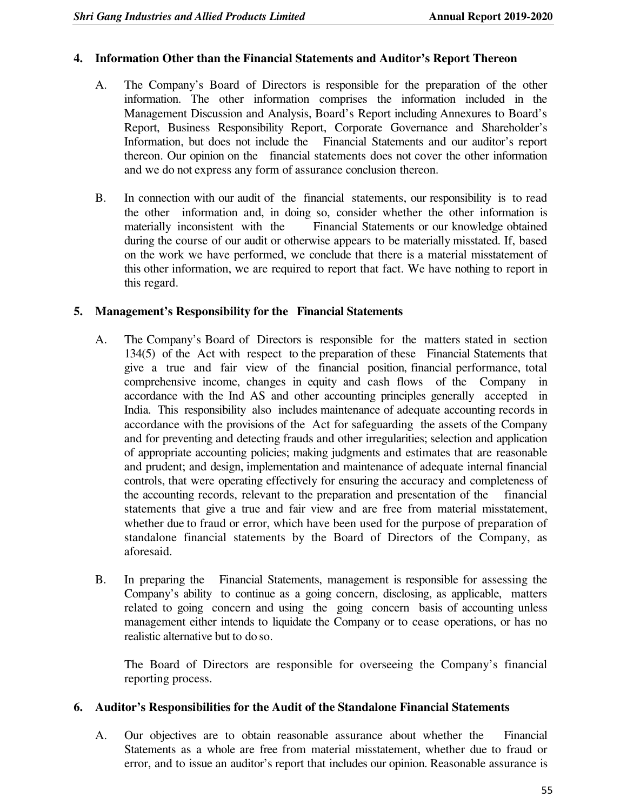#### **4. Information Other than the Financial Statements and Auditor's Report Thereon**

- A. The Company's Board of Directors is responsible for the preparation of the other information. The other information comprises the information included in the Management Discussion and Analysis, Board's Report including Annexures to Board's Report, Business Responsibility Report, Corporate Governance and Shareholder's Information, but does not include the Financial Statements and our auditor's report thereon. Our opinion on the financial statements does not cover the other information and we do not express any form of assurance conclusion thereon.
- B. In connection with our audit of the financial statements, our responsibility is to read the other information and, in doing so, consider whether the other information is materially inconsistent with the Financial Statements or our knowledge obtained during the course of our audit or otherwise appears to be materially misstated. If, based on the work we have performed, we conclude that there is a material misstatement of this other information, we are required to report that fact. We have nothing to report in this regard.

#### **5. Management's Responsibility for the Financial Statements**

- A. The Company's Board of Directors is responsible for the matters stated in section 134(5) of the Act with respect to the preparation of these Financial Statements that give a true and fair view of the financial position, financial performance, total comprehensive income, changes in equity and cash flows of the Company in accordance with the Ind AS and other accounting principles generally accepted in India. This responsibility also includes maintenance of adequate accounting records in accordance with the provisions of the Act for safeguarding the assets of the Company and for preventing and detecting frauds and other irregularities; selection and application of appropriate accounting policies; making judgments and estimates that are reasonable and prudent; and design, implementation and maintenance of adequate internal financial controls, that were operating effectively for ensuring the accuracy and completeness of the accounting records, relevant to the preparation and presentation of the financial statements that give a true and fair view and are free from material misstatement, whether due to fraud or error, which have been used for the purpose of preparation of standalone financial statements by the Board of Directors of the Company, as aforesaid.
- B. In preparing the Financial Statements, management is responsible for assessing the Company's ability to continue as a going concern, disclosing, as applicable, matters related to going concern and using the going concern basis of accounting unless management either intends to liquidate the Company or to cease operations, or has no realistic alternative but to do so.

The Board of Directors are responsible for overseeing the Company's financial reporting process.

#### **6. Auditor's Responsibilities for the Audit of the Standalone Financial Statements**

 A. Our objectives are to obtain reasonable assurance about whether the Financial Statements as a whole are free from material misstatement, whether due to fraud or error, and to issue an auditor's report that includes our opinion. Reasonable assurance is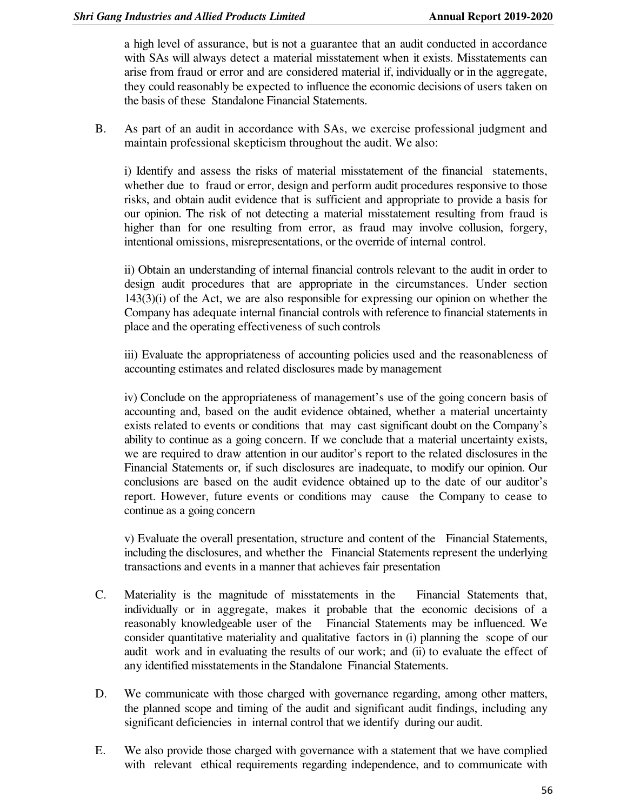a high level of assurance, but is not a guarantee that an audit conducted in accordance with SAs will always detect a material misstatement when it exists. Misstatements can arise from fraud or error and are considered material if, individually or in the aggregate, they could reasonably be expected to influence the economic decisions of users taken on the basis of these Standalone Financial Statements.

B. As part of an audit in accordance with SAs, we exercise professional judgment and maintain professional skepticism throughout the audit. We also:

 i) Identify and assess the risks of material misstatement of the financial statements, whether due to fraud or error, design and perform audit procedures responsive to those risks, and obtain audit evidence that is sufficient and appropriate to provide a basis for our opinion. The risk of not detecting a material misstatement resulting from fraud is higher than for one resulting from error, as fraud may involve collusion, forgery, intentional omissions, misrepresentations, or the override of internal control.

 ii) Obtain an understanding of internal financial controls relevant to the audit in order to design audit procedures that are appropriate in the circumstances. Under section 143(3)(i) of the Act, we are also responsible for expressing our opinion on whether the Company has adequate internal financial controls with reference to financial statements in place and the operating effectiveness of such controls

 iii) Evaluate the appropriateness of accounting policies used and the reasonableness of accounting estimates and related disclosures made by management

 iv) Conclude on the appropriateness of management's use of the going concern basis of accounting and, based on the audit evidence obtained, whether a material uncertainty exists related to events or conditions that may cast significant doubt on the Company's ability to continue as a going concern. If we conclude that a material uncertainty exists, we are required to draw attention in our auditor's report to the related disclosures in the Financial Statements or, if such disclosures are inadequate, to modify our opinion. Our conclusions are based on the audit evidence obtained up to the date of our auditor's report. However, future events or conditions may cause the Company to cease to continue as a going concern

 v) Evaluate the overall presentation, structure and content of the Financial Statements, including the disclosures, and whether the Financial Statements represent the underlying transactions and events in a manner that achieves fair presentation

- C. Materiality is the magnitude of misstatements in the Financial Statements that, individually or in aggregate, makes it probable that the economic decisions of a reasonably knowledgeable user of the Financial Statements may be influenced. We consider quantitative materiality and qualitative factors in (i) planning the scope of our audit work and in evaluating the results of our work; and (ii) to evaluate the effect of any identified misstatements in the Standalone Financial Statements.
- D. We communicate with those charged with governance regarding, among other matters, the planned scope and timing of the audit and significant audit findings, including any significant deficiencies in internal control that we identify during our audit.
- E. We also provide those charged with governance with a statement that we have complied with relevant ethical requirements regarding independence, and to communicate with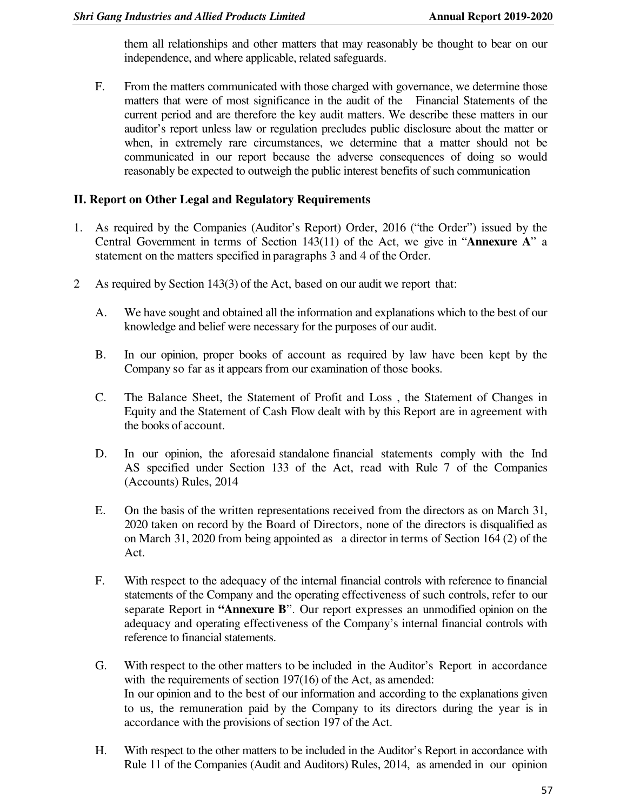them all relationships and other matters that may reasonably be thought to bear on our independence, and where applicable, related safeguards.

 F. From the matters communicated with those charged with governance, we determine those matters that were of most significance in the audit of the Financial Statements of the current period and are therefore the key audit matters. We describe these matters in our auditor's report unless law or regulation precludes public disclosure about the matter or when, in extremely rare circumstances, we determine that a matter should not be communicated in our report because the adverse consequences of doing so would reasonably be expected to outweigh the public interest benefits of such communication

## **II. Report on Other Legal and Regulatory Requirements**

- 1. As required by the Companies (Auditor's Report) Order, 2016 ("the Order") issued by the Central Government in terms of Section 143(11) of the Act, we give in "**Annexure A**" a statement on the matters specified in paragraphs 3 and 4 of the Order.
- 2 As required by Section 143(3) of the Act, based on our audit we report that:
	- A. We have sought and obtained all the information and explanations which to the best of our knowledge and belief were necessary for the purposes of our audit.
	- B. In our opinion, proper books of account as required by law have been kept by the Company so far as it appears from our examination of those books.
	- C. The Balance Sheet, the Statement of Profit and Loss , the Statement of Changes in Equity and the Statement of Cash Flow dealt with by this Report are in agreement with the books of account.
	- D. In our opinion, the aforesaid standalone financial statements comply with the Ind AS specified under Section 133 of the Act, read with Rule 7 of the Companies (Accounts) Rules, 2014
	- E. On the basis of the written representations received from the directors as on March 31, 2020 taken on record by the Board of Directors, none of the directors is disqualified as on March 31, 2020 from being appointed as a director in terms of Section 164 (2) of the Act.
	- F. With respect to the adequacy of the internal financial controls with reference to financial statements of the Company and the operating effectiveness of such controls, refer to our separate Report in **"Annexure B**". Our report expresses an unmodified opinion on the adequacy and operating effectiveness of the Company's internal financial controls with reference to financial statements.
	- G. With respect to the other matters to be included in the Auditor's Report in accordance with the requirements of section 197(16) of the Act, as amended: In our opinion and to the best of our information and according to the explanations given to us, the remuneration paid by the Company to its directors during the year is in accordance with the provisions of section 197 of the Act.
	- H. With respect to the other matters to be included in the Auditor's Report in accordance with Rule 11 of the Companies (Audit and Auditors) Rules, 2014, as amended in our opinion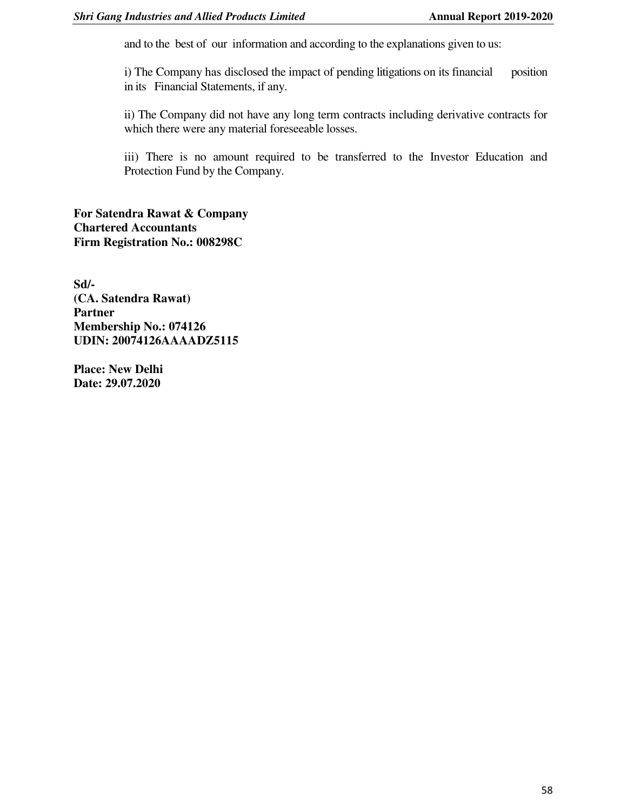and to the best of our information and according to the explanations given to us:

 i) The Company has disclosed the impact of pending litigations on its financial position in its Financial Statements, if any.

 ii) The Company did not have any long term contracts including derivative contracts for which there were any material foreseeable losses.

 iii) There is no amount required to be transferred to the Investor Education and Protection Fund by the Company.

**For Satendra Rawat & Company Chartered Accountants Firm Registration No.: 008298C** 

**Sd/- (CA. Satendra Rawat) Partner Membership No.: 074126 UDIN: 20074126AAAADZ5115** 

**Place: New Delhi Date: 29.07.2020**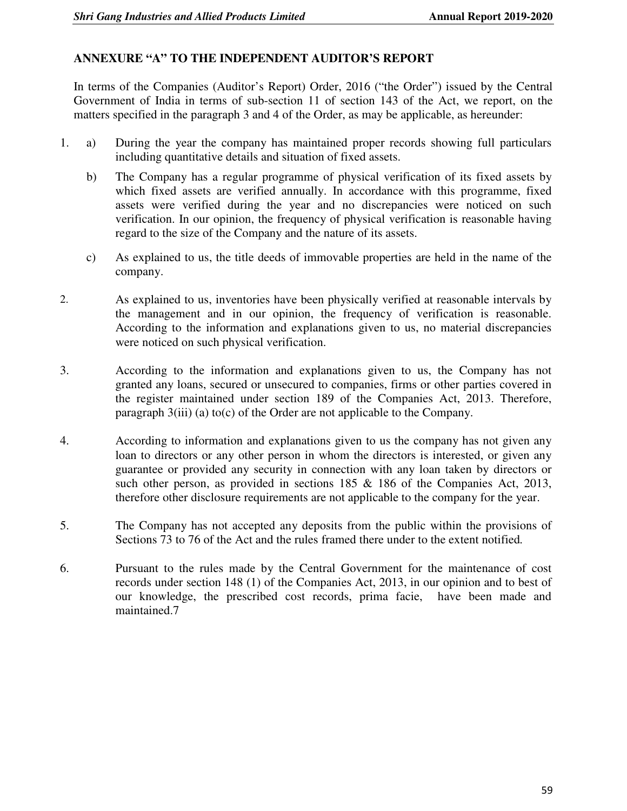## **ANNEXURE "A" TO THE INDEPENDENT AUDITOR'S REPORT**

In terms of the Companies (Auditor's Report) Order, 2016 ("the Order") issued by the Central Government of India in terms of sub-section 11 of section 143 of the Act, we report, on the matters specified in the paragraph 3 and 4 of the Order, as may be applicable, as hereunder:

- 1. a) During the year the company has maintained proper records showing full particulars including quantitative details and situation of fixed assets.
	- b) The Company has a regular programme of physical verification of its fixed assets by which fixed assets are verified annually. In accordance with this programme, fixed assets were verified during the year and no discrepancies were noticed on such verification. In our opinion, the frequency of physical verification is reasonable having regard to the size of the Company and the nature of its assets.
	- c) As explained to us, the title deeds of immovable properties are held in the name of the company.
- 2. As explained to us, inventories have been physically verified at reasonable intervals by the management and in our opinion, the frequency of verification is reasonable. According to the information and explanations given to us, no material discrepancies were noticed on such physical verification.
- 3. According to the information and explanations given to us, the Company has not granted any loans, secured or unsecured to companies, firms or other parties covered in the register maintained under section 189 of the Companies Act, 2013. Therefore, paragraph 3(iii) (a) to(c) of the Order are not applicable to the Company.
- 4. According to information and explanations given to us the company has not given any loan to directors or any other person in whom the directors is interested, or given any guarantee or provided any security in connection with any loan taken by directors or such other person, as provided in sections 185 & 186 of the Companies Act, 2013, therefore other disclosure requirements are not applicable to the company for the year.
- 5. The Company has not accepted any deposits from the public within the provisions of Sections 73 to 76 of the Act and the rules framed there under to the extent notified*.*
- 6. Pursuant to the rules made by the Central Government for the maintenance of cost records under section 148 (1) of the Companies Act, 2013, in our opinion and to best of our knowledge, the prescribed cost records, prima facie, have been made and maintained.7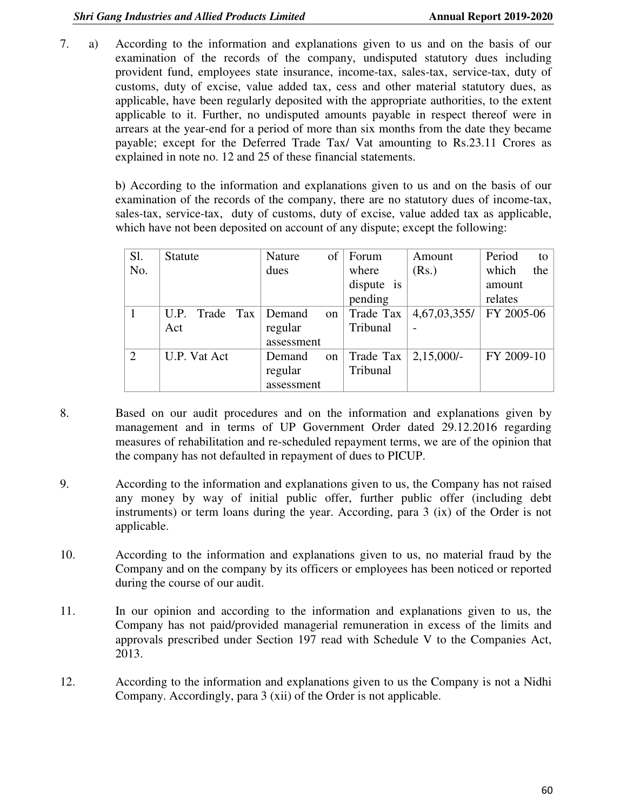7. a) According to the information and explanations given to us and on the basis of our examination of the records of the company, undisputed statutory dues including provident fund, employees state insurance, income-tax, sales-tax, service-tax, duty of customs, duty of excise, value added tax, cess and other material statutory dues, as applicable, have been regularly deposited with the appropriate authorities, to the extent applicable to it. Further, no undisputed amounts payable in respect thereof were in arrears at the year-end for a period of more than six months from the date they became payable; except for the Deferred Trade Tax/ Vat amounting to Rs.23.11 Crores as explained in note no. 12 and 25 of these financial statements.

> b) According to the information and explanations given to us and on the basis of our examination of the records of the company, there are no statutory dues of income-tax, sales-tax, service-tax, duty of customs, duty of excise, value added tax as applicable, which have not been deposited on account of any dispute; except the following:

| Sl. | <b>Statute</b> | of<br>Nature | Forum      | Amount       | Period<br>to |
|-----|----------------|--------------|------------|--------------|--------------|
| No. |                | dues         | where      | (Rs.)        | which<br>the |
|     |                |              | dispute is |              | amount       |
|     |                |              | pending    |              | relates      |
|     | U.P. Trade Tax | Demand<br>on | Trade Tax  | 4,67,03,355/ | FY 2005-06   |
|     | Act            | regular      | Tribunal   |              |              |
|     |                | assessment   |            |              |              |
| 2   | U.P. Vat Act   | Demand<br>on | Trade Tax  | 2,15,000/    | FY 2009-10   |
|     |                | regular      | Tribunal   |              |              |
|     |                | assessment   |            |              |              |

- 8. Based on our audit procedures and on the information and explanations given by management and in terms of UP Government Order dated 29.12.2016 regarding measures of rehabilitation and re-scheduled repayment terms, we are of the opinion that the company has not defaulted in repayment of dues to PICUP.
- 9. According to the information and explanations given to us, the Company has not raised any money by way of initial public offer, further public offer (including debt instruments) or term loans during the year. According, para 3 (ix) of the Order is not applicable.
- 10. According to the information and explanations given to us, no material fraud by the Company and on the company by its officers or employees has been noticed or reported during the course of our audit.
- 11. In our opinion and according to the information and explanations given to us, the Company has not paid/provided managerial remuneration in excess of the limits and approvals prescribed under Section 197 read with Schedule V to the Companies Act, 2013.
- 12. According to the information and explanations given to us the Company is not a Nidhi Company. Accordingly, para 3 (xii) of the Order is not applicable.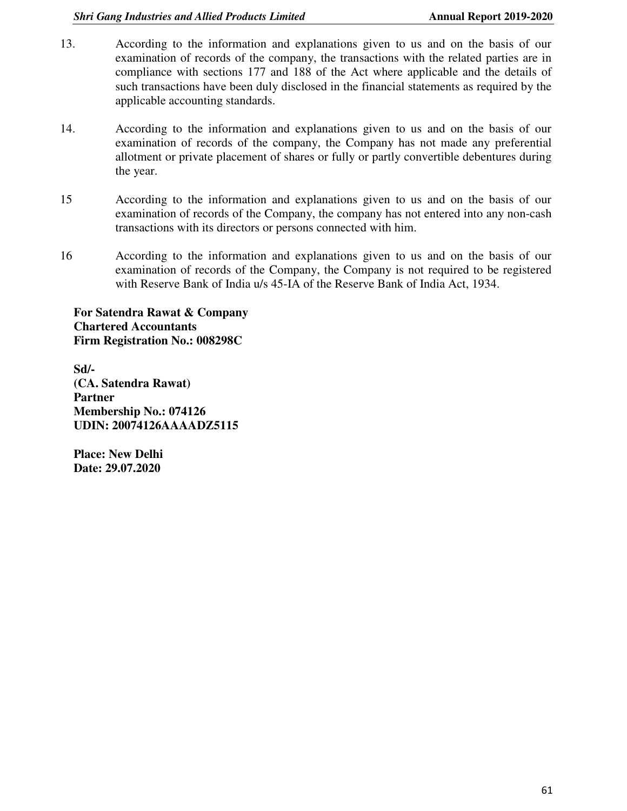- 13. According to the information and explanations given to us and on the basis of our examination of records of the company, the transactions with the related parties are in compliance with sections 177 and 188 of the Act where applicable and the details of such transactions have been duly disclosed in the financial statements as required by the applicable accounting standards.
- 14. According to the information and explanations given to us and on the basis of our examination of records of the company, the Company has not made any preferential allotment or private placement of shares or fully or partly convertible debentures during the year.
- 15 According to the information and explanations given to us and on the basis of our examination of records of the Company, the company has not entered into any non-cash transactions with its directors or persons connected with him.
- 16 According to the information and explanations given to us and on the basis of our examination of records of the Company, the Company is not required to be registered with Reserve Bank of India u/s 45-IA of the Reserve Bank of India Act, 1934.

**For Satendra Rawat & Company Chartered Accountants Firm Registration No.: 008298C** 

**Sd/- (CA. Satendra Rawat) Partner Membership No.: 074126 UDIN: 20074126AAAADZ5115** 

**Place: New Delhi Date: 29.07.2020**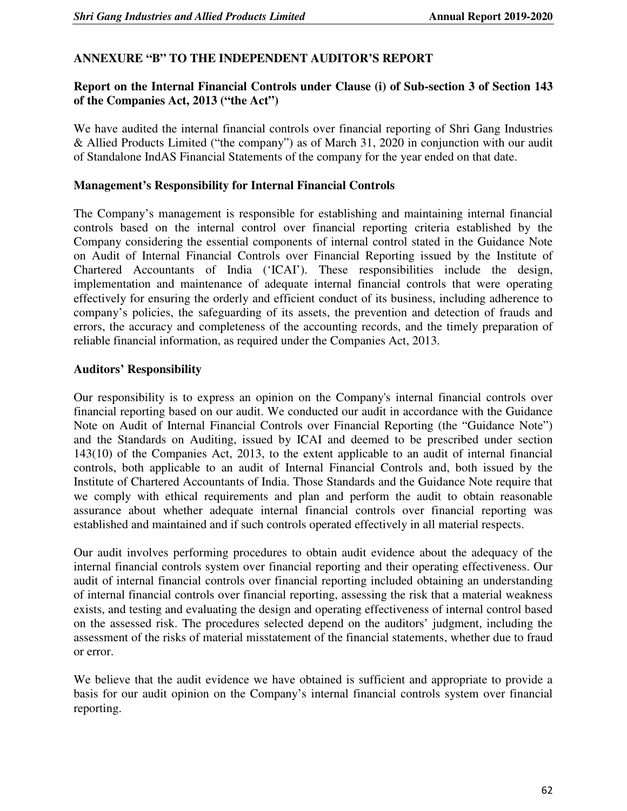## **ANNEXURE "B" TO THE INDEPENDENT AUDITOR'S REPORT**

## **Report on the Internal Financial Controls under Clause (i) of Sub-section 3 of Section 143 of the Companies Act, 2013 ("the Act")**

We have audited the internal financial controls over financial reporting of Shri Gang Industries & Allied Products Limited ("the company") as of March 31, 2020 in conjunction with our audit of Standalone IndAS Financial Statements of the company for the year ended on that date.

#### **Management's Responsibility for Internal Financial Controls**

The Company's management is responsible for establishing and maintaining internal financial controls based on the internal control over financial reporting criteria established by the Company considering the essential components of internal control stated in the Guidance Note on Audit of Internal Financial Controls over Financial Reporting issued by the Institute of Chartered Accountants of India ('ICAI'). These responsibilities include the design, implementation and maintenance of adequate internal financial controls that were operating effectively for ensuring the orderly and efficient conduct of its business, including adherence to company's policies, the safeguarding of its assets, the prevention and detection of frauds and errors, the accuracy and completeness of the accounting records, and the timely preparation of reliable financial information, as required under the Companies Act, 2013.

#### **Auditors' Responsibility**

Our responsibility is to express an opinion on the Company's internal financial controls over financial reporting based on our audit. We conducted our audit in accordance with the Guidance Note on Audit of Internal Financial Controls over Financial Reporting (the "Guidance Note") and the Standards on Auditing, issued by ICAI and deemed to be prescribed under section 143(10) of the Companies Act, 2013, to the extent applicable to an audit of internal financial controls, both applicable to an audit of Internal Financial Controls and, both issued by the Institute of Chartered Accountants of India. Those Standards and the Guidance Note require that we comply with ethical requirements and plan and perform the audit to obtain reasonable assurance about whether adequate internal financial controls over financial reporting was established and maintained and if such controls operated effectively in all material respects.

Our audit involves performing procedures to obtain audit evidence about the adequacy of the internal financial controls system over financial reporting and their operating effectiveness. Our audit of internal financial controls over financial reporting included obtaining an understanding of internal financial controls over financial reporting, assessing the risk that a material weakness exists, and testing and evaluating the design and operating effectiveness of internal control based on the assessed risk. The procedures selected depend on the auditors' judgment, including the assessment of the risks of material misstatement of the financial statements, whether due to fraud or error.

We believe that the audit evidence we have obtained is sufficient and appropriate to provide a basis for our audit opinion on the Company's internal financial controls system over financial reporting.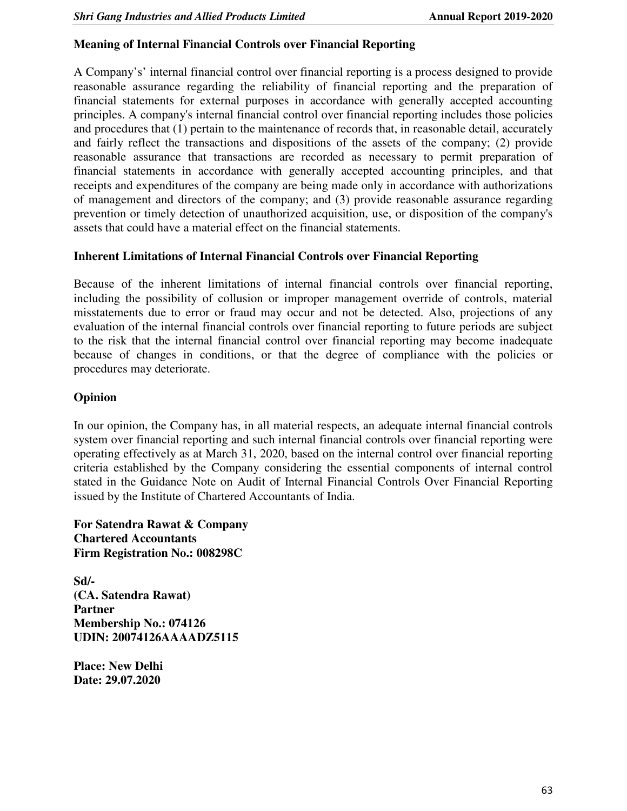## **Meaning of Internal Financial Controls over Financial Reporting**

A Company's' internal financial control over financial reporting is a process designed to provide reasonable assurance regarding the reliability of financial reporting and the preparation of financial statements for external purposes in accordance with generally accepted accounting principles. A company's internal financial control over financial reporting includes those policies and procedures that (1) pertain to the maintenance of records that, in reasonable detail, accurately and fairly reflect the transactions and dispositions of the assets of the company; (2) provide reasonable assurance that transactions are recorded as necessary to permit preparation of financial statements in accordance with generally accepted accounting principles, and that receipts and expenditures of the company are being made only in accordance with authorizations of management and directors of the company; and (3) provide reasonable assurance regarding prevention or timely detection of unauthorized acquisition, use, or disposition of the company's assets that could have a material effect on the financial statements.

## **Inherent Limitations of Internal Financial Controls over Financial Reporting**

Because of the inherent limitations of internal financial controls over financial reporting, including the possibility of collusion or improper management override of controls, material misstatements due to error or fraud may occur and not be detected. Also, projections of any evaluation of the internal financial controls over financial reporting to future periods are subject to the risk that the internal financial control over financial reporting may become inadequate because of changes in conditions, or that the degree of compliance with the policies or procedures may deteriorate.

## **Opinion**

In our opinion, the Company has, in all material respects, an adequate internal financial controls system over financial reporting and such internal financial controls over financial reporting were operating effectively as at March 31, 2020, based on the internal control over financial reporting criteria established by the Company considering the essential components of internal control stated in the Guidance Note on Audit of Internal Financial Controls Over Financial Reporting issued by the Institute of Chartered Accountants of India.

**For Satendra Rawat & Company Chartered Accountants Firm Registration No.: 008298C** 

**Sd/- (CA. Satendra Rawat) Partner Membership No.: 074126 UDIN: 20074126AAAADZ5115** 

**Place: New Delhi Date: 29.07.2020**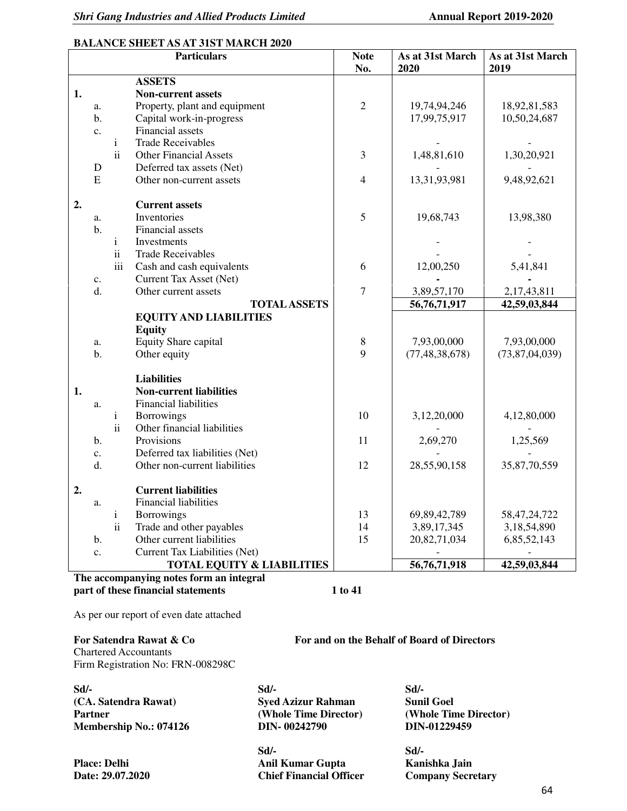#### **BALANCE SHEET AS AT 31ST MARCH 2020**

|    |                                         |                          | <b>Particulars</b>                    | <b>Note</b><br>No. | As at 31st March<br>2020 | As at 31st March<br>2019 |  |  |
|----|-----------------------------------------|--------------------------|---------------------------------------|--------------------|--------------------------|--------------------------|--|--|
|    |                                         |                          | <b>ASSETS</b>                         |                    |                          |                          |  |  |
| 1. |                                         |                          | <b>Non-current assets</b>             |                    |                          |                          |  |  |
|    | a.                                      |                          | Property, plant and equipment         | $\overline{2}$     | 19,74,94,246             | 18,92,81,583             |  |  |
|    | b.                                      |                          | Capital work-in-progress              |                    | 17,99,75,917             | 10,50,24,687             |  |  |
|    | c.                                      |                          | Financial assets                      |                    |                          |                          |  |  |
|    |                                         | $\mathbf{i}$             | <b>Trade Receivables</b>              |                    |                          |                          |  |  |
|    |                                         | $\rm ii$                 | <b>Other Financial Assets</b>         | 3                  | 1,48,81,610              | 1,30,20,921              |  |  |
|    | D                                       |                          | Deferred tax assets (Net)             |                    |                          |                          |  |  |
|    | ${\bf E}$                               |                          | Other non-current assets              | $\overline{4}$     | 13,31,93,981             | 9,48,92,621              |  |  |
|    |                                         |                          |                                       |                    |                          |                          |  |  |
| 2. |                                         |                          | <b>Current assets</b>                 |                    |                          |                          |  |  |
|    | a.                                      |                          | Inventories                           | 5                  | 19,68,743                | 13,98,380                |  |  |
|    | $\mathbf{b}$ .                          |                          | Financial assets                      |                    |                          |                          |  |  |
|    |                                         | $\mathbf{i}$             | <b>Investments</b>                    |                    |                          |                          |  |  |
|    |                                         | $\overline{\textbf{ii}}$ | <b>Trade Receivables</b>              |                    |                          |                          |  |  |
|    |                                         | iii                      | Cash and cash equivalents             | 6                  | 12,00,250                | 5,41,841                 |  |  |
|    | c.                                      |                          | Current Tax Asset (Net)               |                    |                          |                          |  |  |
|    | d.                                      |                          | Other current assets                  | $\overline{7}$     | 3,89,57,170              | 2,17,43,811              |  |  |
|    |                                         |                          | <b>TOTAL ASSETS</b>                   |                    | 56,76,71,917             | 42,59,03,844             |  |  |
|    |                                         |                          | <b>EQUITY AND LIABILITIES</b>         |                    |                          |                          |  |  |
|    |                                         |                          | <b>Equity</b>                         |                    |                          |                          |  |  |
|    | a.                                      |                          | Equity Share capital                  | $\,8\,$            | 7,93,00,000              | 7,93,00,000              |  |  |
|    | b.                                      |                          | Other equity                          | 9                  | (77, 48, 38, 678)        | (73, 87, 04, 039)        |  |  |
|    |                                         |                          |                                       |                    |                          |                          |  |  |
|    |                                         |                          | <b>Liabilities</b>                    |                    |                          |                          |  |  |
| 1. |                                         |                          | <b>Non-current liabilities</b>        |                    |                          |                          |  |  |
|    | a.                                      |                          | <b>Financial liabilities</b>          |                    |                          |                          |  |  |
|    |                                         | $\mathbf{i}$             | <b>Borrowings</b>                     | 10                 | 3,12,20,000              | 4,12,80,000              |  |  |
|    |                                         | $\ddot{\rm ii}$          | Other financial liabilities           |                    |                          |                          |  |  |
|    | b.                                      |                          | Provisions                            | 11                 | 2,69,270                 | 1,25,569                 |  |  |
|    | $\mathbf{c}.$                           |                          | Deferred tax liabilities (Net)        |                    |                          |                          |  |  |
|    | d.                                      |                          | Other non-current liabilities         | 12                 | 28,55,90,158             | 35,87,70,559             |  |  |
| 2. |                                         |                          | <b>Current liabilities</b>            |                    |                          |                          |  |  |
|    | a.                                      |                          | <b>Financial liabilities</b>          |                    |                          |                          |  |  |
|    |                                         | $\mathbf{i}$             | Borrowings                            | 13                 | 69,89,42,789             | 58, 47, 24, 722          |  |  |
|    |                                         | $\ddot{\rm ii}$          | Trade and other payables              | 14                 | 3,89,17,345              | 3,18,54,890              |  |  |
|    | b.                                      |                          | Other current liabilities             | 15                 | 20,82,71,034             | 6,85,52,143              |  |  |
|    | c.                                      |                          | Current Tax Liabilities (Net)         |                    |                          |                          |  |  |
|    |                                         |                          | <b>TOTAL EQUITY &amp; LIABILITIES</b> |                    | 56,76,71,918             | 42,59,03,844             |  |  |
|    | The accompanying notes form an integral |                          |                                       |                    |                          |                          |  |  |

**part of these financial statements 1 to 41** 

As per our report of even date attached

For Satendra Rawat & Co **For and on the Behalf of Board of Directors** 

Chartered Accountants Firm Registration No: FRN-008298C

**Sd/- Sd/- Sd/- (CA. Satendra Rawat) Syed Azizur Rahman Sunil Goel**  Partner (Whole Time Director) (Whole Time Director)<br>Membership No.: 074126 **DIN-00242790** DIN-01229459 **Membership No.: 074126** 

 **Sd/- Sd/-**  Place: Delhi **Anil Kumar Gupta** Kanishka Jain **Kumar Gupta** Kanishka Jain **Date: 29.07.2020 Chief Financial Officer Company Secretary**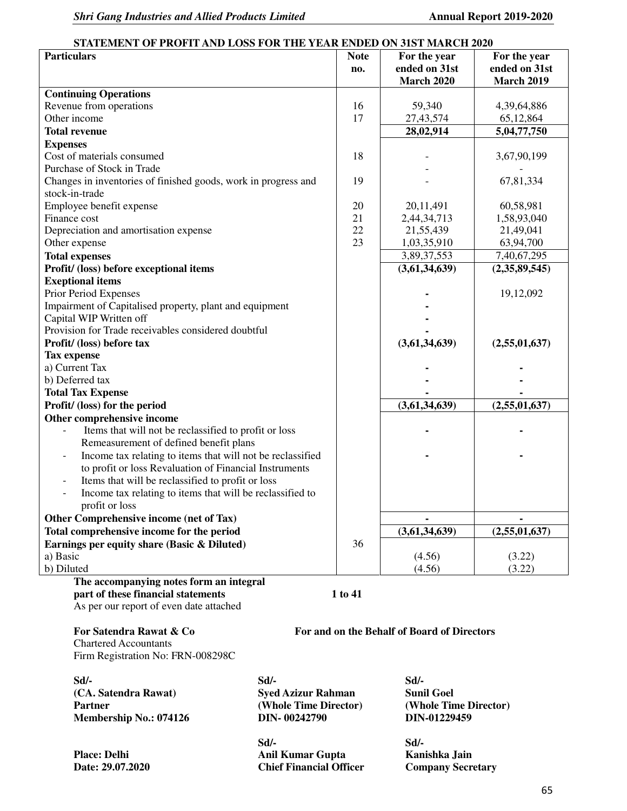#### **STATEMENT OF PROFIT AND LOSS FOR THE YEAR ENDED ON 31ST MARCH 2020**

| <b>Particulars</b>                                                                         | <b>Note</b> | For the year      | For the year      |
|--------------------------------------------------------------------------------------------|-------------|-------------------|-------------------|
|                                                                                            | no.         | ended on 31st     | ended on 31st     |
|                                                                                            |             | <b>March 2020</b> | <b>March 2019</b> |
| <b>Continuing Operations</b>                                                               |             |                   |                   |
| Revenue from operations                                                                    | 16          | 59,340            | 4,39,64,886       |
| Other income                                                                               | 17          | 27,43,574         | 65,12,864         |
| <b>Total revenue</b>                                                                       |             | 28,02,914         | 5,04,77,750       |
| <b>Expenses</b>                                                                            |             |                   |                   |
| Cost of materials consumed                                                                 | 18          |                   | 3,67,90,199       |
| Purchase of Stock in Trade                                                                 |             |                   |                   |
| Changes in inventories of finished goods, work in progress and                             | 19          |                   | 67,81,334         |
| stock-in-trade                                                                             |             |                   |                   |
| Employee benefit expense                                                                   | 20          | 20,11,491         | 60,58,981         |
| Finance cost                                                                               | 21          | 2,44,34,713       | 1,58,93,040       |
| Depreciation and amortisation expense                                                      | 22          | 21,55,439         | 21,49,041         |
| Other expense                                                                              | 23          | 1,03,35,910       | 63,94,700         |
| <b>Total expenses</b>                                                                      |             | 3,89,37,553       | 7,40,67,295       |
| Profit/ (loss) before exceptional items                                                    |             | (3,61,34,639)     | (2,35,89,545)     |
| <b>Exeptional items</b>                                                                    |             |                   |                   |
| Prior Period Expenses                                                                      |             |                   | 19,12,092         |
| Impairment of Capitalised property, plant and equipment                                    |             |                   |                   |
| Capital WIP Written off                                                                    |             |                   |                   |
| Provision for Trade receivables considered doubtful                                        |             |                   |                   |
| Profit/ (loss) before tax                                                                  |             | (3,61,34,639)     | (2,55,01,637)     |
| <b>Tax expense</b>                                                                         |             |                   |                   |
| a) Current Tax                                                                             |             |                   |                   |
| b) Deferred tax                                                                            |             |                   |                   |
| <b>Total Tax Expense</b>                                                                   |             |                   |                   |
| Profit/ (loss) for the period                                                              |             | (3,61,34,639)     | (2,55,01,637)     |
| Other comprehensive income                                                                 |             |                   |                   |
| Items that will not be reclassified to profit or loss<br>$\blacksquare$                    |             |                   |                   |
| Remeasurement of defined benefit plans                                                     |             |                   |                   |
| Income tax relating to items that will not be reclassified<br>$\qquad \qquad \blacksquare$ |             |                   |                   |
| to profit or loss Revaluation of Financial Instruments                                     |             |                   |                   |
| Items that will be reclassified to profit or loss<br>$\blacksquare$                        |             |                   |                   |
| Income tax relating to items that will be reclassified to<br>$\qquad \qquad \blacksquare$  |             |                   |                   |
| profit or loss                                                                             |             |                   |                   |
| Other Comprehensive income (net of Tax)                                                    |             |                   |                   |
| Total comprehensive income for the period                                                  |             | (3,61,34,639)     | (2,55,01,637)     |
| Earnings per equity share (Basic & Diluted)                                                | 36          |                   |                   |
| a) Basic                                                                                   |             | (4.56)            | (3.22)            |
| b) Diluted                                                                                 |             | (4.56)            | (3.22)            |
| The accompanying notes form an integral                                                    |             |                   |                   |
| part of these financial statements                                                         | 1 to 41     |                   |                   |

As per our report of even date attached

For Satendra Rawat & Co **For and on the Behalf of Board of Directors** Chartered Accountants

Firm Registration No: FRN-008298C

**Sd/- Sd/- Sd/- (CA. Satendra Rawat)** Syed Azizur Rahman Sunil Goel<br>Partner (Whole Time Director) (Whole Time Director) **Membership No.: 074126** 

**Particle (Whole Time Director)** (Whole Time D<br>DIN-00242790 DIN-01229459

 **Sd/- Sd/- Place: Delhi Anil Kumar Gupta Kanishka Jain Date: 29.07.2020** Anil Kumar Gupta Kanishka Jain **Company Secrets** 

**Company Secretary**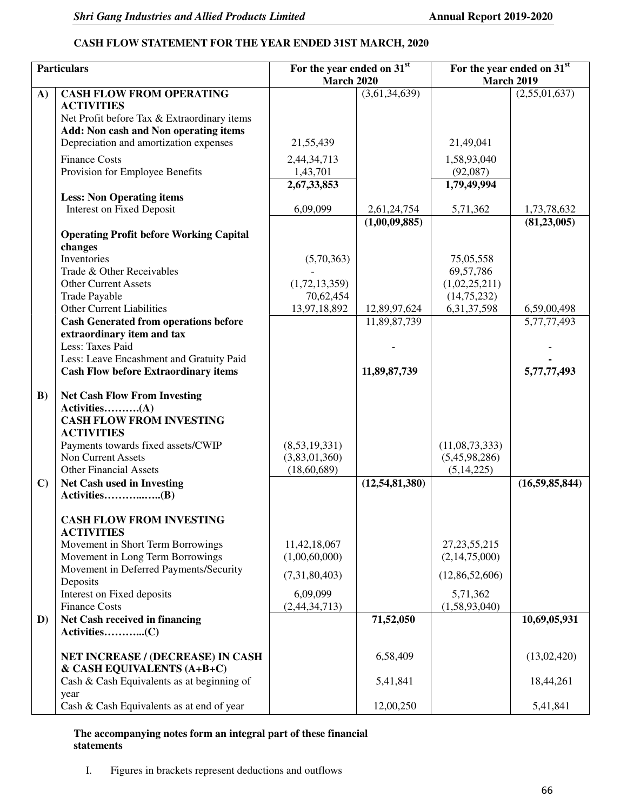## **CASH FLOW STATEMENT FOR THE YEAR ENDED 31ST MARCH, 2020**

|              | <b>Particulars</b>                                | For the year ended on $31st$ |                   | For the year ended on 31st |                |  |
|--------------|---------------------------------------------------|------------------------------|-------------------|----------------------------|----------------|--|
|              |                                                   | <b>March 2020</b>            |                   | <b>March 2019</b>          |                |  |
| $\mathbf{A}$ | <b>CASH FLOW FROM OPERATING</b>                   |                              | (3,61,34,639)     |                            | (2,55,01,637)  |  |
|              | <b>ACTIVITIES</b>                                 |                              |                   |                            |                |  |
|              | Net Profit before Tax & Extraordinary items       |                              |                   |                            |                |  |
|              | <b>Add: Non cash and Non operating items</b>      |                              |                   |                            |                |  |
|              | Depreciation and amortization expenses            | 21,55,439                    |                   | 21,49,041                  |                |  |
|              | <b>Finance Costs</b>                              | 2,44,34,713                  |                   | 1,58,93,040                |                |  |
|              | Provision for Employee Benefits                   | 1,43,701                     |                   | (92,087)                   |                |  |
|              |                                                   | 2,67,33,853                  |                   | 1,79,49,994                |                |  |
|              | <b>Less: Non Operating items</b>                  |                              |                   |                            |                |  |
|              | <b>Interest on Fixed Deposit</b>                  | 6,09,099                     | 2,61,24,754       | 5,71,362                   | 1,73,78,632    |  |
|              |                                                   |                              | (1,00,09,885)     |                            | (81, 23, 005)  |  |
|              | <b>Operating Profit before Working Capital</b>    |                              |                   |                            |                |  |
|              | changes                                           |                              |                   |                            |                |  |
|              | Inventories                                       | (5,70,363)                   |                   | 75,05,558                  |                |  |
|              | Trade & Other Receivables                         |                              |                   | 69,57,786                  |                |  |
|              | <b>Other Current Assets</b>                       | (1,72,13,359)                |                   | (1,02,25,211)              |                |  |
|              | <b>Trade Payable</b>                              | 70,62,454                    |                   | (14, 75, 232)              |                |  |
|              | <b>Other Current Liabilities</b>                  | 13,97,18,892                 | 12,89,97,624      | 6,31,37,598                | 6,59,00,498    |  |
|              | <b>Cash Generated from operations before</b>      |                              | 11,89,87,739      |                            | 5,77,77,493    |  |
|              | extraordinary item and tax                        |                              |                   |                            |                |  |
|              | Less: Taxes Paid                                  |                              |                   |                            |                |  |
|              | Less: Leave Encashment and Gratuity Paid          |                              |                   |                            |                |  |
|              | <b>Cash Flow before Extraordinary items</b>       |                              | 11,89,87,739      |                            | 5,77,77,493    |  |
|              |                                                   |                              |                   |                            |                |  |
| B)           | <b>Net Cash Flow From Investing</b>               |                              |                   |                            |                |  |
|              | Activities(A)                                     |                              |                   |                            |                |  |
|              | <b>CASH FLOW FROM INVESTING</b>                   |                              |                   |                            |                |  |
|              | <b>ACTIVITIES</b>                                 |                              |                   |                            |                |  |
|              | Payments towards fixed assets/CWIP                | (8,53,19,331)                |                   | (11,08,73,333)             |                |  |
|              | Non Current Assets                                | (3,83,01,360)                |                   | (5,45,98,286)              |                |  |
|              | <b>Other Financial Assets</b>                     | (18, 60, 689)                |                   | (5, 14, 225)               |                |  |
| $\mathbf{C}$ | Net Cash used in Investing                        |                              | (12, 54, 81, 380) |                            | (16,59,85,844) |  |
|              |                                                   |                              |                   |                            |                |  |
|              |                                                   |                              |                   |                            |                |  |
|              | <b>CASH FLOW FROM INVESTING</b>                   |                              |                   |                            |                |  |
|              | <b>ACTIVITIES</b>                                 |                              |                   |                            |                |  |
|              | Movement in Short Term Borrowings                 | 11,42,18,067                 |                   | 27, 23, 55, 215            |                |  |
|              | Movement in Long Term Borrowings                  | (1,00,60,000)                |                   | (2,14,75,000)              |                |  |
|              | Movement in Deferred Payments/Security            | (7,31,80,403)                |                   | (12,86,52,606)             |                |  |
|              | Deposits                                          |                              |                   |                            |                |  |
|              | Interest on Fixed deposits                        | 6,09,099                     |                   | 5,71,362                   |                |  |
|              | <b>Finance Costs</b>                              | (2,44,34,713)                |                   | (1,58,93,040)              |                |  |
| $\mathbf{D}$ | Net Cash received in financing                    |                              | 71,52,050         |                            | 10,69,05,931   |  |
|              |                                                   |                              |                   |                            |                |  |
|              |                                                   |                              |                   |                            |                |  |
|              | NET INCREASE / (DECREASE) IN CASH                 |                              | 6,58,409          |                            | (13,02,420)    |  |
|              | & CASH EQUIVALENTS (A+B+C)                        |                              |                   |                            |                |  |
|              | Cash & Cash Equivalents as at beginning of        |                              | 5,41,841          |                            | 18,44,261      |  |
|              | year<br>Cash & Cash Equivalents as at end of year |                              | 12,00,250         |                            | 5,41,841       |  |
|              |                                                   |                              |                   |                            |                |  |

#### **The accompanying notes form an integral part of these financial statements**

I. Figures in brackets represent deductions and outflows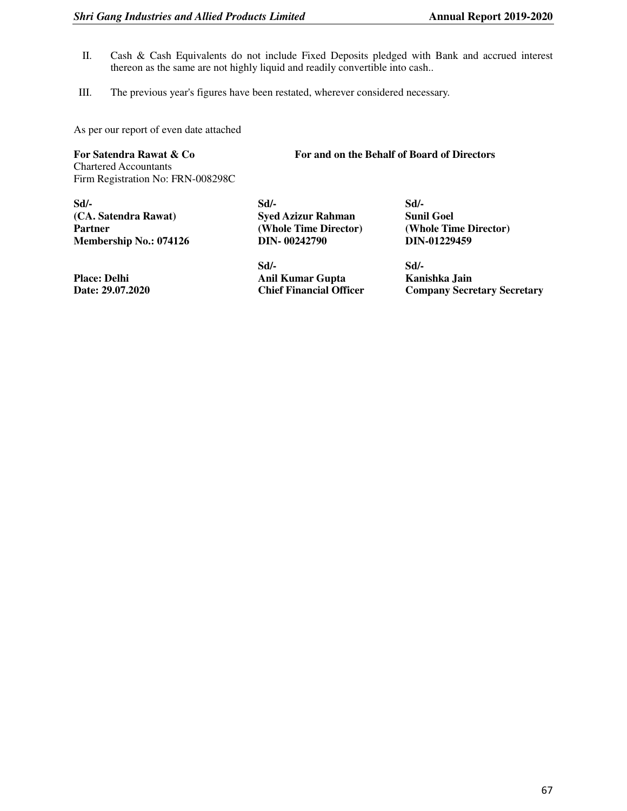- II. Cash & Cash Equivalents do not include Fixed Deposits pledged with Bank and accrued interest thereon as the same are not highly liquid and readily convertible into cash..
- III. The previous year's figures have been restated, wherever considered necessary.

As per our report of even date attached

**For Satendra Rawat & Co** For and on the Behalf of Board of Directors

Chartered Accountants Firm Registration No: FRN-008298C

**Sd/- Sd/- Sd/- (CA. Satendra Rawat)** Syed Azizur Rahman Sunil Goel<br>Partner (Whole Time Director) (Whole Time Director) **Membership No.: 074126 DIN- 00242790 DIN-01229459** 

**Partner (Whole Time Director) (Whole Time Director)**

 **Sd/- Sd/-**  Place: Delhi **Anil Kumar Gupta** Kanishka Jain Date: 29.07.2020 **Anil Kumar Gupta** Kanishka Jain **Date: 29.07.2020** 

**Company Secretary Secretary**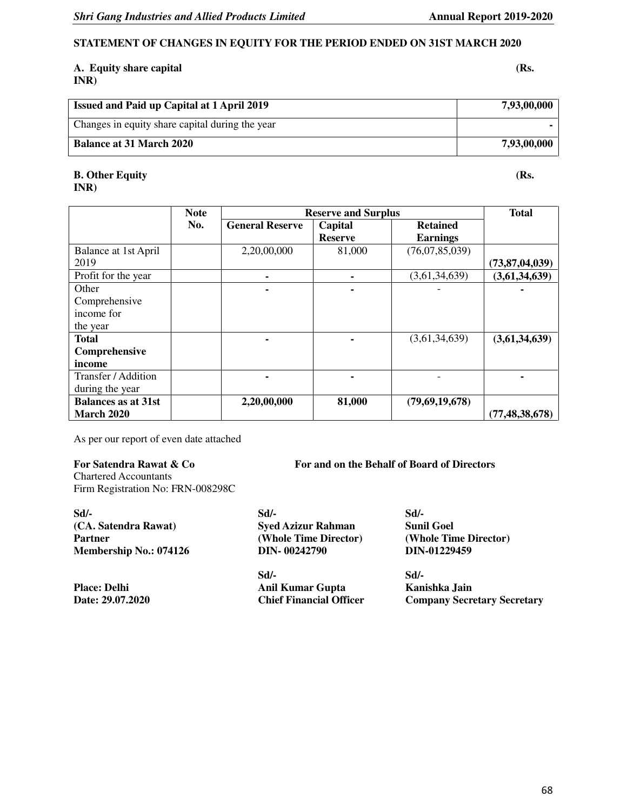## **STATEMENT OF CHANGES IN EQUITY FOR THE PERIOD ENDED ON 31ST MARCH 2020**

#### **A. Equity share capital (Rs. INR)**

| Issued and Paid up Capital at 1 April 2019      | 7,93,00,000 |
|-------------------------------------------------|-------------|
| Changes in equity share capital during the year |             |
| <b>Balance at 31 March 2020</b>                 | 7,93,00,000 |

#### **B. Other Equity** (Rs. **INR)**

|                            | <b>Note</b> | <b>Reserve and Surplus</b> |                | <b>Total</b>    |                   |
|----------------------------|-------------|----------------------------|----------------|-----------------|-------------------|
|                            | No.         | <b>General Reserve</b>     | Capital        | <b>Retained</b> |                   |
|                            |             |                            | <b>Reserve</b> | <b>Earnings</b> |                   |
| Balance at 1st April       |             | 2,20,00,000                | 81,000         | (76,07,85,039)  |                   |
| 2019                       |             |                            |                |                 | (73, 87, 04, 039) |
| Profit for the year        |             |                            |                | (3,61,34,639)   | (3,61,34,639)     |
| Other                      |             |                            |                |                 |                   |
| Comprehensive              |             |                            |                |                 |                   |
| income for                 |             |                            |                |                 |                   |
| the year                   |             |                            |                |                 |                   |
| <b>Total</b>               |             |                            |                | (3,61,34,639)   | (3,61,34,639)     |
| Comprehensive              |             |                            |                |                 |                   |
| income                     |             |                            |                |                 |                   |
| Transfer / Addition        |             |                            |                |                 |                   |
| during the year            |             |                            |                |                 |                   |
| <b>Balances as at 31st</b> |             | 2,20,00,000                | 81,000         | (79,69,19,678)  |                   |
| <b>March 2020</b>          |             |                            |                |                 | (77, 48, 38, 678) |

As per our report of even date attached

Chartered Accountants Firm Registration No: FRN-008298C

**Sd/- Sd/- Sd/- (CA. Satendra Rawat) Syed Azizur Rahman Sunil Goel**  Partner (Whole Time Director) (Whole Time Director)<br>Membership No.: 074126 **DIN-00242790** DIN-01229459 **Membership No.: 074126** 

For Satendra Rawat & Co **For and on the Behalf of Board of Directors** 

 **Sd/- Sd/-**  Place: Delhi **Anil Kumar Gupta** Kanishka Jain Date: 29.07.2020 **Anil Kumar Gupta** Kanishka Jain Date: 29.07.2020

**Company Secretary Secretary**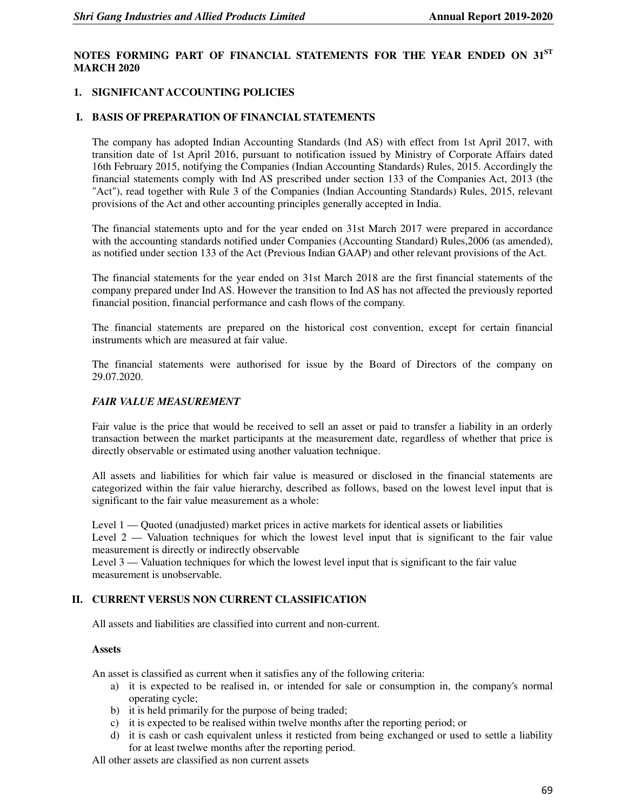#### **NOTES FORMING PART OF FINANCIAL STATEMENTS FOR THE YEAR ENDED ON 31ST MARCH 2020**

#### **1. SIGNIFICANT ACCOUNTING POLICIES**

#### **I. BASIS OF PREPARATION OF FINANCIAL STATEMENTS**

The company has adopted Indian Accounting Standards (Ind AS) with effect from 1st April 2017, with transition date of 1st April 2016, pursuant to notification issued by Ministry of Corporate Affairs dated 16th February 2015, notifying the Companies (Indian Accounting Standards) Rules, 2015. Accordingly the financial statements comply with Ind AS prescribed under section 133 of the Companies Act, 2013 (the "Act"), read together with Rule 3 of the Companies (Indian Accounting Standards) Rules, 2015, relevant provisions of the Act and other accounting principles generally accepted in India.

The financial statements upto and for the year ended on 31st March 2017 were prepared in accordance with the accounting standards notified under Companies (Accounting Standard) Rules,2006 (as amended), as notified under section 133 of the Act (Previous Indian GAAP) and other relevant provisions of the Act.

The financial statements for the year ended on 31st March 2018 are the first financial statements of the company prepared under Ind AS. However the transition to Ind AS has not affected the previously reported financial position, financial performance and cash flows of the company.

The financial statements are prepared on the historical cost convention, except for certain financial instruments which are measured at fair value.

The financial statements were authorised for issue by the Board of Directors of the company on 29.07.2020.

#### *FAIR VALUE MEASUREMENT*

Fair value is the price that would be received to sell an asset or paid to transfer a liability in an orderly transaction between the market participants at the measurement date, regardless of whether that price is directly observable or estimated using another valuation technique.

All assets and liabilities for which fair value is measured or disclosed in the financial statements are categorized within the fair value hierarchy, described as follows, based on the lowest level input that is significant to the fair value measurement as a whole:

Level 1 — Quoted (unadjusted) market prices in active markets for identical assets or liabilities

Level 2 — Valuation techniques for which the lowest level input that is significant to the fair value measurement is directly or indirectly observable

Level 3 — Valuation techniques for which the lowest level input that is significant to the fair value measurement is unobservable.

#### **II. CURRENT VERSUS NON CURRENT CLASSIFICATION**

All assets and liabilities are classified into current and non-current.

#### **Assets**

An asset is classified as current when it satisfies any of the following criteria:

- a) it is expected to be realised in, or intended for sale or consumption in, the company's normal operating cycle;
- b) it is held primarily for the purpose of being traded;
- c) it is expected to be realised within twelve months after the reporting period; or
- d) it is cash or cash equivalent unless it resticted from being exchanged or used to settle a liability for at least twelwe months after the reporting period.

All other assets are classified as non current assets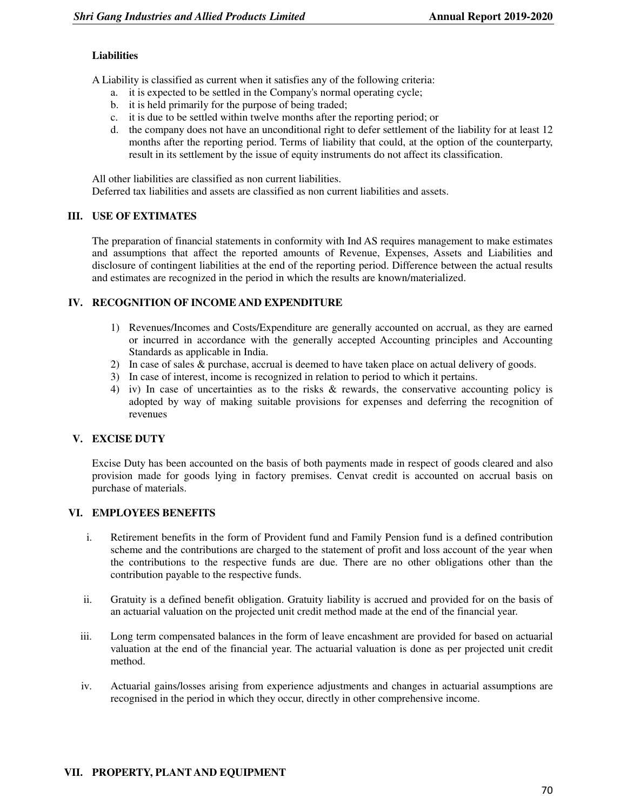### **Liabilities**

A Liability is classified as current when it satisfies any of the following criteria:

- a. it is expected to be settled in the Company's normal operating cycle;
- b. it is held primarily for the purpose of being traded;
- c. it is due to be settled within twelve months after the reporting period; or
- d. the company does not have an unconditional right to defer settlement of the liability for at least 12 months after the reporting period. Terms of liability that could, at the option of the counterparty, result in its settlement by the issue of equity instruments do not affect its classification.

All other liabilities are classified as non current liabilities.

Deferred tax liabilities and assets are classified as non current liabilities and assets.

### **III. USE OF EXTIMATES**

The preparation of financial statements in conformity with Ind AS requires management to make estimates and assumptions that affect the reported amounts of Revenue, Expenses, Assets and Liabilities and disclosure of contingent liabilities at the end of the reporting period. Difference between the actual results and estimates are recognized in the period in which the results are known/materialized.

### **IV. RECOGNITION OF INCOME AND EXPENDITURE**

- 1) Revenues/Incomes and Costs/Expenditure are generally accounted on accrual, as they are earned or incurred in accordance with the generally accepted Accounting principles and Accounting Standards as applicable in India.
- 2) In case of sales & purchase, accrual is deemed to have taken place on actual delivery of goods.
- 3) In case of interest, income is recognized in relation to period to which it pertains.
- 4) iv) In case of uncertainties as to the risks & rewards, the conservative accounting policy is adopted by way of making suitable provisions for expenses and deferring the recognition of revenues

# **V. EXCISE DUTY**

Excise Duty has been accounted on the basis of both payments made in respect of goods cleared and also provision made for goods lying in factory premises. Cenvat credit is accounted on accrual basis on purchase of materials.

### **VI. EMPLOYEES BENEFITS**

- i. Retirement benefits in the form of Provident fund and Family Pension fund is a defined contribution scheme and the contributions are charged to the statement of profit and loss account of the year when the contributions to the respective funds are due. There are no other obligations other than the contribution payable to the respective funds.
- ii. Gratuity is a defined benefit obligation. Gratuity liability is accrued and provided for on the basis of an actuarial valuation on the projected unit credit method made at the end of the financial year.
- iii. Long term compensated balances in the form of leave encashment are provided for based on actuarial valuation at the end of the financial year. The actuarial valuation is done as per projected unit credit method.
- iv. Actuarial gains/losses arising from experience adjustments and changes in actuarial assumptions are recognised in the period in which they occur, directly in other comprehensive income.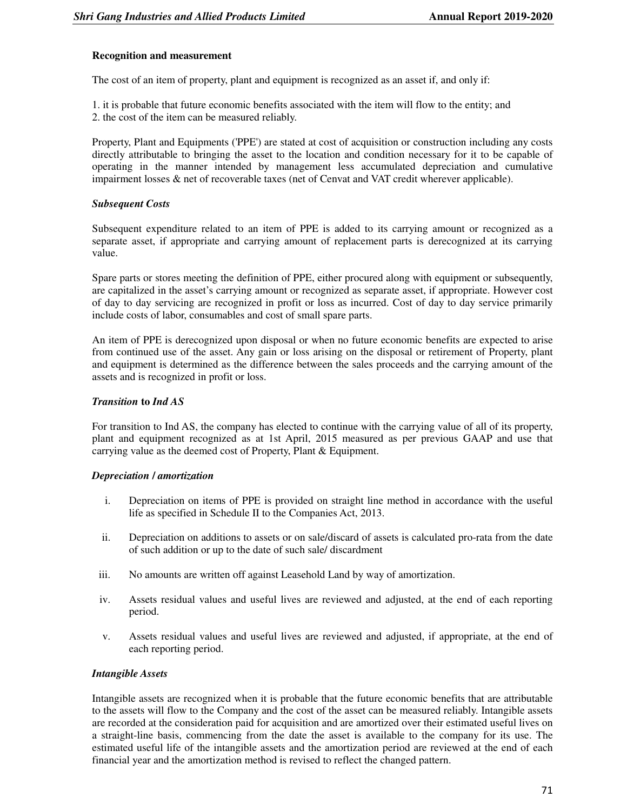### **Recognition and measurement**

The cost of an item of property, plant and equipment is recognized as an asset if, and only if:

1. it is probable that future economic benefits associated with the item will flow to the entity; and 2. the cost of the item can be measured reliably.

Property, Plant and Equipments ('PPE') are stated at cost of acquisition or construction including any costs directly attributable to bringing the asset to the location and condition necessary for it to be capable of operating in the manner intended by management less accumulated depreciation and cumulative impairment losses & net of recoverable taxes (net of Cenvat and VAT credit wherever applicable).

### *Subsequent Costs*

Subsequent expenditure related to an item of PPE is added to its carrying amount or recognized as a separate asset, if appropriate and carrying amount of replacement parts is derecognized at its carrying value.

Spare parts or stores meeting the definition of PPE, either procured along with equipment or subsequently, are capitalized in the asset's carrying amount or recognized as separate asset, if appropriate. However cost of day to day servicing are recognized in profit or loss as incurred. Cost of day to day service primarily include costs of labor, consumables and cost of small spare parts.

An item of PPE is derecognized upon disposal or when no future economic benefits are expected to arise from continued use of the asset. Any gain or loss arising on the disposal or retirement of Property, plant and equipment is determined as the difference between the sales proceeds and the carrying amount of the assets and is recognized in profit or loss.

### *Transition* **to** *Ind AS*

For transition to Ind AS, the company has elected to continue with the carrying value of all of its property, plant and equipment recognized as at 1st April, 2015 measured as per previous GAAP and use that carrying value as the deemed cost of Property, Plant & Equipment.

### *Depreciation* **/** *amortization*

- i. Depreciation on items of PPE is provided on straight line method in accordance with the useful life as specified in Schedule II to the Companies Act, 2013.
- ii. Depreciation on additions to assets or on sale/discard of assets is calculated pro-rata from the date of such addition or up to the date of such sale/ discardment
- iii. No amounts are written off against Leasehold Land by way of amortization.
- iv. Assets residual values and useful lives are reviewed and adjusted, at the end of each reporting period.
- v. Assets residual values and useful lives are reviewed and adjusted, if appropriate, at the end of each reporting period.

### *Intangible Assets*

Intangible assets are recognized when it is probable that the future economic benefits that are attributable to the assets will flow to the Company and the cost of the asset can be measured reliably. Intangible assets are recorded at the consideration paid for acquisition and are amortized over their estimated useful lives on a straight-line basis, commencing from the date the asset is available to the company for its use. The estimated useful life of the intangible assets and the amortization period are reviewed at the end of each financial year and the amortization method is revised to reflect the changed pattern.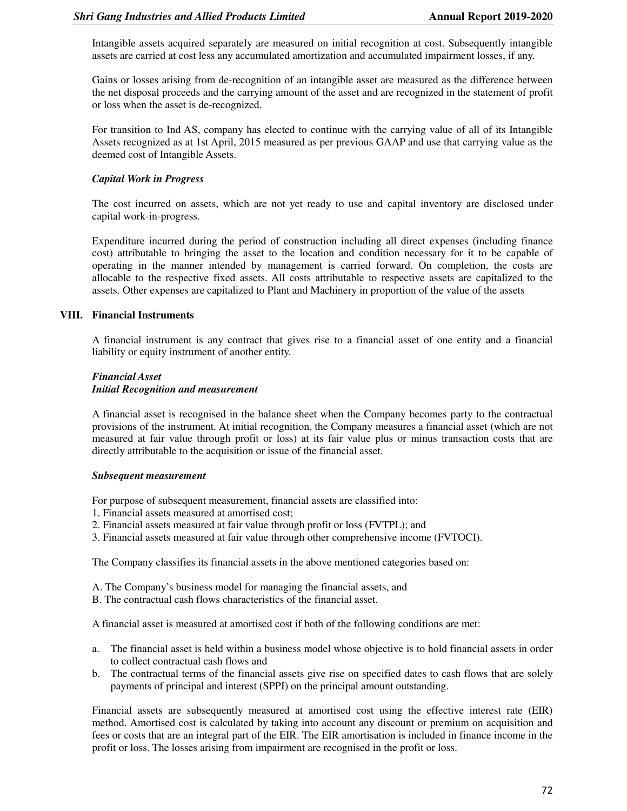Intangible assets acquired separately are measured on initial recognition at cost. Subsequently intangible assets are carried at cost less any accumulated amortization and accumulated impairment losses, if any.

Gains or losses arising from de-recognition of an intangible asset are measured as the difference between the net disposal proceeds and the carrying amount of the asset and are recognized in the statement of profit or loss when the asset is de-recognized.

For transition to Ind AS, company has elected to continue with the carrying value of all of its Intangible Assets recognized as at 1st April, 2015 measured as per previous GAAP and use that carrying value as the deemed cost of Intangible Assets.

### *Capital Work in Progress*

The cost incurred on assets, which are not yet ready to use and capital inventory are disclosed under capital work-in-progress.

Expenditure incurred during the period of construction including all direct expenses (including finance cost) attributable to bringing the asset to the location and condition necessary for it to be capable of operating in the manner intended by management is carried forward. On completion, the costs are allocable to the respective fixed assets. All costs attributable to respective assets are capitalized to the assets. Other expenses are capitalized to Plant and Machinery in proportion of the value of the assets

### **VIII. Financial Instruments**

A financial instrument is any contract that gives rise to a financial asset of one entity and a financial liability or equity instrument of another entity.

### *Financial Asset Initial Recognition and measurement*

A financial asset is recognised in the balance sheet when the Company becomes party to the contractual provisions of the instrument. At initial recognition, the Company measures a financial asset (which are not measured at fair value through profit or loss) at its fair value plus or minus transaction costs that are directly attributable to the acquisition or issue of the financial asset.

### *Subsequent measurement*

For purpose of subsequent measurement, financial assets are classified into:

- 1. Financial assets measured at amortised cost;
- 2. Financial assets measured at fair value through profit or loss (FVTPL); and
- 3. Financial assets measured at fair value through other comprehensive income (FVTOCI).

The Company classifies its financial assets in the above mentioned categories based on:

- A. The Company's business model for managing the financial assets, and
- B. The contractual cash flows characteristics of the financial asset.

A financial asset is measured at amortised cost if both of the following conditions are met:

- a. The financial asset is held within a business model whose objective is to hold financial assets in order to collect contractual cash flows and
- b. The contractual terms of the financial assets give rise on specified dates to cash flows that are solely payments of principal and interest (SPPI) on the principal amount outstanding.

Financial assets are subsequently measured at amortised cost using the effective interest rate (EIR) method. Amortised cost is calculated by taking into account any discount or premium on acquisition and fees or costs that are an integral part of the EIR. The EIR amortisation is included in finance income in the profit or loss. The losses arising from impairment are recognised in the profit or loss.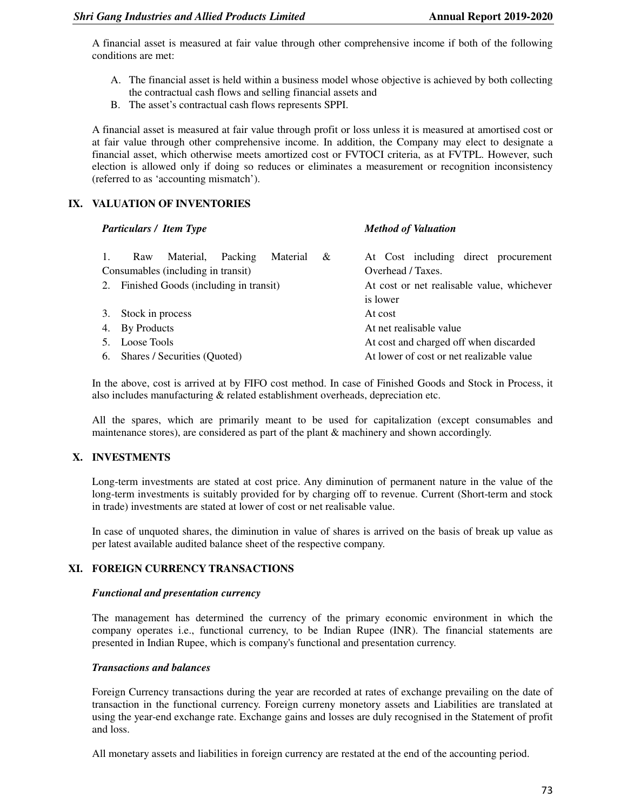A financial asset is measured at fair value through other comprehensive income if both of the following conditions are met:

- A. The financial asset is held within a business model whose objective is achieved by both collecting the contractual cash flows and selling financial assets and
- B. The asset's contractual cash flows represents SPPI.

A financial asset is measured at fair value through profit or loss unless it is measured at amortised cost or at fair value through other comprehensive income. In addition, the Company may elect to designate a financial asset, which otherwise meets amortized cost or FVTOCI criteria, as at FVTPL. However, such election is allowed only if doing so reduces or eliminates a measurement or recognition inconsistency (referred to as 'accounting mismatch').

### **IX. VALUATION OF INVENTORIES**

# *Particulars / Item Type* Method of Valuation 1. Raw Material, Packing Material & Consumables (including in transit) At Cost including direct procurement Overhead / Taxes. 2. Finished Goods (including in transit) At cost or net realisable value, whichever is lower 3. Stock in process At cost 4. By Products **At net realisable value** 5. Loose Tools **At cost and charged off when discarded** 6. Shares / Securities (Quoted) At lower of cost or net realizable value

In the above, cost is arrived at by FIFO cost method. In case of Finished Goods and Stock in Process, it also includes manufacturing & related establishment overheads, depreciation etc.

All the spares, which are primarily meant to be used for capitalization (except consumables and maintenance stores), are considered as part of the plant & machinery and shown accordingly.

# **X. INVESTMENTS**

Long-term investments are stated at cost price. Any diminution of permanent nature in the value of the long-term investments is suitably provided for by charging off to revenue. Current (Short-term and stock in trade) investments are stated at lower of cost or net realisable value.

In case of unquoted shares, the diminution in value of shares is arrived on the basis of break up value as per latest available audited balance sheet of the respective company.

# **XI. FOREIGN CURRENCY TRANSACTIONS**

### *Functional and presentation currency*

The management has determined the currency of the primary economic environment in which the company operates i.e., functional currency, to be Indian Rupee (INR). The financial statements are presented in Indian Rupee, which is company's functional and presentation currency.

### *Transactions and balances*

Foreign Currency transactions during the year are recorded at rates of exchange prevailing on the date of transaction in the functional currency. Foreign curreny monetory assets and Liabilities are translated at using the year-end exchange rate. Exchange gains and losses are duly recognised in the Statement of profit and loss.

All monetary assets and liabilities in foreign currency are restated at the end of the accounting period.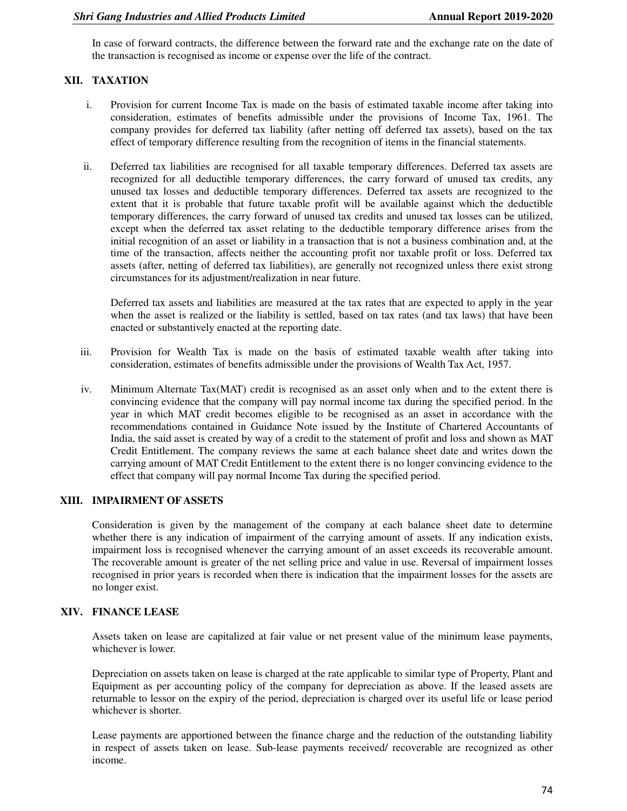In case of forward contracts, the difference between the forward rate and the exchange rate on the date of the transaction is recognised as income or expense over the life of the contract.

# **XII. TAXATION**

- i. Provision for current Income Tax is made on the basis of estimated taxable income after taking into consideration, estimates of benefits admissible under the provisions of Income Tax, 1961. The company provides for deferred tax liability (after netting off deferred tax assets), based on the tax effect of temporary difference resulting from the recognition of items in the financial statements.
- ii. Deferred tax liabilities are recognised for all taxable temporary differences. Deferred tax assets are recognized for all deductible temporary differences, the carry forward of unused tax credits, any unused tax losses and deductible temporary differences. Deferred tax assets are recognized to the extent that it is probable that future taxable profit will be available against which the deductible temporary differences, the carry forward of unused tax credits and unused tax losses can be utilized, except when the deferred tax asset relating to the deductible temporary difference arises from the initial recognition of an asset or liability in a transaction that is not a business combination and, at the time of the transaction, affects neither the accounting profit nor taxable profit or loss. Deferred tax assets (after, netting of deferred tax liabilities), are generally not recognized unless there exist strong circumstances for its adjustment/realization in near future.

Deferred tax assets and liabilities are measured at the tax rates that are expected to apply in the year when the asset is realized or the liability is settled, based on tax rates (and tax laws) that have been enacted or substantively enacted at the reporting date.

- iii. Provision for Wealth Tax is made on the basis of estimated taxable wealth after taking into consideration, estimates of benefits admissible under the provisions of Wealth Tax Act, 1957.
- iv. Minimum Alternate Tax(MAT) credit is recognised as an asset only when and to the extent there is convincing evidence that the company will pay normal income tax during the specified period. In the year in which MAT credit becomes eligible to be recognised as an asset in accordance with the recommendations contained in Guidance Note issued by the Institute of Chartered Accountants of India, the said asset is created by way of a credit to the statement of profit and loss and shown as MAT Credit Entitlement. The company reviews the same at each balance sheet date and writes down the carrying amount of MAT Credit Entitlement to the extent there is no longer convincing evidence to the effect that company will pay normal Income Tax during the specified period.

# **XIII. IMPAIRMENT OF ASSETS**

Consideration is given by the management of the company at each balance sheet date to determine whether there is any indication of impairment of the carrying amount of assets. If any indication exists, impairment loss is recognised whenever the carrying amount of an asset exceeds its recoverable amount. The recoverable amount is greater of the net selling price and value in use. Reversal of impairment losses recognised in prior years is recorded when there is indication that the impairment losses for the assets are no longer exist.

# **XIV. FINANCE LEASE**

Assets taken on lease are capitalized at fair value or net present value of the minimum lease payments, whichever is lower.

Depreciation on assets taken on lease is charged at the rate applicable to similar type of Property, Plant and Equipment as per accounting policy of the company for depreciation as above. If the leased assets are returnable to lessor on the expiry of the period, depreciation is charged over its useful life or lease period whichever is shorter.

Lease payments are apportioned between the finance charge and the reduction of the outstanding liability in respect of assets taken on lease. Sub-lease payments received/ recoverable are recognized as other income.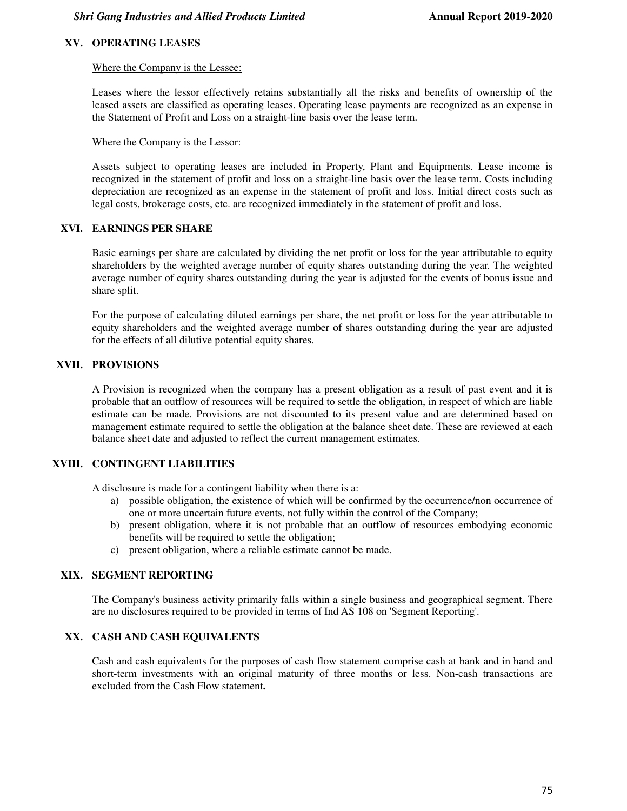### **XV. OPERATING LEASES**

### Where the Company is the Lessee:

Leases where the lessor effectively retains substantially all the risks and benefits of ownership of the leased assets are classified as operating leases. Operating lease payments are recognized as an expense in the Statement of Profit and Loss on a straight-line basis over the lease term.

#### Where the Company is the Lessor:

Assets subject to operating leases are included in Property, Plant and Equipments. Lease income is recognized in the statement of profit and loss on a straight-line basis over the lease term. Costs including depreciation are recognized as an expense in the statement of profit and loss. Initial direct costs such as legal costs, brokerage costs, etc. are recognized immediately in the statement of profit and loss.

# **XVI. EARNINGS PER SHARE**

Basic earnings per share are calculated by dividing the net profit or loss for the year attributable to equity shareholders by the weighted average number of equity shares outstanding during the year. The weighted average number of equity shares outstanding during the year is adjusted for the events of bonus issue and share split.

For the purpose of calculating diluted earnings per share, the net profit or loss for the year attributable to equity shareholders and the weighted average number of shares outstanding during the year are adjusted for the effects of all dilutive potential equity shares.

### **XVII. PROVISIONS**

A Provision is recognized when the company has a present obligation as a result of past event and it is probable that an outflow of resources will be required to settle the obligation, in respect of which are liable estimate can be made. Provisions are not discounted to its present value and are determined based on management estimate required to settle the obligation at the balance sheet date. These are reviewed at each balance sheet date and adjusted to reflect the current management estimates.

### **XVIII. CONTINGENT LIABILITIES**

A disclosure is made for a contingent liability when there is a:

- a) possible obligation, the existence of which will be confirmed by the occurrence/non occurrence of one or more uncertain future events, not fully within the control of the Company;
- b) present obligation, where it is not probable that an outflow of resources embodying economic benefits will be required to settle the obligation;
- c) present obligation, where a reliable estimate cannot be made.

### **XIX. SEGMENT REPORTING**

The Company's business activity primarily falls within a single business and geographical segment. There are no disclosures required to be provided in terms of Ind AS 108 on 'Segment Reporting'.

# **XX. CASH AND CASH EQUIVALENTS**

Cash and cash equivalents for the purposes of cash flow statement comprise cash at bank and in hand and short-term investments with an original maturity of three months or less. Non-cash transactions are excluded from the Cash Flow statement**.**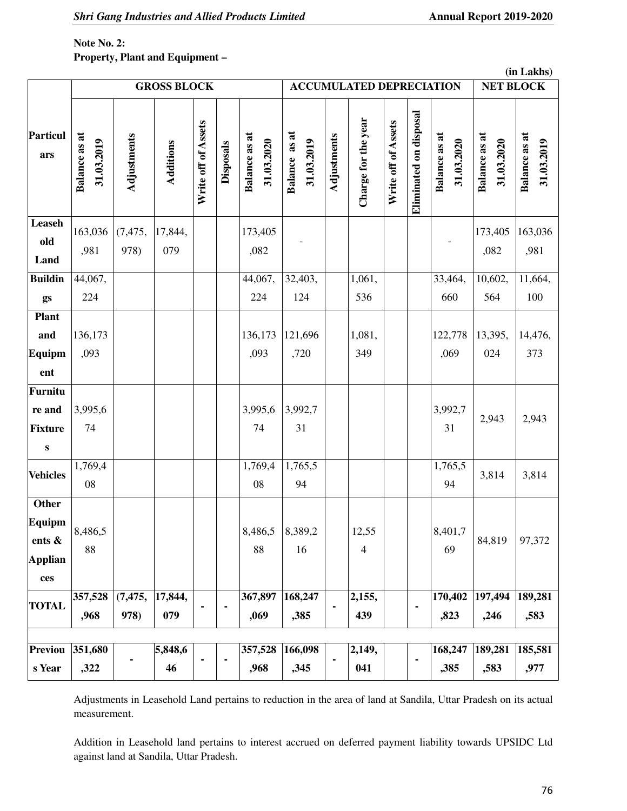**(in Lakhs)** 

# **Note No. 2:**

**Property, Plant and Equipment –** 

|                                                    |                             |                  | <b>GROSS BLOCK</b> |                     |                  |                                    |                             | <b>ACCUMULATED DEPRECIATION</b> |                     |                     |                        | <b>NET BLOCK</b>            |                             |                             |
|----------------------------------------------------|-----------------------------|------------------|--------------------|---------------------|------------------|------------------------------------|-----------------------------|---------------------------------|---------------------|---------------------|------------------------|-----------------------------|-----------------------------|-----------------------------|
| Particul<br>ars                                    | Balance as at<br>31.03.2019 | Adjustments      | Additions          | Write off of Assets | <b>Disposals</b> | <b>Balance as at</b><br>31.03.2020 | Balance as at<br>31.03.2019 | Adjustments                     | Charge for the year | Write off of Assets | Eliminated on disposal | Balance as at<br>31.03.2020 | Balance as at<br>31.03.2020 | Balance as at<br>31.03.2019 |
| Leaseh<br>old<br>Land                              | 163,036<br>,981             | (7, 475,<br>978) | 17,844,<br>079     |                     |                  | 173,405<br>,082                    |                             |                                 |                     |                     |                        |                             | 173,405<br>,082             | 163,036<br>,981             |
| <b>Buildin</b><br>gs                               | 44,067,<br>224              |                  |                    |                     |                  | 44,067,<br>224                     | 32,403,<br>124              |                                 | 1,061,<br>536       |                     |                        | 33,464,<br>660              | 10,602,<br>564              | 11,664,<br>100              |
| <b>Plant</b><br>and<br>Equipm<br>ent               | 136,173<br>,093             |                  |                    |                     |                  | 136,173<br>,093                    | 121,696<br>,720             |                                 | 1,081,<br>349       |                     |                        | 122,778<br>,069             | 13,395,<br>024              | 14,476,<br>373              |
| Furnitu<br>re and<br><b>Fixture</b><br>S           | 3,995,6<br>74               |                  |                    |                     |                  | 3,995,6<br>74                      | 3,992,7<br>31               |                                 |                     |                     |                        | 3,992,7<br>31               | 2,943                       | 2,943                       |
| <b>Vehicles</b>                                    | 1,769,4<br>08               |                  |                    |                     |                  | 1,769,4<br>08                      | 1,765,5<br>94               |                                 |                     |                     |                        | 1,765,5<br>94               | 3,814                       | 3,814                       |
| Other<br>Equipm<br>ents &<br><b>Applian</b><br>ces | 8,486,5<br>88               |                  |                    |                     |                  | 8,486,5 8,389,2<br>88              | 16                          |                                 | 12,55<br>4          |                     |                        | 8,401,7<br>69               | 84,819                      | 97,372                      |
| <b>TOTAL</b>                                       | 357,528<br>,968             | (7, 475,<br>978) | 17,844,<br>079     |                     |                  | 367,897<br>,069                    | 168,247<br>,385             |                                 | 2,155,<br>439       |                     | $\blacksquare$         | 170,402<br>,823             | 197,494<br>,246             | 189,281<br>,583             |
| <b>Previou</b><br>s Year                           | 351,680<br>,322             |                  | 5,848,6<br>46      |                     |                  | 357,528<br>,968                    | 166,098<br>,345             |                                 | 2,149,<br>041       |                     |                        | 168,247<br>,385             | 189,281<br>,583             | 185,581<br>,977             |

Adjustments in Leasehold Land pertains to reduction in the area of land at Sandila, Uttar Pradesh on its actual measurement.

Addition in Leasehold land pertains to interest accrued on deferred payment liability towards UPSIDC Ltd against land at Sandila, Uttar Pradesh.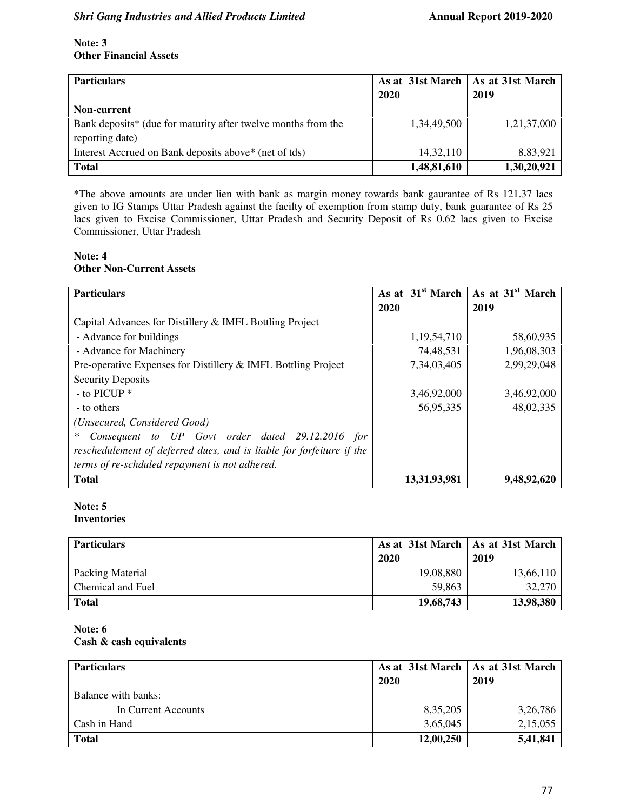#### **Note: 3 Other Financial Assets**

| <b>Particulars</b>                                                        |             | As at 31st March   As at 31st March |
|---------------------------------------------------------------------------|-------------|-------------------------------------|
|                                                                           | 2020        | 2019                                |
| Non-current                                                               |             |                                     |
| Bank deposits <sup>*</sup> (due for maturity after twelve months from the | 1,34,49,500 | 1,21,37,000                         |
| reporting date)                                                           |             |                                     |
| Interest Accrued on Bank deposits above* (net of tds)                     | 14,32,110   | 8,83,921                            |
| <b>Total</b>                                                              | 1,48,81,610 | 1,30,20,921                         |

\*The above amounts are under lien with bank as margin money towards bank gaurantee of Rs 121.37 lacs given to IG Stamps Uttar Pradesh against the facilty of exemption from stamp duty, bank guarantee of Rs 25 lacs given to Excise Commissioner, Uttar Pradesh and Security Deposit of Rs 0.62 lacs given to Excise Commissioner, Uttar Pradesh

# **Note: 4 Other Non-Current Assets**

| <b>Particulars</b>                                                   | As at $31st$ March | As at 31 <sup>st</sup> March |
|----------------------------------------------------------------------|--------------------|------------------------------|
|                                                                      | 2020               | 2019                         |
| Capital Advances for Distillery & IMFL Bottling Project              |                    |                              |
| - Advance for buildings                                              | 1, 19, 54, 710     | 58,60,935                    |
| - Advance for Machinery                                              | 74,48,531          | 1,96,08,303                  |
| Pre-operative Expenses for Distillery & IMFL Bottling Project        | 7,34,03,405        | 2,99,29,048                  |
| <b>Security Deposits</b>                                             |                    |                              |
| - to PICUP $*$                                                       | 3,46,92,000        | 3,46,92,000                  |
| - to others                                                          | 56,95,335          | 48,02,335                    |
| (Unsecured, Considered Good)                                         |                    |                              |
| Consequent to UP Govt order dated 29.12.2016 for<br>∗                |                    |                              |
| reschedulement of deferred dues, and is liable for forfeiture if the |                    |                              |
| terms of re-schduled repayment is not adhered.                       |                    |                              |
| <b>Total</b>                                                         | 13,31,93,981       | 9,48,92,620                  |

### **Note: 5 Inventories**

| <b>Particulars</b> | As at 31st March   As at 31st March<br>2020 | 2019      |
|--------------------|---------------------------------------------|-----------|
| Packing Material   | 19,08,880                                   | 13,66,110 |
| Chemical and Fuel  | 59.863                                      | 32,270    |
| <b>Total</b>       | 19,68,743                                   | 13,98,380 |

### **Note: 6 Cash & cash equivalents**

| <b>Particulars</b>  | 2020      | As at 31st March   As at 31st March<br>2019 |
|---------------------|-----------|---------------------------------------------|
| Balance with banks: |           |                                             |
| In Current Accounts | 8,35,205  | 3, 26, 786                                  |
| Cash in Hand        | 3,65,045  | 2,15,055                                    |
| <b>Total</b>        | 12,00,250 | 5,41,841                                    |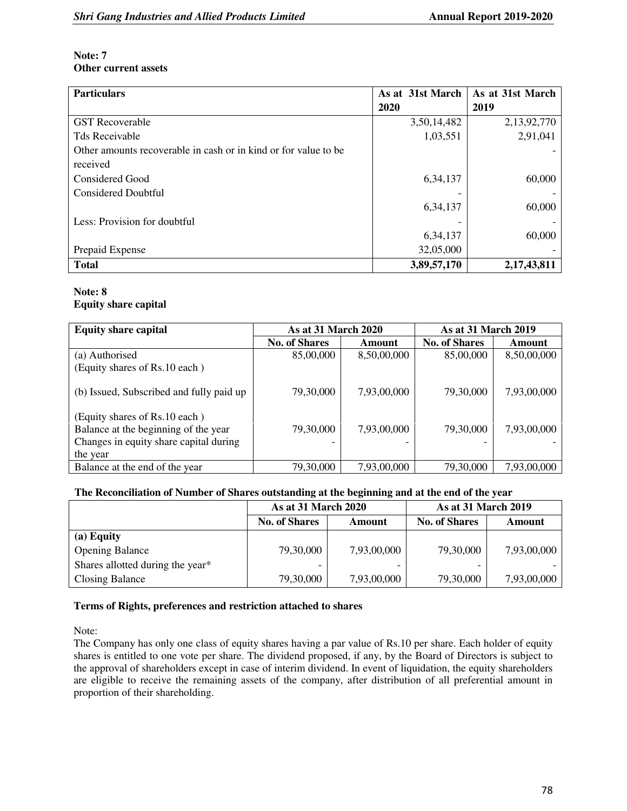### **Note: 7 Other current assets**

| <b>Particulars</b>                                               | As at 31st March | As at 31st March |
|------------------------------------------------------------------|------------------|------------------|
|                                                                  | 2020             | 2019             |
| <b>GST</b> Recoverable                                           | 3,50,14,482      | 2,13,92,770      |
| <b>Tds Receivable</b>                                            | 1,03,551         | 2,91,041         |
| Other amounts recoverable in cash or in kind or for value to be. |                  |                  |
| received                                                         |                  |                  |
| Considered Good                                                  | 6,34,137         | 60,000           |
| <b>Considered Doubtful</b>                                       |                  |                  |
|                                                                  | 6, 34, 137       | 60,000           |
| Less: Provision for doubtful                                     |                  |                  |
|                                                                  | 6,34,137         | 60,000           |
| Prepaid Expense                                                  | 32,05,000        |                  |
| <b>Total</b>                                                     | 3,89,57,170      | 2,17,43,811      |

### **Note: 8 Equity share capital**

| <b>Equity share capital</b>                                                                                                 | As at 31 March 2020  |             | As at 31 March 2019  |             |  |
|-----------------------------------------------------------------------------------------------------------------------------|----------------------|-------------|----------------------|-------------|--|
|                                                                                                                             | <b>No. of Shares</b> | Amount      | <b>No. of Shares</b> | Amount      |  |
| (a) Authorised                                                                                                              | 85,00,000            | 8,50,00,000 | 85,00,000            | 8,50,00,000 |  |
| (Equity shares of Rs.10 each)                                                                                               |                      |             |                      |             |  |
| (b) Issued, Subscribed and fully paid up                                                                                    | 79,30,000            | 7,93,00,000 | 79,30,000            | 7,93,00,000 |  |
| (Equity shares of Rs.10 each)<br>Balance at the beginning of the year<br>Changes in equity share capital during<br>the year | 79,30,000            | 7,93,00,000 | 79,30,000            | 7,93,00,000 |  |
| Balance at the end of the year                                                                                              | 79,30,000            | 7,93,00,000 | 79,30,000            | 7,93,00,000 |  |

# **The Reconciliation of Number of Shares outstanding at the beginning and at the end of the year**

|                                  | <b>As at 31 March 2020</b> |             | As at 31 March 2019  |             |  |
|----------------------------------|----------------------------|-------------|----------------------|-------------|--|
|                                  | <b>No. of Shares</b>       | Amount      | <b>No. of Shares</b> | Amount      |  |
| (a) Equity                       |                            |             |                      |             |  |
| <b>Opening Balance</b>           | 79,30,000                  | 7,93,00,000 | 79,30,000            | 7,93,00,000 |  |
| Shares allotted during the year* |                            |             |                      |             |  |
| Closing Balance                  | 79,30,000                  | 7,93,00,000 | 79,30,000            | 7,93,00,000 |  |

# **Terms of Rights, preferences and restriction attached to shares**

Note:

The Company has only one class of equity shares having a par value of Rs.10 per share. Each holder of equity shares is entitled to one vote per share. The dividend proposed, if any, by the Board of Directors is subject to the approval of shareholders except in case of interim dividend. In event of liquidation, the equity shareholders are eligible to receive the remaining assets of the company, after distribution of all preferential amount in proportion of their shareholding.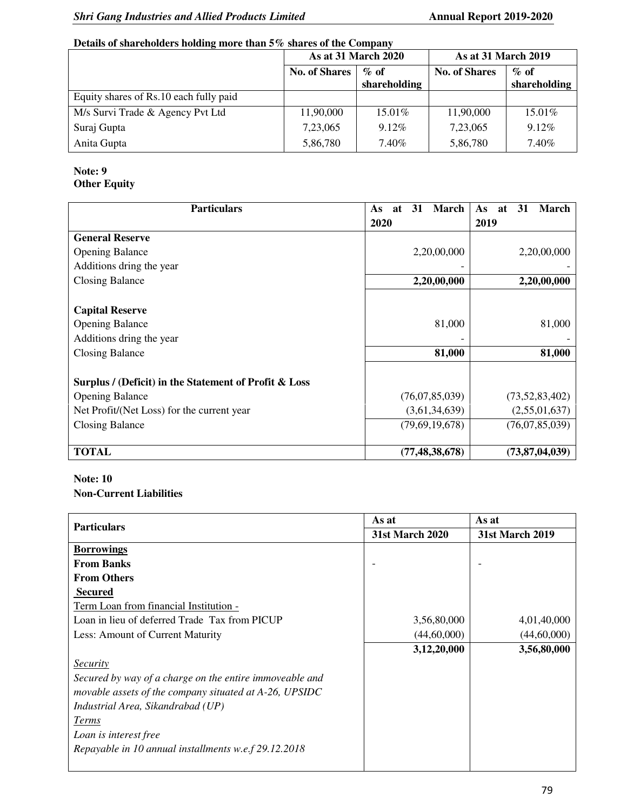# **Details of shareholders holding more than 5% shares of the Company**

|                                        | <b>As at 31 March 2020</b> |                         | <b>As at 31 March 2019</b> |                         |
|----------------------------------------|----------------------------|-------------------------|----------------------------|-------------------------|
|                                        | <b>No. of Shares</b>       | $\%$ of<br>shareholding | <b>No. of Shares</b>       | $\%$ of<br>shareholding |
| Equity shares of Rs.10 each fully paid |                            |                         |                            |                         |
| M/s Survi Trade & Agency Pvt Ltd       | 11,90,000                  | $15.01\%$               | 11,90,000                  | 15.01%                  |
| Suraj Gupta                            | 7,23,065                   | 9.12%                   | 7,23,065                   | $9.12\%$                |
| Anita Gupta                            | 5,86,780                   | 7.40%                   | 5,86,780                   | 7.40%                   |

# **Note: 9**

# **Other Equity**

| <b>Particulars</b>                                    | <b>March</b><br>31<br>As<br>at | <b>March</b><br>31<br>As<br>at |
|-------------------------------------------------------|--------------------------------|--------------------------------|
|                                                       | 2020                           | 2019                           |
| <b>General Reserve</b>                                |                                |                                |
| <b>Opening Balance</b>                                | 2,20,00,000                    | 2,20,00,000                    |
| Additions dring the year                              |                                |                                |
| <b>Closing Balance</b>                                | 2,20,00,000                    | 2,20,00,000                    |
|                                                       |                                |                                |
| <b>Capital Reserve</b>                                |                                |                                |
| <b>Opening Balance</b>                                | 81,000                         | 81,000                         |
| Additions dring the year                              |                                |                                |
| <b>Closing Balance</b>                                | 81,000                         | 81,000                         |
|                                                       |                                |                                |
| Surplus / (Deficit) in the Statement of Profit & Loss |                                |                                |
| <b>Opening Balance</b>                                | (76,07,85,039)                 | (73,52,83,402)                 |
| Net Profit/(Net Loss) for the current year            | (3,61,34,639)                  | (2,55,01,637)                  |
| <b>Closing Balance</b>                                | (79,69,19,678)                 | (76,07,85,039)                 |
|                                                       |                                |                                |
| <b>TOTAL</b>                                          | (77, 48, 38, 678)              | (73, 87, 04, 039)              |

# **Note: 10 Non-Current Liabilities**

| <b>Particulars</b>                                      | As at                  | As at           |  |
|---------------------------------------------------------|------------------------|-----------------|--|
|                                                         | <b>31st March 2020</b> | 31st March 2019 |  |
| <b>Borrowings</b>                                       |                        |                 |  |
| <b>From Banks</b>                                       |                        |                 |  |
| <b>From Others</b>                                      |                        |                 |  |
| <b>Secured</b>                                          |                        |                 |  |
| Term Loan from financial Institution -                  |                        |                 |  |
| Loan in lieu of deferred Trade Tax from PICUP           | 3,56,80,000            | 4,01,40,000     |  |
| Less: Amount of Current Maturity                        | (44,60,000)            | (44,60,000)     |  |
|                                                         | 3,12,20,000            | 3,56,80,000     |  |
| Security                                                |                        |                 |  |
| Secured by way of a charge on the entire immoveable and |                        |                 |  |
| movable assets of the company situated at A-26, UPSIDC  |                        |                 |  |
| Industrial Area, Sikandrabad (UP)                       |                        |                 |  |
| <b>Terms</b>                                            |                        |                 |  |
| Loan is interest free                                   |                        |                 |  |
| Repayable in 10 annual installments w.e.f 29.12.2018    |                        |                 |  |
|                                                         |                        |                 |  |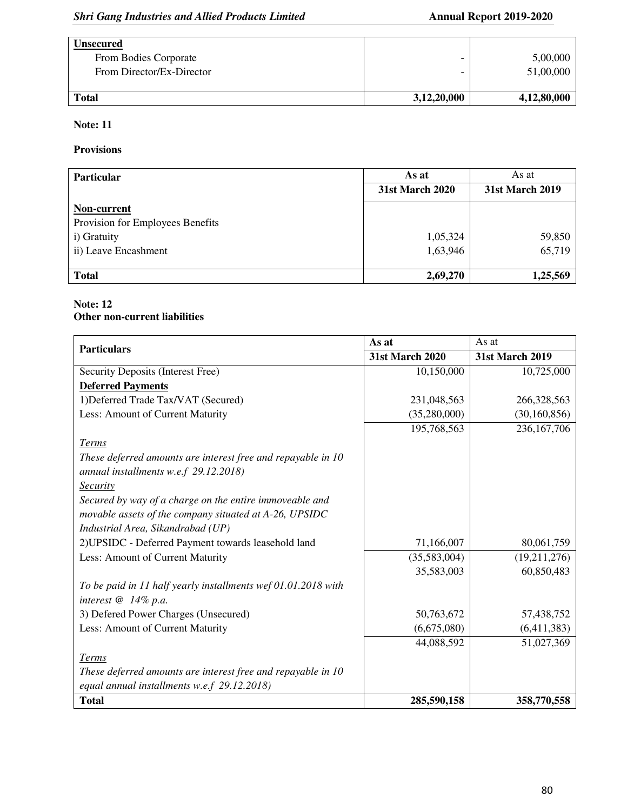| Unsecured                 |                          |             |
|---------------------------|--------------------------|-------------|
| From Bodies Corporate     | $\overline{\phantom{0}}$ | 5,00,000    |
| From Director/Ex-Director | $\overline{\phantom{0}}$ | 51,00,000   |
| <b>Total</b>              | 3,12,20,000              | 4,12,80,000 |

# **Note: 11**

# **Provisions**

| Particular                       | As at                  | As at           |
|----------------------------------|------------------------|-----------------|
|                                  | <b>31st March 2020</b> | 31st March 2019 |
| Non-current                      |                        |                 |
| Provision for Employees Benefits |                        |                 |
| i) Gratuity                      | 1,05,324               | 59,850          |
| ii) Leave Encashment             | 1,63,946               | 65,719          |
|                                  |                        |                 |
| <b>Total</b>                     | 2,69,270               | 1,25,569        |

# **Note: 12 Other non-current liabilities**

| <b>Particulars</b>                                            | As at                  | As at                  |
|---------------------------------------------------------------|------------------------|------------------------|
|                                                               | <b>31st March 2020</b> | <b>31st March 2019</b> |
| Security Deposits (Interest Free)                             | 10,150,000             | 10,725,000             |
| <b>Deferred Payments</b>                                      |                        |                        |
| 1) Deferred Trade Tax/VAT (Secured)                           | 231,048,563            | 266,328,563            |
| Less: Amount of Current Maturity                              | (35,280,000)           | (30, 160, 856)         |
|                                                               | 195,768,563            | 236, 167, 706          |
| <b>Terms</b>                                                  |                        |                        |
| These deferred amounts are interest free and repayable in 10  |                        |                        |
| annual installments w.e.f 29.12.2018)                         |                        |                        |
| Security                                                      |                        |                        |
| Secured by way of a charge on the entire immoveable and       |                        |                        |
| movable assets of the company situated at A-26, UPSIDC        |                        |                        |
| Industrial Area, Sikandrabad (UP)                             |                        |                        |
| 2) UPSIDC - Deferred Payment towards leasehold land           | 71,166,007             | 80,061,759             |
| Less: Amount of Current Maturity                              | (35,583,004)           | (19,211,276)           |
|                                                               | 35,583,003             | 60,850,483             |
| To be paid in 11 half yearly installments wef 01.01.2018 with |                        |                        |
| interest $@$ 14% p.a.                                         |                        |                        |
| 3) Defered Power Charges (Unsecured)                          | 50,763,672             | 57,438,752             |
| Less: Amount of Current Maturity                              | (6,675,080)            | (6,411,383)            |
|                                                               | 44,088,592             | 51,027,369             |
| <b>Terms</b>                                                  |                        |                        |
| These deferred amounts are interest free and repayable in 10  |                        |                        |
| equal annual installments w.e.f 29.12.2018)                   |                        |                        |
| <b>Total</b>                                                  | 285,590,158            | 358,770,558            |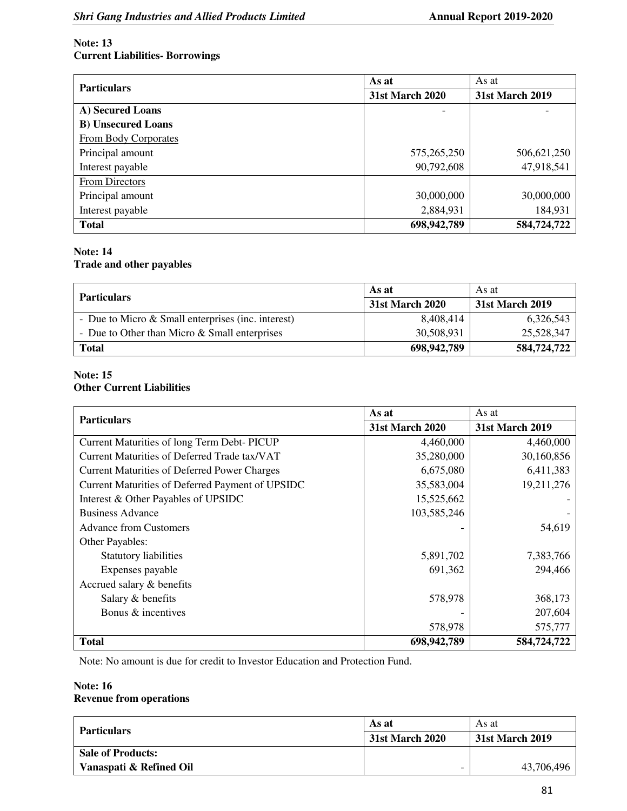# **Note: 13 Current Liabilities- Borrowings**

| <b>Particulars</b>          | As at                  | As at                  |
|-----------------------------|------------------------|------------------------|
|                             | <b>31st March 2020</b> | <b>31st March 2019</b> |
| A) Secured Loans            |                        |                        |
| <b>B)</b> Unsecured Loans   |                        |                        |
| <b>From Body Corporates</b> |                        |                        |
| Principal amount            | 575,265,250            | 506,621,250            |
| Interest payable            | 90,792,608             | 47,918,541             |
| From Directors              |                        |                        |
| Principal amount            | 30,000,000             | 30,000,000             |
| Interest payable            | 2,884,931              | 184,931                |
| <b>Total</b>                | 698,942,789            | 584,724,722            |

# **Note: 14**

# **Trade and other payables**

| <b>Particulars</b>                                   | As at           | As at           |
|------------------------------------------------------|-----------------|-----------------|
|                                                      | 31st March 2020 | 31st March 2019 |
| - Due to Micro $&$ Small enterprises (inc. interest) | 8.408.414       | 6,326,543       |
| - Due to Other than Micro $&$ Small enterprises      | 30,508,931      | 25,528,347      |
| <b>Total</b>                                         | 698,942,789     | 584,724,722     |

# **Note: 15 Other Current Liabilities**

| <b>Particulars</b>                                  | As at                  | As at           |
|-----------------------------------------------------|------------------------|-----------------|
|                                                     | <b>31st March 2020</b> | 31st March 2019 |
| Current Maturities of long Term Debt- PICUP         | 4,460,000              | 4,460,000       |
| Current Maturities of Deferred Trade tax/VAT        | 35,280,000             | 30,160,856      |
| <b>Current Maturities of Deferred Power Charges</b> | 6,675,080              | 6,411,383       |
| Current Maturities of Deferred Payment of UPSIDC    | 35,583,004             | 19,211,276      |
| Interest & Other Payables of UPSIDC                 | 15,525,662             |                 |
| <b>Business Advance</b>                             | 103,585,246            |                 |
| <b>Advance from Customers</b>                       |                        | 54,619          |
| Other Payables:                                     |                        |                 |
| <b>Statutory liabilities</b>                        | 5,891,702              | 7,383,766       |
| Expenses payable                                    | 691,362                | 294,466         |
| Accrued salary & benefits                           |                        |                 |
| Salary & benefits                                   | 578,978                | 368,173         |
| Bonus & incentives                                  |                        | 207,604         |
|                                                     | 578,978                | 575,777         |
| <b>Total</b>                                        | 698,942,789            | 584,724,722     |

Note: No amount is due for credit to Investor Education and Protection Fund.

### **Note: 16 Revenue from operations**

| <b>Particulars</b>       | As at           | As at                  |
|--------------------------|-----------------|------------------------|
|                          | 31st March 2020 | <b>31st March 2019</b> |
| <b>Sale of Products:</b> |                 |                        |
| Vanaspati & Refined Oil  |                 | 43,706,496             |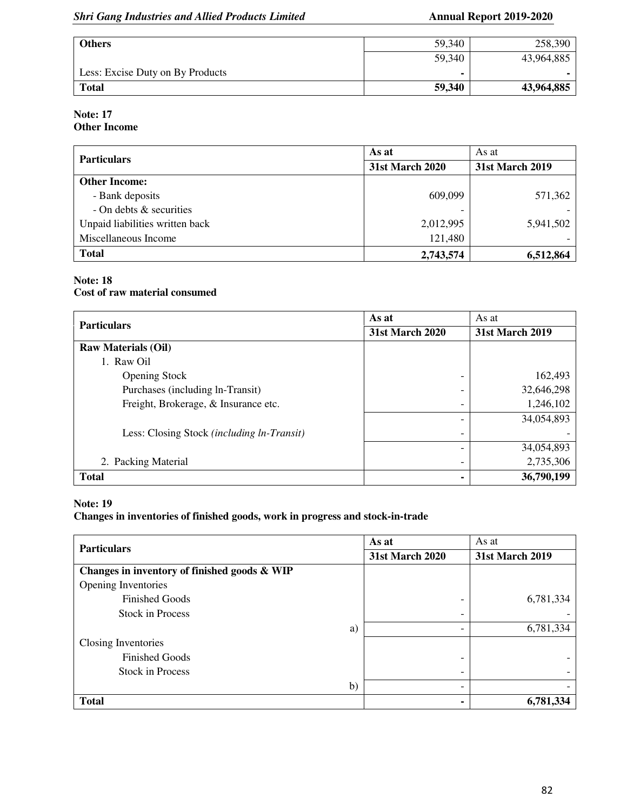| <b>Others</b>                    | 59,340 | 258,390    |
|----------------------------------|--------|------------|
|                                  | 59,340 | 43,964,885 |
| Less: Excise Duty on By Products |        |            |
| <b>Total</b>                     | 59,340 | 43,964,885 |

# **Note: 17**

**Other Income** 

| <b>Particulars</b>              | As at           | As at                  |
|---------------------------------|-----------------|------------------------|
|                                 | 31st March 2020 | <b>31st March 2019</b> |
| <b>Other Income:</b>            |                 |                        |
| - Bank deposits                 | 609,099         | 571,362                |
| - On debts & securities         |                 |                        |
| Unpaid liabilities written back | 2,012,995       | 5,941,502              |
| Miscellaneous Income            | 121,480         |                        |
| <b>Total</b>                    | 2,743,574       | 6,512,864              |

# **Note: 18**

# **Cost of raw material consumed**

| <b>Particulars</b>                                | As at           | As at                  |
|---------------------------------------------------|-----------------|------------------------|
|                                                   | 31st March 2020 | <b>31st March 2019</b> |
| <b>Raw Materials (Oil)</b>                        |                 |                        |
| 1. Raw Oil                                        |                 |                        |
| <b>Opening Stock</b>                              |                 | 162,493                |
| Purchases (including ln-Transit)                  |                 | 32,646,298             |
| Freight, Brokerage, & Insurance etc.              |                 | 1,246,102              |
|                                                   |                 | 34,054,893             |
| Less: Closing Stock <i>(including ln-Transit)</i> |                 |                        |
|                                                   |                 | 34,054,893             |
| 2. Packing Material                               |                 | 2,735,306              |
| <b>Total</b>                                      |                 | 36,790,199             |

# **Note: 19**

**Changes in inventories of finished goods, work in progress and stock-in-trade** 

| <b>Particulars</b>                           | As at                    | As at           |
|----------------------------------------------|--------------------------|-----------------|
|                                              | 31st March 2020          | 31st March 2019 |
| Changes in inventory of finished goods & WIP |                          |                 |
| Opening Inventories                          |                          |                 |
| <b>Finished Goods</b>                        |                          | 6,781,334       |
| <b>Stock in Process</b>                      |                          |                 |
| a)                                           |                          | 6,781,334       |
| Closing Inventories                          |                          |                 |
| <b>Finished Goods</b>                        | $\overline{\phantom{0}}$ |                 |
| <b>Stock in Process</b>                      |                          |                 |
| b)                                           | $\overline{\phantom{0}}$ |                 |
| <b>Total</b>                                 |                          | 6,781,334       |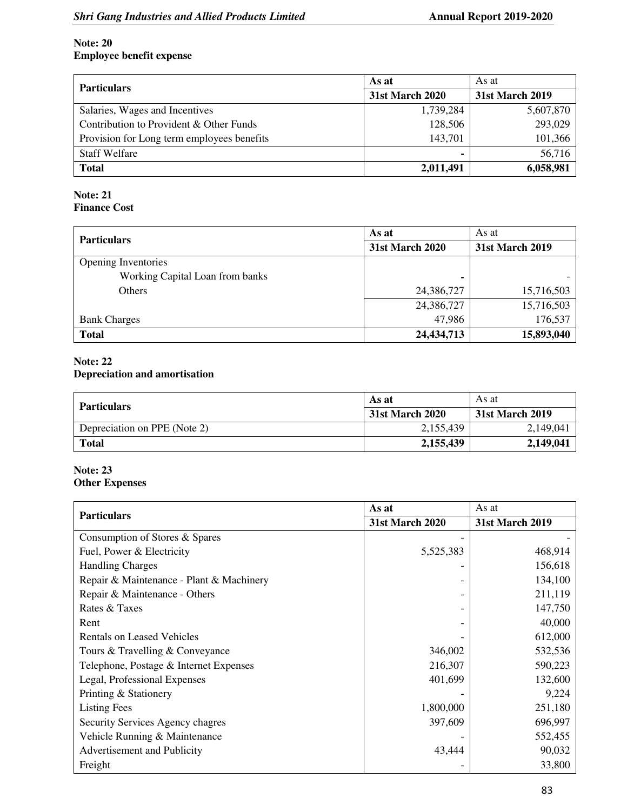# **Note: 20 Employee benefit expense**

| <b>Particulars</b>                         | As at                  | As at                  |
|--------------------------------------------|------------------------|------------------------|
|                                            | <b>31st March 2020</b> | <b>31st March 2019</b> |
| Salaries, Wages and Incentives             | 1,739,284              | 5,607,870              |
| Contribution to Provident & Other Funds    | 128,506                | 293,029                |
| Provision for Long term employees benefits | 143,701                | 101,366                |
| <b>Staff Welfare</b>                       |                        | 56,716                 |
| <b>Total</b>                               | 2,011,491              | 6,058,981              |

### **Note: 21 Finance Cost**

| <b>Particulars</b>              | As at           | As at                  |
|---------------------------------|-----------------|------------------------|
|                                 | 31st March 2020 | <b>31st March 2019</b> |
| Opening Inventories             |                 |                        |
| Working Capital Loan from banks |                 |                        |
| Others                          | 24,386,727      | 15,716,503             |
|                                 | 24,386,727      | 15,716,503             |
| <b>Bank Charges</b>             | 47,986          | 176,537                |
| <b>Total</b>                    | 24, 434, 713    | 15,893,040             |

# **Note: 22 Depreciation and amortisation**

| <b>Particulars</b>           | As at           | As at           |  |
|------------------------------|-----------------|-----------------|--|
|                              | 31st March 2020 | 31st March 2019 |  |
| Depreciation on PPE (Note 2) | 2,155,439       | 2,149,041       |  |
| <b>Total</b>                 | 2,155,439       | 2,149,041       |  |

# **Note: 23 Other Expenses**

| <b>Particulars</b>                       | As at           | As at           |  |
|------------------------------------------|-----------------|-----------------|--|
|                                          | 31st March 2020 | 31st March 2019 |  |
| Consumption of Stores & Spares           |                 |                 |  |
| Fuel, Power & Electricity                | 5,525,383       | 468,914         |  |
| <b>Handling Charges</b>                  |                 | 156,618         |  |
| Repair & Maintenance - Plant & Machinery |                 | 134,100         |  |
| Repair & Maintenance - Others            |                 | 211,119         |  |
| Rates & Taxes                            |                 | 147,750         |  |
| Rent                                     |                 | 40,000          |  |
| Rentals on Leased Vehicles               |                 | 612,000         |  |
| Tours & Travelling & Conveyance          | 346,002         | 532,536         |  |
| Telephone, Postage & Internet Expenses   | 216,307         | 590,223         |  |
| Legal, Professional Expenses             | 401,699         | 132,600         |  |
| Printing & Stationery                    |                 | 9,224           |  |
| <b>Listing Fees</b>                      | 1,800,000       | 251,180         |  |
| Security Services Agency chagres         | 397,609         | 696,997         |  |
| Vehicle Running & Maintenance            |                 | 552,455         |  |
| Advertisement and Publicity              | 43,444          | 90,032          |  |
| Freight                                  |                 | 33,800          |  |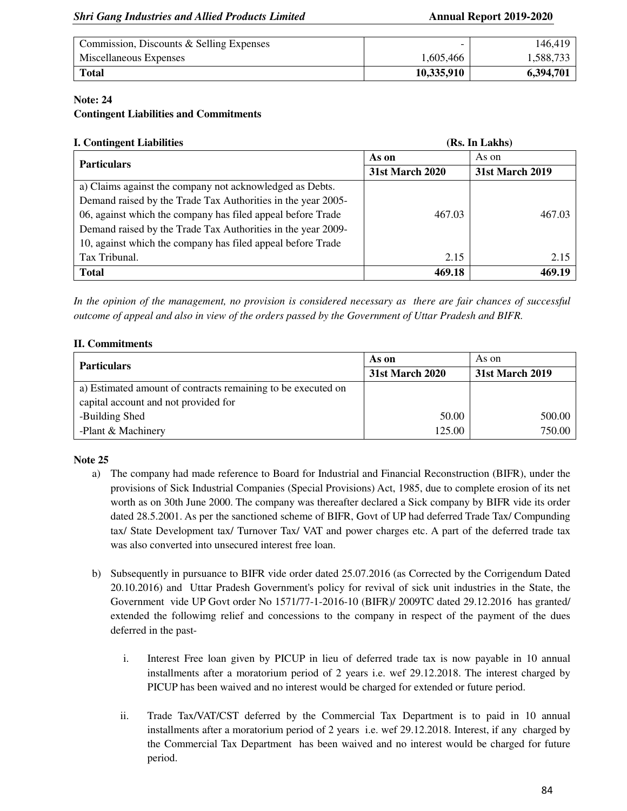### *Shri Gang Industries and Allied Products Limited* **Annual Report 2019-2020**

| Commission, Discounts & Selling Expenses | -          | 146.419   |
|------------------------------------------|------------|-----------|
| Miscellaneous Expenses                   | 1,605,466  | 1,588,733 |
| <b>Total</b>                             | 10,335,910 | 6.394.701 |

# **Note: 24**

# **Contingent Liabilities and Commitments**

| <b>I. Contingent Liabilities</b> |  |  |  |  |  |  |
|----------------------------------|--|--|--|--|--|--|
|----------------------------------|--|--|--|--|--|--|

| <b>I. Contingent Liabilities</b>                             | (Rs. In Lakhs)         |                        |  |
|--------------------------------------------------------------|------------------------|------------------------|--|
| <b>Particulars</b>                                           | As on                  | As on                  |  |
|                                                              | <b>31st March 2020</b> | <b>31st March 2019</b> |  |
| a) Claims against the company not acknowledged as Debts.     |                        |                        |  |
| Demand raised by the Trade Tax Authorities in the year 2005- |                        |                        |  |
| 06, against which the company has filed appeal before Trade  | 467.03                 | 467.03                 |  |
| Demand raised by the Trade Tax Authorities in the year 2009- |                        |                        |  |
| 10, against which the company has filed appeal before Trade  |                        |                        |  |
| Tax Tribunal.                                                | 2.15                   | 2.15                   |  |
| <b>Total</b>                                                 | 469.18                 | 469.19                 |  |

In the opinion of the management, no provision is considered necessary as there are fair chances of successful *outcome of appeal and also in view of the orders passed by the Government of Uttar Pradesh and BIFR.* 

# **II. Commitments**

| <b>Particulars</b>                                           | As on                  | As on           |  |
|--------------------------------------------------------------|------------------------|-----------------|--|
|                                                              | <b>31st March 2020</b> | 31st March 2019 |  |
| a) Estimated amount of contracts remaining to be executed on |                        |                 |  |
| capital account and not provided for                         |                        |                 |  |
| -Building Shed                                               | 50.00                  | 500.00          |  |
| -Plant & Machinery                                           | 125.00                 | 750.00          |  |

# **Note 25**

- a) The company had made reference to Board for Industrial and Financial Reconstruction (BIFR), under the provisions of Sick Industrial Companies (Special Provisions) Act, 1985, due to complete erosion of its net worth as on 30th June 2000. The company was thereafter declared a Sick company by BIFR vide its order dated 28.5.2001. As per the sanctioned scheme of BIFR, Govt of UP had deferred Trade Tax/ Compunding tax/ State Development tax/ Turnover Tax/ VAT and power charges etc. A part of the deferred trade tax was also converted into unsecured interest free loan.
- b) Subsequently in pursuance to BIFR vide order dated 25.07.2016 (as Corrected by the Corrigendum Dated 20.10.2016) and Uttar Pradesh Government's policy for revival of sick unit industries in the State, the Government vide UP Govt order No 1571/77-1-2016-10 (BIFR)/ 2009TC dated 29.12.2016 has granted/ extended the followimg relief and concessions to the company in respect of the payment of the dues deferred in the past
	- i. Interest Free loan given by PICUP in lieu of deferred trade tax is now payable in 10 annual installments after a moratorium period of 2 years i.e. wef 29.12.2018. The interest charged by PICUP has been waived and no interest would be charged for extended or future period.
	- ii. Trade Tax/VAT/CST deferred by the Commercial Tax Department is to paid in 10 annual installments after a moratorium period of 2 years i.e. wef 29.12.2018. Interest, if any charged by the Commercial Tax Department has been waived and no interest would be charged for future period.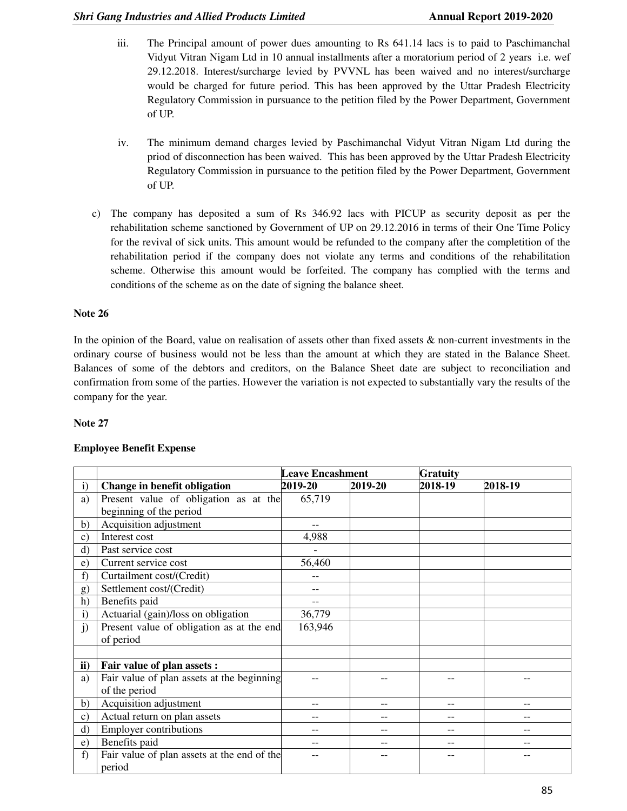- iii. The Principal amount of power dues amounting to Rs 641.14 lacs is to paid to Paschimanchal Vidyut Vitran Nigam Ltd in 10 annual installments after a moratorium period of 2 years i.e. wef 29.12.2018. Interest/surcharge levied by PVVNL has been waived and no interest/surcharge would be charged for future period. This has been approved by the Uttar Pradesh Electricity Regulatory Commission in pursuance to the petition filed by the Power Department, Government of UP.
- iv. The minimum demand charges levied by Paschimanchal Vidyut Vitran Nigam Ltd during the priod of disconnection has been waived. This has been approved by the Uttar Pradesh Electricity Regulatory Commission in pursuance to the petition filed by the Power Department, Government of UP.
- c) The company has deposited a sum of Rs 346.92 lacs with PICUP as security deposit as per the rehabilitation scheme sanctioned by Government of UP on 29.12.2016 in terms of their One Time Policy for the revival of sick units. This amount would be refunded to the company after the completition of the rehabilitation period if the company does not violate any terms and conditions of the rehabilitation scheme. Otherwise this amount would be forfeited. The company has complied with the terms and conditions of the scheme as on the date of signing the balance sheet.

# **Note 26**

In the opinion of the Board, value on realisation of assets other than fixed assets & non-current investments in the ordinary course of business would not be less than the amount at which they are stated in the Balance Sheet. Balances of some of the debtors and creditors, on the Balance Sheet date are subject to reconciliation and confirmation from some of the parties. However the variation is not expected to substantially vary the results of the company for the year.

### **Note 27**

### **Employee Benefit Expense**

|                |                                             | <b>Leave Encashment</b> |         | <b>Gratuity</b> |         |
|----------------|---------------------------------------------|-------------------------|---------|-----------------|---------|
| $\mathbf{i}$   | Change in benefit obligation                | 2019-20                 | 2019-20 | 2018-19         | 2018-19 |
| a)             | Present value of obligation as at the       | 65,719                  |         |                 |         |
|                | beginning of the period                     |                         |         |                 |         |
| b)             | Acquisition adjustment                      | --                      |         |                 |         |
| $\mathbf{c}$ ) | Interest cost                               | 4,988                   |         |                 |         |
| $\rm d$        | Past service cost                           |                         |         |                 |         |
| e)             | Current service cost                        | 56,460                  |         |                 |         |
| f)             | Curtailment cost/(Credit)                   | --                      |         |                 |         |
| g)             | Settlement cost/(Credit)                    | --                      |         |                 |         |
| h)             | Benefits paid                               | --                      |         |                 |         |
| $\mathbf{i}$   | Actuarial (gain)/loss on obligation         | 36,779                  |         |                 |         |
| j)             | Present value of obligation as at the end   | 163,946                 |         |                 |         |
|                | of period                                   |                         |         |                 |         |
|                |                                             |                         |         |                 |         |
| $\mathbf{ii}$  | Fair value of plan assets :                 |                         |         |                 |         |
| a)             | Fair value of plan assets at the beginning  |                         |         |                 |         |
|                | of the period                               |                         |         |                 |         |
| b)             | Acquisition adjustment                      |                         |         |                 |         |
| c)             | Actual return on plan assets                | --                      |         |                 |         |
| d)             | <b>Employer contributions</b>               | --                      | --      | --              | --      |
| e)             | Benefits paid                               | $-$                     | --      | $-$             |         |
| f              | Fair value of plan assets at the end of the | $-$                     |         |                 |         |
|                | period                                      |                         |         |                 |         |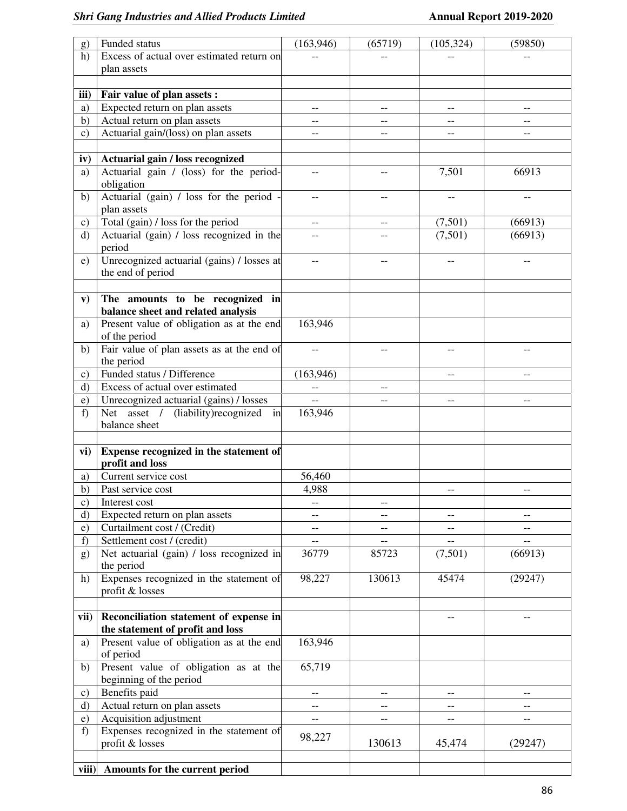| g)            | Funded status                                                              | (163, 946) | (65719)                            | (105, 324)        | (59850)                  |
|---------------|----------------------------------------------------------------------------|------------|------------------------------------|-------------------|--------------------------|
| h)            | Excess of actual over estimated return on                                  |            |                                    |                   |                          |
|               | plan assets                                                                |            |                                    |                   |                          |
|               |                                                                            |            |                                    |                   |                          |
| iii)          | Fair value of plan assets :                                                |            |                                    |                   |                          |
| a)            | Expected return on plan assets                                             | $-$        | $-$                                | --                |                          |
| b)            | Actual return on plan assets                                               | --         | $-$                                | $-$               |                          |
| c)            | Actuarial gain/(loss) on plan assets                                       | --         | $\qquad \qquad -$                  | $-$               | $-$                      |
|               |                                                                            |            |                                    |                   |                          |
| iv)           | Actuarial gain / loss recognized                                           |            |                                    |                   |                          |
| a)            | Actuarial gain / (loss) for the period-<br>obligation                      | $-$        | $\hspace{0.05cm}--\hspace{0.05cm}$ | 7,501             | 66913                    |
| b)            | Actuarial (gain) / loss for the period<br>plan assets                      | $-$        | $-$                                | $\qquad \qquad -$ |                          |
| $\mathbf{c})$ | Total (gain) / loss for the period                                         | $-$        | $-$                                | (7,501)           | (66913)                  |
| $\rm d$       | Actuarial (gain) / loss recognized in the                                  | $-$        |                                    | (7,501)           | (66913)                  |
|               | period                                                                     |            |                                    |                   |                          |
| e)            | Unrecognized actuarial (gains) / losses at<br>the end of period            |            |                                    |                   |                          |
| ${\bf v})$    | The amounts to be recognized in                                            |            |                                    |                   |                          |
|               | balance sheet and related analysis                                         |            |                                    |                   |                          |
| a)            | Present value of obligation as at the end<br>of the period                 | 163,946    |                                    |                   |                          |
| b)            | Fair value of plan assets as at the end of<br>the period                   | $-$        | $-$                                | --                |                          |
| $\mathbf{c})$ | Funded status / Difference                                                 | (163, 946) |                                    | $-$               | $-$                      |
| d)            | Excess of actual over estimated                                            | $-$        | $\overline{\phantom{m}}$           |                   |                          |
| e)            | Unrecognized actuarial (gains) / losses                                    | $-$        |                                    | $-$               | $-$                      |
| f             | Net asset / (liability) recognized in<br>balance sheet                     | 163,946    |                                    |                   |                          |
|               |                                                                            |            |                                    |                   |                          |
| vi)           | Expense recognized in the statement of<br>profit and loss                  |            |                                    |                   |                          |
| a)            | Current service cost                                                       | 56,460     |                                    |                   |                          |
| b)            | Past service cost                                                          | 4,988      |                                    | $-$               |                          |
| $\mathbf{c})$ | Interest cost                                                              | $-$        | $-\!$ –                            |                   |                          |
| d)            | Expected return on plan assets                                             |            | $- -$                              | --                | $-$                      |
| e)            | Curtailment cost / (Credit)                                                | $-$        | $-$                                | $-$               | $-$                      |
| f)            | Settlement cost / (credit)                                                 | $- -$      | $- -$                              | $- -$             |                          |
| g)            | Net actuarial (gain) / loss recognized in<br>the period                    | 36779      | 85723                              | (7,501)           | (66913)                  |
| h)            | Expenses recognized in the statement of<br>profit & losses                 | 98,227     | 130613                             | 45474             | (29247)                  |
|               |                                                                            |            |                                    |                   |                          |
| vii)          | Reconciliation statement of expense in<br>the statement of profit and loss |            |                                    |                   |                          |
| a)            | Present value of obligation as at the end                                  | 163,946    |                                    |                   |                          |
| b)            | of period<br>Present value of obligation as at the                         | 65,719     |                                    |                   |                          |
|               | beginning of the period                                                    |            |                                    |                   |                          |
| $\mathbf{c})$ | Benefits paid                                                              | $-$        | $-\!$ $\!-$                        | $- -$             | $-$                      |
| d)            | Actual return on plan assets                                               | --         | $- -$                              | $-$               | $- -$                    |
| e)            | Acquisition adjustment                                                     | $-$        | $-\!$                              | $- -$             | $\overline{\phantom{m}}$ |
| f)            | Expenses recognized in the statement of                                    | 98,227     |                                    |                   |                          |
|               | profit & losses                                                            |            | 130613                             | 45,474            | (29247)                  |
| viii)         |                                                                            |            |                                    |                   |                          |
|               | Amounts for the current period                                             |            |                                    |                   |                          |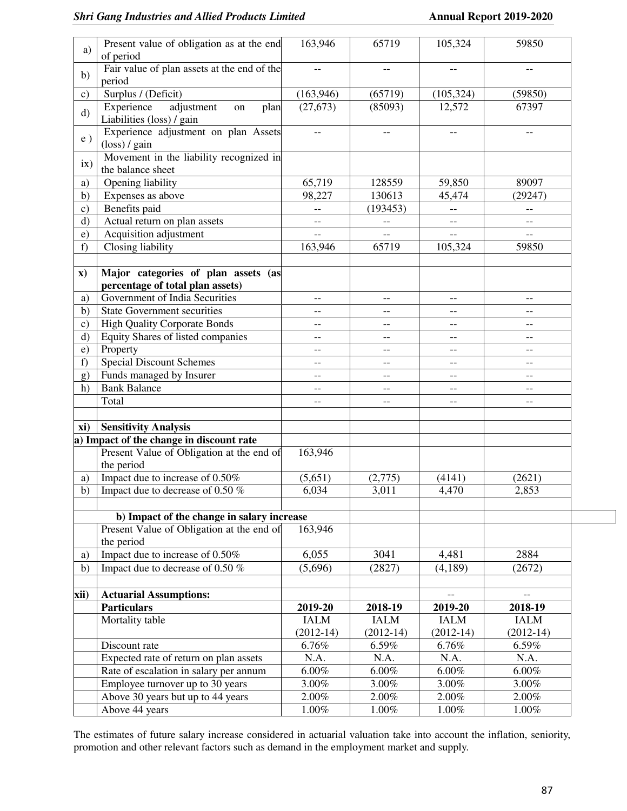### **Shri Gang Industries and Allied Products Limited <b>Annual Report 2019-2020 Annual Report 2019-2020**

| a)            | Present value of obligation as at the end                           | 163,946     | 65719                  | 105,324                   | 59850                  |
|---------------|---------------------------------------------------------------------|-------------|------------------------|---------------------------|------------------------|
|               | of period                                                           |             |                        |                           |                        |
| b)            | Fair value of plan assets at the end of the                         | $-$         | $-$ -                  | --                        |                        |
|               | period                                                              |             |                        |                           |                        |
| $\mathbf{c})$ | Surplus / (Deficit)                                                 | (163, 946)  | (65719)                | (105, 324)                | (59850)                |
| $\mathbf{d}$  | Experience<br>adjustment<br>plan<br>on<br>Liabilities (loss) / gain | (27, 673)   | (85093)                | 12,572                    | 67397                  |
| e)            | Experience adjustment on plan Assets<br>$(\text{loss})$ / gain      | $-$         | $-$                    | $- -$                     | $-$                    |
| ix)           | Movement in the liability recognized in<br>the balance sheet        |             |                        |                           |                        |
| a)            | Opening liability                                                   | 65,719      | 128559                 | 59,850                    | 89097                  |
| b)            | Expenses as above                                                   | 98,227      | 130613                 | 45,474                    | (29247)                |
| $\mathbf{c})$ | Benefits paid                                                       | $-$         | (193453)               | $- -$                     | $--$                   |
| d)            | Actual return on plan assets                                        | --          | $--$                   | $-$                       | $-$                    |
| e)            | Acquisition adjustment                                              | $-$         | $-$                    | $- -$                     |                        |
| f)            | Closing liability                                                   | 163,946     | 65719                  | 105,324                   | 59850                  |
|               |                                                                     |             |                        |                           |                        |
| X)            | Major categories of plan assets (as                                 |             |                        |                           |                        |
|               | percentage of total plan assets)                                    |             |                        |                           |                        |
| a)            | Government of India Securities                                      | --          | $-$                    | $- -$                     | $-$                    |
| b)            | <b>State Government securities</b>                                  | --          | --                     | $-$                       | $-$                    |
| $\mathbf{c})$ | <b>High Quality Corporate Bonds</b>                                 | $-$         | $-$                    | $-$                       | --                     |
| $\mathbf{d}$  | Equity Shares of listed companies                                   | $-$         | --                     | $- -$                     | $- -$                  |
| e)            | Property                                                            | $-$         | --                     | $- -$                     | --                     |
| f)            | <b>Special Discount Schemes</b>                                     | --          | --                     | $-$                       | $-$                    |
| g)            | Funds managed by Insurer                                            | $-$         | --                     | $- -$                     | $-$                    |
| h)            | <b>Bank Balance</b>                                                 | --          | --                     | $- \, -$                  | $-$                    |
|               | Total                                                               | --          | $-$                    | $- -$                     | $-$                    |
|               |                                                                     |             |                        |                           |                        |
| xi)           | <b>Sensitivity Analysis</b>                                         |             |                        |                           |                        |
|               | a) Impact of the change in discount rate                            |             |                        |                           |                        |
|               | Present Value of Obligation at the end of<br>the period             | 163,946     |                        |                           |                        |
| a)            | Impact due to increase of 0.50%                                     | (5,651)     | (2,775)                | (4141)                    | (2621)                 |
|               | b) Impact due to decrease of 0.50 $%$                               | 6,034       | 3,011                  | 4,470                     | 2,853                  |
|               |                                                                     |             |                        |                           |                        |
|               | b) Impact of the change in salary increase                          |             |                        |                           |                        |
|               | Present Value of Obligation at the end of<br>the period             | 163,946     |                        |                           |                        |
| a)            | Impact due to increase of 0.50%                                     | 6,055       | 3041                   | 4,481                     | 2884                   |
| b)            | Impact due to decrease of 0.50 $%$                                  | (5,696)     | (2827)                 | (4,189)                   | (2672)                 |
|               |                                                                     |             |                        |                           |                        |
| xii)          | <b>Actuarial Assumptions:</b><br><b>Particulars</b>                 | 2019-20     |                        | $\overline{a}$<br>2019-20 | --                     |
|               | Mortality table                                                     | <b>IALM</b> | 2018-19<br><b>IALM</b> | <b>IALM</b>               | 2018-19<br><b>IALM</b> |
|               |                                                                     | $(2012-14)$ | $(2012-14)$            | $(2012-14)$               | $(2012-14)$            |
|               | Discount rate                                                       | 6.76%       | 6.59%                  | 6.76%                     | 6.59%                  |
|               | Expected rate of return on plan assets                              | N.A.        | N.A.                   | N.A.                      | N.A.                   |
|               | Rate of escalation in salary per annum                              | $6.00\%$    | $6.00\%$               | $6.00\%$                  | $6.00\%$               |
|               | Employee turnover up to 30 years                                    | 3.00%       | 3.00%                  | 3.00%                     | 3.00%                  |
|               | Above 30 years but up to 44 years                                   | $2.00\%$    | $2.00\%$               | $2.00\%$                  | 2.00%                  |
|               | Above 44 years                                                      | $1.00\%$    | 1.00%                  | 1.00%                     | 1.00%                  |
|               |                                                                     |             |                        |                           |                        |

The estimates of future salary increase considered in actuarial valuation take into account the inflation, seniority, promotion and other relevant factors such as demand in the employment market and supply.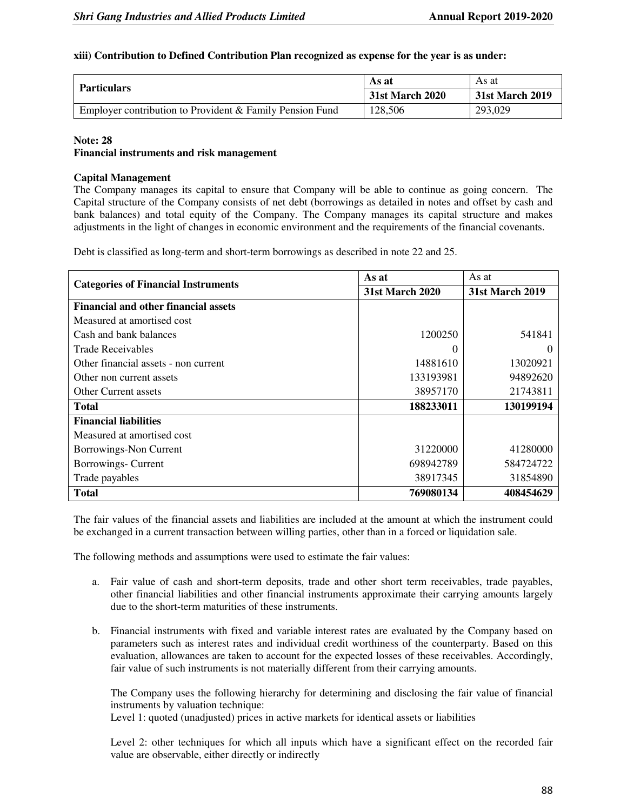# **xiii) Contribution to Defined Contribution Plan recognized as expense for the year is as under:**

| <b>Particulars</b>                                       | As at           | As at           |
|----------------------------------------------------------|-----------------|-----------------|
|                                                          | 31st March 2020 | 31st March 2019 |
| Employer contribution to Provident & Family Pension Fund | 128,506         | 293,029         |

### **Note: 28**

**Financial instruments and risk management** 

### **Capital Management**

The Company manages its capital to ensure that Company will be able to continue as going concern. The Capital structure of the Company consists of net debt (borrowings as detailed in notes and offset by cash and bank balances) and total equity of the Company. The Company manages its capital structure and makes adjustments in the light of changes in economic environment and the requirements of the financial covenants.

Debt is classified as long-term and short-term borrowings as described in note 22 and 25.

|                                             | As at                  | As at                  |
|---------------------------------------------|------------------------|------------------------|
| <b>Categories of Financial Instruments</b>  | <b>31st March 2020</b> | <b>31st March 2019</b> |
| <b>Financial and other financial assets</b> |                        |                        |
| Measured at amortised cost                  |                        |                        |
| Cash and bank balances                      | 1200250                | 541841                 |
| <b>Trade Receivables</b>                    | $\theta$               | $\theta$               |
| Other financial assets - non current        | 14881610               | 13020921               |
| Other non current assets                    | 133193981              | 94892620               |
| <b>Other Current assets</b>                 | 38957170               | 21743811               |
| <b>Total</b>                                | 188233011              | 130199194              |
| <b>Financial liabilities</b>                |                        |                        |
| Measured at amortised cost                  |                        |                        |
| Borrowings-Non Current                      | 31220000               | 41280000               |
| Borrowings- Current                         | 698942789              | 584724722              |
| Trade payables                              | 38917345               | 31854890               |
| <b>Total</b>                                | 769080134              | 408454629              |

The fair values of the financial assets and liabilities are included at the amount at which the instrument could be exchanged in a current transaction between willing parties, other than in a forced or liquidation sale.

The following methods and assumptions were used to estimate the fair values:

- a. Fair value of cash and short-term deposits, trade and other short term receivables, trade payables, other financial liabilities and other financial instruments approximate their carrying amounts largely due to the short-term maturities of these instruments.
- b. Financial instruments with fixed and variable interest rates are evaluated by the Company based on parameters such as interest rates and individual credit worthiness of the counterparty. Based on this evaluation, allowances are taken to account for the expected losses of these receivables. Accordingly, fair value of such instruments is not materially different from their carrying amounts.

The Company uses the following hierarchy for determining and disclosing the fair value of financial instruments by valuation technique:

Level 1: quoted (unadjusted) prices in active markets for identical assets or liabilities

Level 2: other techniques for which all inputs which have a significant effect on the recorded fair value are observable, either directly or indirectly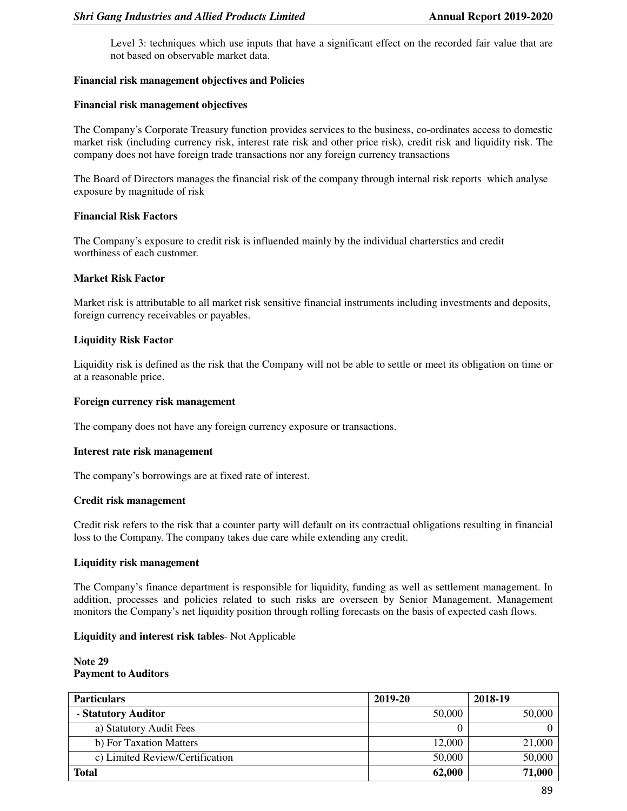Level 3: techniques which use inputs that have a significant effect on the recorded fair value that are not based on observable market data.

### **Financial risk management objectives and Policies**

### **Financial risk management objectives**

The Company's Corporate Treasury function provides services to the business, co-ordinates access to domestic market risk (including currency risk, interest rate risk and other price risk), credit risk and liquidity risk. The company does not have foreign trade transactions nor any foreign currency transactions

The Board of Directors manages the financial risk of the company through internal risk reports which analyse exposure by magnitude of risk

### **Financial Risk Factors**

The Company's exposure to credit risk is influended mainly by the individual charterstics and credit worthiness of each customer.

### **Market Risk Factor**

Market risk is attributable to all market risk sensitive financial instruments including investments and deposits, foreign currency receivables or payables.

### **Liquidity Risk Factor**

Liquidity risk is defined as the risk that the Company will not be able to settle or meet its obligation on time or at a reasonable price.

### **Foreign currency risk management**

The company does not have any foreign currency exposure or transactions.

### **Interest rate risk management**

The company's borrowings are at fixed rate of interest.

### **Credit risk management**

Credit risk refers to the risk that a counter party will default on its contractual obligations resulting in financial loss to the Company. The company takes due care while extending any credit.

### **Liquidity risk management**

The Company's finance department is responsible for liquidity, funding as well as settlement management. In addition, processes and policies related to such risks are overseen by Senior Management. Management monitors the Company's net liquidity position through rolling forecasts on the basis of expected cash flows.

### **Liquidity and interest risk tables**- Not Applicable

### **Note 29 Payment to Auditors**

| <b>Particulars</b>              | 2019-20 | 2018-19 |
|---------------------------------|---------|---------|
| - Statutory Auditor             | 50,000  | 50,000  |
| a) Statutory Audit Fees         |         |         |
| b) For Taxation Matters         | 12,000  | 21,000  |
| c) Limited Review/Certification | 50,000  | 50,000  |
| <b>Total</b>                    | 62,000  | 71,000  |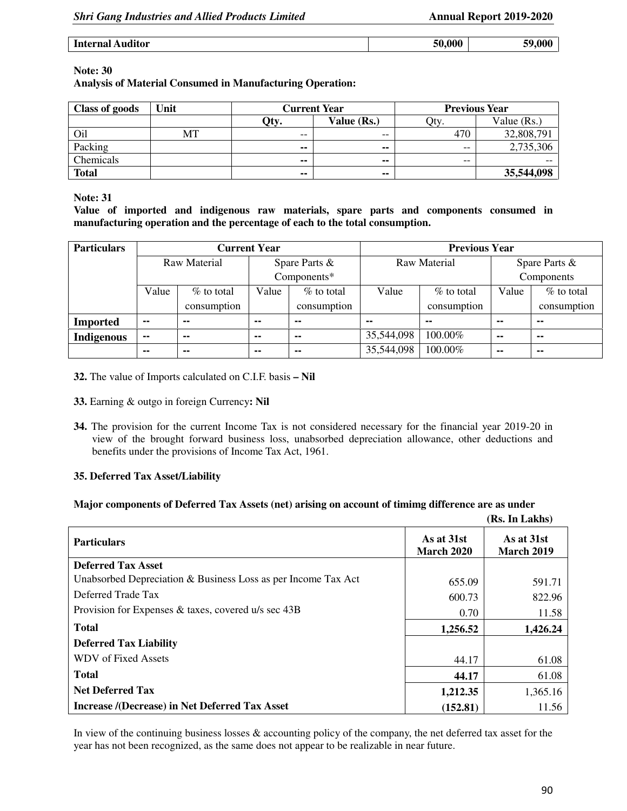| Internal Auditor | 50.000 | $\mathbf{a}\mathbf{a}$<br>50<br>ww |
|------------------|--------|------------------------------------|
|                  |        |                                    |

**Note: 30** 

# **Analysis of Material Consumed in Manufacturing Operation:**

| Class of goods | Unit | <b>Current Year</b> |                          | <b>Previous Year</b> |             |  |
|----------------|------|---------------------|--------------------------|----------------------|-------------|--|
|                |      | Qty.                | Value (Rs.)              | Qty.                 | Value (Rs.) |  |
| Oil            | MT   | $- -$               | $- -$                    | 470                  | 32,808,791  |  |
| Packing        |      | $\sim$              | $\overline{\phantom{a}}$ | $- -$                | 2,735,306   |  |
| Chemicals      |      | $\sim$ $\sim$       | $\sim$ $\sim$            | $- -$                | $- -$       |  |
| <b>Total</b>   |      | $\sim$ $\sim$       | $\sim$ $\sim$            |                      | 35,544,098  |  |

**Note: 31** 

**Value of imported and indigenous raw materials, spare parts and components consumed in manufacturing operation and the percentage of each to the total consumption.** 

| <b>Particulars</b> | <b>Current Year</b> |               |               |               | <b>Previous Year</b> |               |                          |               |
|--------------------|---------------------|---------------|---------------|---------------|----------------------|---------------|--------------------------|---------------|
|                    | <b>Raw Material</b> |               | Spare Parts & |               | Raw Material         |               | Spare Parts &            |               |
|                    |                     |               |               | Components*   |                      |               | Components               |               |
|                    | Value               | $\%$ to total | Value         | $%$ to total  | Value                | $\%$ to total | Value                    | $%$ to total  |
|                    |                     | consumption   |               | consumption   |                      | consumption   |                          | consumption   |
| <b>Imported</b>    | $\sim$ $\sim$       | $\sim$        | $\sim$        | --            | $- -$                | $\sim$        | $\sim$ $\sim$            | $\sim$        |
| <b>Indigenous</b>  | $\sim$ $\sim$       | $\sim$ $\sim$ | $\sim$ $\sim$ | $\sim$ $\sim$ | 35,544,098           | 100.00%       | $\sim$ $\sim$            | $\sim$ $\sim$ |
|                    | $\sim$              | --            | $- -$         | $\sim$ $\sim$ | 35,544,098           | 100.00%       | $\overline{\phantom{a}}$ | $- -$         |

- **32.** The value of Imports calculated on C.I.F. basis **Nil**
- **33.** Earning & outgo in foreign Currency**: Nil**
- **34.** The provision for the current Income Tax is not considered necessary for the financial year 2019-20 in view of the brought forward business loss, unabsorbed depreciation allowance, other deductions and benefits under the provisions of Income Tax Act, 1961.

# **35. Deferred Tax Asset/Liability**

### **Major components of Deferred Tax Assets (net) arising on account of timimg difference are as under**

|                                                               |                                 | (Rs. In Lakhs)                  |
|---------------------------------------------------------------|---------------------------------|---------------------------------|
| <b>Particulars</b>                                            | As at 31st<br><b>March 2020</b> | As at 31st<br><b>March 2019</b> |
| <b>Deferred Tax Asset</b>                                     |                                 |                                 |
| Unabsorbed Depreciation & Business Loss as per Income Tax Act | 655.09                          | 591.71                          |
| Deferred Trade Tax                                            | 600.73                          | 822.96                          |
| Provision for Expenses & taxes, covered u/s sec 43B           | 0.70                            | 11.58                           |
| <b>Total</b>                                                  | 1,256.52                        | 1,426.24                        |
| <b>Deferred Tax Liability</b>                                 |                                 |                                 |
| <b>WDV</b> of Fixed Assets                                    | 44.17                           | 61.08                           |
| <b>Total</b>                                                  | 44.17                           | 61.08                           |
| <b>Net Deferred Tax</b>                                       | 1,212.35                        | 1,365.16                        |
| Increase /(Decrease) in Net Deferred Tax Asset                | (152.81)                        | 11.56                           |

In view of the continuing business losses & accounting policy of the company, the net deferred tax asset for the year has not been recognized, as the same does not appear to be realizable in near future.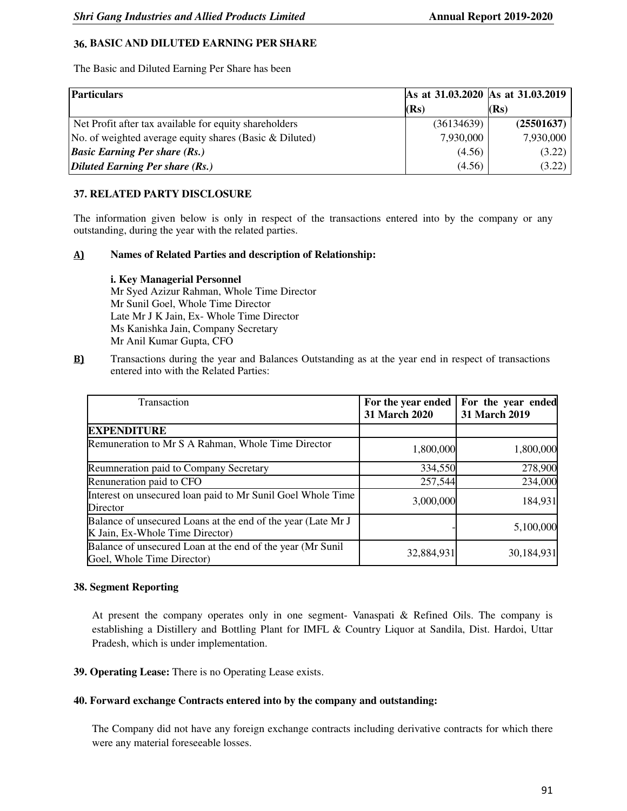# **36. BASIC AND DILUTED EARNING PER SHARE**

The Basic and Diluted Earning Per Share has been

| <b>Particulars</b>                                      | As at 31.03.2020 As at 31.03.2019 |            |
|---------------------------------------------------------|-----------------------------------|------------|
|                                                         | (Rs)                              | (Rs)       |
| Net Profit after tax available for equity shareholders  | (36134639)                        | (25501637) |
| No. of weighted average equity shares (Basic & Diluted) | 7,930,000                         | 7,930,000  |
| <b>Basic Earning Per share (Rs.)</b>                    | (4.56)                            | (3.22)     |
| Diluted Earning Per share (Rs.)                         | (4.56)                            | (3.22)     |

# **37. RELATED PARTY DISCLOSURE**

The information given below is only in respect of the transactions entered into by the company or any outstanding, during the year with the related parties.

# A) **Names of Related Parties and description of Relationship:**

**i. Key Managerial Personnel**  Mr Syed Azizur Rahman, Whole Time Director Mr Sunil Goel, Whole Time Director Late Mr J K Jain, Ex- Whole Time Director Ms Kanishka Jain, Company Secretary Mr Anil Kumar Gupta, CFO

B) Transactions during the year and Balances Outstanding as at the year end in respect of transactions entered into with the Related Parties:

| <b>Transaction</b>                                                                              | For the year ended<br>31 March 2020 | For the year ended<br>31 March 2019 |
|-------------------------------------------------------------------------------------------------|-------------------------------------|-------------------------------------|
| <b>EXPENDITURE</b>                                                                              |                                     |                                     |
| Remuneration to Mr S A Rahman, Whole Time Director                                              | 1,800,000                           | 1,800,000                           |
| Reumneration paid to Company Secretary                                                          | 334,550                             | 278,900                             |
| Renuneration paid to CFO                                                                        | 257,544                             | 234,000                             |
| Interest on unsecured loan paid to Mr Sunil Goel Whole Time<br>Director                         | 3,000,000                           | 184,931                             |
| Balance of unsecured Loans at the end of the year (Late Mr J<br>K Jain, Ex-Whole Time Director) |                                     | 5,100,000                           |
| Balance of unsecured Loan at the end of the year (Mr Sunil<br>Goel, Whole Time Director)        | 32,884,931                          | 30,184,931                          |

# **38. Segment Reporting**

At present the company operates only in one segment- Vanaspati & Refined Oils. The company is establishing a Distillery and Bottling Plant for IMFL & Country Liquor at Sandila, Dist. Hardoi, Uttar Pradesh, which is under implementation.

**39. Operating Lease:** There is no Operating Lease exists.

# **40. Forward exchange Contracts entered into by the company and outstanding:**

The Company did not have any foreign exchange contracts including derivative contracts for which there were any material foreseeable losses.